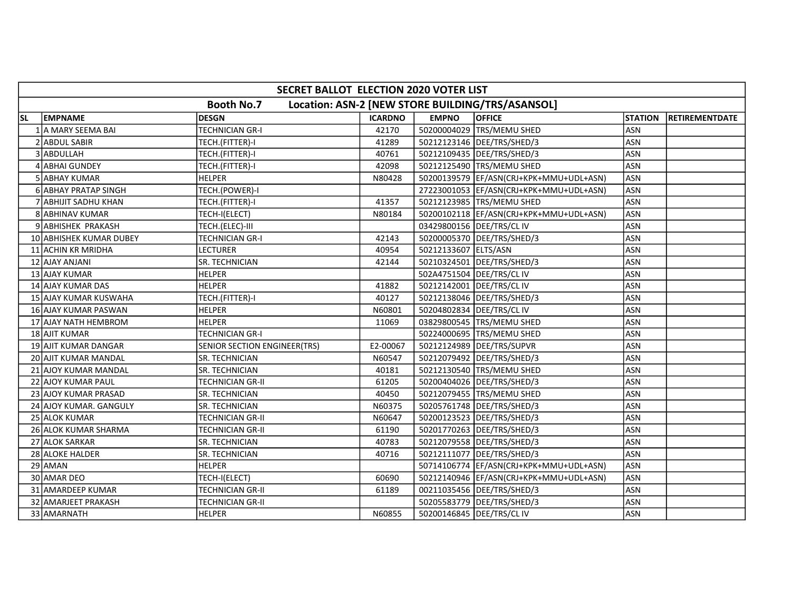|     | SECRET BALLOT ELECTION 2020 VOTER LIST |                              |                |                           |                                                  |                |                |  |  |  |  |
|-----|----------------------------------------|------------------------------|----------------|---------------------------|--------------------------------------------------|----------------|----------------|--|--|--|--|
|     |                                        | <b>Booth No.7</b>            |                |                           | Location: ASN-2 [NEW STORE BUILDING/TRS/ASANSOL] |                |                |  |  |  |  |
| lsl | <b>EMPNAME</b>                         | <b>DESGN</b>                 | <b>ICARDNO</b> | <b>EMPNO</b>              | <b>OFFICE</b>                                    | <b>STATION</b> | RETIREMENTDATE |  |  |  |  |
|     | 1 A MARY SEEMA BAI                     | <b>TECHNICIAN GR-I</b>       | 42170          |                           | 50200004029 TRS/MEMU SHED                        | <b>ASN</b>     |                |  |  |  |  |
|     | 2 ABDUL SABIR                          | TECH.(FITTER)-I              | 41289          |                           | 50212123146   DEE/TRS/SHED/3                     | <b>ASN</b>     |                |  |  |  |  |
|     | 3 ABDULLAH                             | TECH.(FITTER)-I              | 40761          |                           | 50212109435 DEE/TRS/SHED/3                       | ASN            |                |  |  |  |  |
|     | 4 ABHAI GUNDEY                         | TECH.(FITTER)-I              | 42098          |                           | 50212125490 TRS/MEMU SHED                        | ASN            |                |  |  |  |  |
|     | 5 ABHAY KUMAR                          | <b>HELPER</b>                | N80428         |                           | 50200139579  EF/ASN(CRJ+KPK+MMU+UDL+ASN)         | <b>ASN</b>     |                |  |  |  |  |
|     | 6 ABHAY PRATAP SINGH                   | TECH.(POWER)-I               |                |                           | 27223001053  EF/ASN(CRJ+KPK+MMU+UDL+ASN)         | <b>ASN</b>     |                |  |  |  |  |
|     | 7 JABHIJIT SADHU KHAN                  | TECH.(FITTER)-I              | 41357          |                           | 50212123985 TRS/MEMU SHED                        | <b>ASN</b>     |                |  |  |  |  |
|     | 8 ABHINAV KUMAR                        | TECH-I(ELECT)                | N80184         |                           | 50200102118 EF/ASN(CRJ+KPK+MMU+UDL+ASN)          | <b>ASN</b>     |                |  |  |  |  |
|     | 9 ABHISHEK PRAKASH                     | TECH.(ELEC)-III              |                |                           | 03429800156 DEE/TRS/CL IV                        | ASN            |                |  |  |  |  |
|     | 10 ABHISHEK KUMAR DUBEY                | <b>TECHNICIAN GR-I</b>       | 42143          |                           | 50200005370   DEE/TRS/SHED/3                     | ASN            |                |  |  |  |  |
|     | 11 ACHIN KR MRIDHA                     | LECTURER                     | 40954          | 50212133607 ELTS/ASN      |                                                  | ASN            |                |  |  |  |  |
|     | 12 AJAY ANJANI                         | <b>SR. TECHNICIAN</b>        | 42144          |                           | 50210324501   DEE/TRS/SHED/3                     | <b>ASN</b>     |                |  |  |  |  |
|     | 13 AJAY KUMAR                          | <b>HELPER</b>                |                | 502A4751504 DEE/TRS/CL IV |                                                  | ASN            |                |  |  |  |  |
|     | 14 AJAY KUMAR DAS                      | <b>HELPER</b>                | 41882          |                           | 50212142001 DEE/TRS/CL IV                        | ASN            |                |  |  |  |  |
|     | 15 AJAY KUMAR KUSWAHA                  | TECH.(FITTER)-I              | 40127          |                           | 50212138046 DEE/TRS/SHED/3                       | <b>ASN</b>     |                |  |  |  |  |
|     | 16 AJAY KUMAR PASWAN                   | <b>HELPER</b>                | N60801         |                           | 50204802834 DEE/TRS/CL IV                        | ASN            |                |  |  |  |  |
|     | 17 AJAY NATH HEMBROM                   | <b>HELPER</b>                | 11069          |                           | 03829800545  TRS/MEMU SHED                       | <b>ASN</b>     |                |  |  |  |  |
|     | 18 AJIT KUMAR                          | TECHNICIAN GR-I              |                |                           | 50224000695 TRS/MEMU SHED                        | ASN            |                |  |  |  |  |
|     | 19 AJIT KUMAR DANGAR                   | SENIOR SECTION ENGINEER(TRS) | E2-00067       |                           | 50212124989   DEE/TRS/SUPVR                      | <b>ASN</b>     |                |  |  |  |  |
|     | 20 AJIT KUMAR MANDAL                   | SR. TECHNICIAN               | N60547         |                           | 50212079492   DEE/TRS/SHED/3                     | <b>ASN</b>     |                |  |  |  |  |
|     | 21 AJOY KUMAR MANDAL                   | SR. TECHNICIAN               | 40181          |                           | 50212130540 TRS/MEMU SHED                        | <b>ASN</b>     |                |  |  |  |  |
|     | 22 AJOY KUMAR PAUL                     | <b>TECHNICIAN GR-II</b>      | 61205          |                           | 50200404026   DEE/TRS/SHED/3                     | <b>ASN</b>     |                |  |  |  |  |
|     | 23 AJOY KUMAR PRASAD                   | SR. TECHNICIAN               | 40450          |                           | 50212079455 TRS/MEMU SHED                        | <b>ASN</b>     |                |  |  |  |  |
|     | 24 AJOY KUMAR. GANGULY                 | SR. TECHNICIAN               | N60375         |                           | 50205761748 DEE/TRS/SHED/3                       | <b>ASN</b>     |                |  |  |  |  |
|     | 25 ALOK KUMAR                          | <b>TECHNICIAN GR-II</b>      | N60647         |                           | 50200123523 DEE/TRS/SHED/3                       | <b>ASN</b>     |                |  |  |  |  |
|     | 26 ALOK KUMAR SHARMA                   | <b>TECHNICIAN GR-II</b>      | 61190          |                           | 50201770263 DEE/TRS/SHED/3                       | ASN            |                |  |  |  |  |
|     | 27 ALOK SARKAR                         | <b>SR. TECHNICIAN</b>        | 40783          |                           | 50212079558 DEE/TRS/SHED/3                       | <b>ASN</b>     |                |  |  |  |  |
|     | 28 ALOKE HALDER                        | SR. TECHNICIAN               | 40716          |                           | 50212111077   DEE/TRS/SHED/3                     | ASN            |                |  |  |  |  |
|     | 29 AMAN                                | <b>HELPER</b>                |                |                           | 50714106774  EF/ASN(CRJ+KPK+MMU+UDL+ASN)         | ASN            |                |  |  |  |  |
|     | 30 AMAR DEO                            | TECH-I(ELECT)                | 60690          |                           | 50212140946 EF/ASN(CRJ+KPK+MMU+UDL+ASN)          | <b>ASN</b>     |                |  |  |  |  |
|     | 31 AMARDEEP KUMAR                      | TECHNICIAN GR-II             | 61189          |                           | 00211035456   DEE/TRS/SHED/3                     | ASN            |                |  |  |  |  |
|     | 32 AMARJEET PRAKASH                    | TECHNICIAN GR-II             |                |                           | 50205583779   DEE/TRS/SHED/3                     | ASN            |                |  |  |  |  |
|     | 33 AMARNATH                            | HELPER                       | N60855         |                           | 50200146845   DEE/TRS/CL IV                      | ASN            |                |  |  |  |  |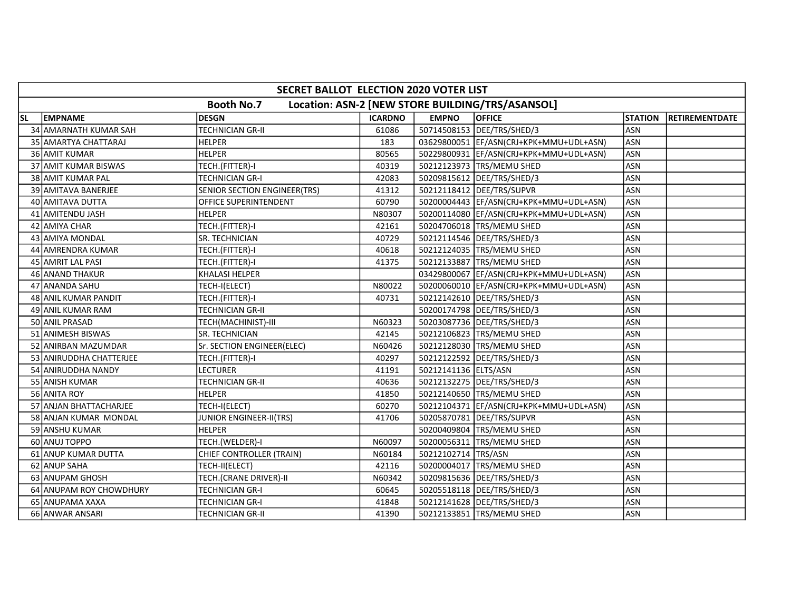|           | SECRET BALLOT ELECTION 2020 VOTER LIST                                |                              |                |                      |                                           |                |                |  |  |  |  |
|-----------|-----------------------------------------------------------------------|------------------------------|----------------|----------------------|-------------------------------------------|----------------|----------------|--|--|--|--|
|           | <b>Booth No.7</b><br>Location: ASN-2 [NEW STORE BUILDING/TRS/ASANSOL] |                              |                |                      |                                           |                |                |  |  |  |  |
| <b>SL</b> | <b>EMPNAME</b>                                                        | <b>DESGN</b>                 | <b>ICARDNO</b> | <b>EMPNO</b>         | <b>OFFICE</b>                             | <b>STATION</b> | RETIREMENTDATE |  |  |  |  |
|           | 34 AMARNATH KUMAR SAH                                                 | <b>TECHNICIAN GR-II</b>      | 61086          |                      | 50714508153 DEE/TRS/SHED/3                | <b>ASN</b>     |                |  |  |  |  |
|           | 35 AMARTYA CHATTARAJ                                                  | <b>HELPER</b>                | 183            |                      | 03629800051 EF/ASN(CRJ+KPK+MMU+UDL+ASN)   | <b>ASN</b>     |                |  |  |  |  |
|           | 36 AMIT KUMAR                                                         | <b>HELPER</b>                | 80565          |                      | 50229800931 EF/ASN(CRJ+KPK+MMU+UDL+ASN)   | ASN            |                |  |  |  |  |
|           | 37 AMIT KUMAR BISWAS                                                  | TECH.(FITTER)-I              | 40319          |                      | 50212123973 TRS/MEMU SHED                 | ASN            |                |  |  |  |  |
|           | 38 AMIT KUMAR PAL                                                     | <b>TECHNICIAN GR-I</b>       | 42083          |                      | 50209815612 DEE/TRS/SHED/3                | <b>ASN</b>     |                |  |  |  |  |
|           | 39 AMITAVA BANERJEE                                                   | SENIOR SECTION ENGINEER(TRS) | 41312          |                      | 50212118412 DEE/TRS/SUPVR                 | <b>ASN</b>     |                |  |  |  |  |
|           | 40 AMITAVA DUTTA                                                      | <b>OFFICE SUPERINTENDENT</b> | 60790          |                      | 50200004443 EF/ASN(CRJ+KPK+MMU+UDL+ASN)   | <b>ASN</b>     |                |  |  |  |  |
|           | 41 AMITENDU JASH                                                      | <b>HELPER</b>                | N80307         |                      | 50200114080   EF/ASN(CRJ+KPK+MMU+UDL+ASN) | <b>ASN</b>     |                |  |  |  |  |
|           | 42 AMIYA CHAR                                                         | TECH.(FITTER)-I              | 42161          |                      | 50204706018 TRS/MEMU SHED                 | ASN            |                |  |  |  |  |
|           | 43 AMIYA MONDAL                                                       | SR. TECHNICIAN               | 40729          |                      | 50212114546   DEE/TRS/SHED/3              | ASN            |                |  |  |  |  |
|           | 44 AMRENDRA KUMAR                                                     | TECH.(FITTER)-I              | 40618          |                      | 50212124035 TRS/MEMU SHED                 | ASN            |                |  |  |  |  |
|           | 45 AMRIT LAL PASI                                                     | TECH.(FITTER)-I              | 41375          |                      | 50212133887 TRS/MEMU SHED                 | <b>ASN</b>     |                |  |  |  |  |
|           | 46 ANAND THAKUR                                                       | <b>KHALASI HELPER</b>        |                |                      | 03429800067 EF/ASN(CRJ+KPK+MMU+UDL+ASN)   | <b>ASN</b>     |                |  |  |  |  |
|           | 47 ANANDA SAHU                                                        | TECH-I(ELECT)                | N80022         |                      | 50200060010 EF/ASN(CRJ+KPK+MMU+UDL+ASN)   | <b>ASN</b>     |                |  |  |  |  |
|           | 48 ANIL KUMAR PANDIT                                                  | TECH.(FITTER)-I              | 40731          |                      | 50212142610   DEE/TRS/SHED/3              | ASN            |                |  |  |  |  |
|           | 49 ANIL KUMAR RAM                                                     | TECHNICIAN GR-II             |                |                      | 50200174798 DEE/TRS/SHED/3                | <b>ASN</b>     |                |  |  |  |  |
|           | 50 ANIL PRASAD                                                        | TECH(MACHINIST)-III          | N60323         |                      | 50203087736   DEE/TRS/SHED/3              | <b>ASN</b>     |                |  |  |  |  |
|           | 51 ANIMESH BISWAS                                                     | SR. TECHNICIAN               | 42145          |                      | 50212106823 TRS/MEMU SHED                 | ASN            |                |  |  |  |  |
|           | 52 ANIRBAN MAZUMDAR                                                   | Sr. SECTION ENGINEER(ELEC)   | N60426         |                      | 50212128030 TRS/MEMU SHED                 | ASN            |                |  |  |  |  |
|           | 53 ANIRUDDHA CHATTERJEE                                               | TECH.(FITTER)-I              | 40297          |                      | 50212122592   DEE/TRS/SHED/3              | ASN            |                |  |  |  |  |
|           | 54 ANIRUDDHA NANDY                                                    | <b>LECTURER</b>              | 41191          | 50212141136 ELTS/ASN |                                           | <b>ASN</b>     |                |  |  |  |  |
|           | 55 ANISH KUMAR                                                        | <b>TECHNICIAN GR-II</b>      | 40636          |                      | 50212132275   DEE/TRS/SHED/3              | <b>ASN</b>     |                |  |  |  |  |
|           | 56 ANITA ROY                                                          | <b>HELPER</b>                | 41850          |                      | 50212140650 TRS/MEMU SHED                 | <b>ASN</b>     |                |  |  |  |  |
|           | 57 ANJAN BHATTACHARJEE                                                | TECH-I(ELECT)                | 60270          |                      | 50212104371 EF/ASN(CRJ+KPK+MMU+UDL+ASN)   | <b>ASN</b>     |                |  |  |  |  |
|           | 58 ANJAN KUMAR MONDAL                                                 | JUNIOR ENGINEER-II(TRS)      | 41706          |                      | 50205870781 DEE/TRS/SUPVR                 | <b>ASN</b>     |                |  |  |  |  |
|           | 59 ANSHU KUMAR                                                        | <b>HELPER</b>                |                |                      | 50200409804 TRS/MEMU SHED                 | ASN            |                |  |  |  |  |
|           | 60 ANUJ TOPPO                                                         | TECH.(WELDER)-I              | N60097         |                      | 50200056311 TRS/MEMU SHED                 | <b>ASN</b>     |                |  |  |  |  |
|           | 61 ANUP KUMAR DUTTA                                                   | CHIEF CONTROLLER (TRAIN)     | N60184         | 50212102714 TRS/ASN  |                                           | <b>ASN</b>     |                |  |  |  |  |
|           | 62 ANUP SAHA                                                          | TECH-II(ELECT)               | 42116          |                      | 50200004017 TRS/MEMU SHED                 | ASN            |                |  |  |  |  |
|           | 63 ANUPAM GHOSH                                                       | TECH.(CRANE DRIVER)-II       | N60342         |                      | 50209815636   DEE/TRS/SHED/3              | <b>ASN</b>     |                |  |  |  |  |
|           | 64 ANUPAM ROY CHOWDHURY                                               | TECHNICIAN GR-I              | 60645          |                      | 50205518118   DEE/TRS/SHED/3              | ASN            |                |  |  |  |  |
|           | 65 ANUPAMA XAXA                                                       | <b>TECHNICIAN GR-I</b>       | 41848          |                      | 50212141628   DEE/TRS/SHED/3              | ASN            |                |  |  |  |  |
|           | 66 ANWAR ANSARI                                                       | TECHNICIAN GR-II             | 41390          |                      | 50212133851 TRS/MEMU SHED                 | ASN            |                |  |  |  |  |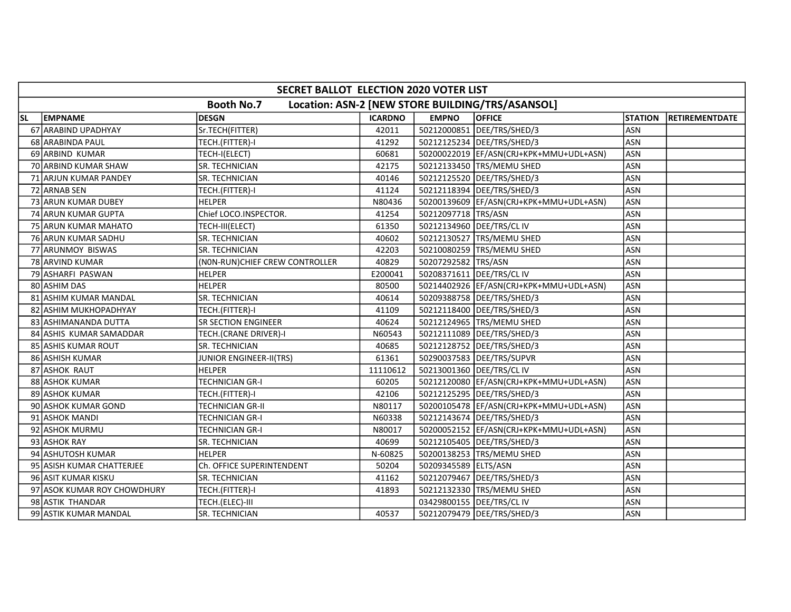|     | SECRET BALLOT ELECTION 2020 VOTER LIST |                                 |                |                           |                                                  |                |                |  |  |  |  |
|-----|----------------------------------------|---------------------------------|----------------|---------------------------|--------------------------------------------------|----------------|----------------|--|--|--|--|
|     |                                        | <b>Booth No.7</b>               |                |                           | Location: ASN-2 [NEW STORE BUILDING/TRS/ASANSOL] |                |                |  |  |  |  |
| SL. | <b>EMPNAME</b>                         | <b>DESGN</b>                    | <b>ICARDNO</b> | <b>EMPNO</b>              | <b>OFFICE</b>                                    | <b>STATION</b> | RETIREMENTDATE |  |  |  |  |
|     | 67 ARABIND UPADHYAY                    | Sr.TECH(FITTER)                 | 42011          |                           | 50212000851 DEE/TRS/SHED/3                       | <b>ASN</b>     |                |  |  |  |  |
|     | 68 ARABINDA PAUL                       | TECH.(FITTER)-I                 | 41292          |                           | 50212125234 DEE/TRS/SHED/3                       | ASN            |                |  |  |  |  |
|     | 69 ARBIND KUMAR                        | TECH-I(ELECT)                   | 60681          |                           | 50200022019 EF/ASN(CRJ+KPK+MMU+UDL+ASN)          | <b>ASN</b>     |                |  |  |  |  |
|     | 70 ARBIND KUMAR SHAW                   | <b>SR. TECHNICIAN</b>           | 42175          |                           | 50212133450 TRS/MEMU SHED                        | ASN            |                |  |  |  |  |
|     | 71 ARJUN KUMAR PANDEY                  | <b>SR. TECHNICIAN</b>           | 40146          |                           | 50212125520 DEE/TRS/SHED/3                       | ASN            |                |  |  |  |  |
|     | 72 ARNAB SEN                           | TECH.(FITTER)-I                 | 41124          |                           | 50212118394   DEE/TRS/SHED/3                     | ASN            |                |  |  |  |  |
|     | 73 ARUN KUMAR DUBEY                    | <b>HELPER</b>                   | N80436         |                           | 50200139609   EF/ASN(CRJ+KPK+MMU+UDL+ASN)        | ASN            |                |  |  |  |  |
|     | 74 ARUN KUMAR GUPTA                    | Chief LOCO.INSPECTOR.           | 41254          | 50212097718 TRS/ASN       |                                                  | <b>ASN</b>     |                |  |  |  |  |
|     | 75 ARUN KUMAR MAHATO                   | TECH-III(ELECT)                 | 61350          |                           | 50212134960 DEE/TRS/CL IV                        | <b>ASN</b>     |                |  |  |  |  |
|     | 76 ARUN KUMAR SADHU                    | SR. TECHNICIAN                  | 40602          |                           | 50212130527 TRS/MEMU SHED                        | ASN            |                |  |  |  |  |
|     | 77 ARUNMOY BISWAS                      | SR. TECHNICIAN                  | 42203          |                           | 50210080259 TRS/MEMU SHED                        | ASN            |                |  |  |  |  |
|     | 78 ARVIND KUMAR                        | (NON-RUN) CHIEF CREW CONTROLLER | 40829          | 50207292582 TRS/ASN       |                                                  | <b>ASN</b>     |                |  |  |  |  |
|     | 79 ASHARFI PASWAN                      | <b>HELPER</b>                   | E200041        | 50208371611 DEE/TRS/CL IV |                                                  | <b>ASN</b>     |                |  |  |  |  |
|     | 80 ASHIM DAS                           | HELPER                          | 80500          |                           | 50214402926  EF/ASN(CRJ+KPK+MMU+UDL+ASN)         | <b>ASN</b>     |                |  |  |  |  |
|     | 81 ASHIM KUMAR MANDAL                  | SR. TECHNICIAN                  | 40614          |                           | 50209388758   DEE/TRS/SHED/3                     | <b>ASN</b>     |                |  |  |  |  |
|     | 82 ASHIM MUKHOPADHYAY                  | TECH.(FITTER)-I                 | 41109          |                           | 50212118400   DEE/TRS/SHED/3                     | ASN            |                |  |  |  |  |
|     | 83 ASHIMANANDA DUTTA                   | <b>SR SECTION ENGINEER</b>      | 40624          |                           | 50212124965 TRS/MEMU SHED                        | <b>ASN</b>     |                |  |  |  |  |
|     | 84 ASHIS KUMAR SAMADDAR                | TECH.(CRANE DRIVER)-I           | N60543         |                           | 50212111089   DEE/TRS/SHED/3                     | <b>ASN</b>     |                |  |  |  |  |
|     | 85 ASHIS KUMAR ROUT                    | <b>SR. TECHNICIAN</b>           | 40685          |                           | 50212128752 DEE/TRS/SHED/3                       | ASN            |                |  |  |  |  |
|     | 86 ASHISH KUMAR                        | JUNIOR ENGINEER-II(TRS)         | 61361          |                           | 50290037583 DEE/TRS/SUPVR                        | <b>ASN</b>     |                |  |  |  |  |
|     | 87 ASHOK RAUT                          | <b>HELPER</b>                   | 11110612       |                           | 50213001360 DEE/TRS/CL IV                        | <b>ASN</b>     |                |  |  |  |  |
|     | 88 ASHOK KUMAR                         | <b>TECHNICIAN GR-I</b>          | 60205          |                           | 50212120080 EF/ASN(CRJ+KPK+MMU+UDL+ASN)          | <b>ASN</b>     |                |  |  |  |  |
|     | 89 ASHOK KUMAR                         | TECH.(FITTER)-I                 | 42106          |                           | 50212125295   DEE/TRS/SHED/3                     | <b>ASN</b>     |                |  |  |  |  |
|     | 90 ASHOK KUMAR GOND                    | <b>TECHNICIAN GR-II</b>         | N80117         |                           | 50200105478 EF/ASN(CRJ+KPK+MMU+UDL+ASN)          | <b>ASN</b>     |                |  |  |  |  |
|     | 91 ASHOK MANDI                         | TECHNICIAN GR-I                 | N60338         |                           | 50212143674 DEE/TRS/SHED/3                       | ASN            |                |  |  |  |  |
|     | 92 ASHOK MURMU                         | TECHNICIAN GR-I                 | N80017         |                           | 50200052152  EF/ASN(CRJ+KPK+MMU+UDL+ASN)         | <b>ASN</b>     |                |  |  |  |  |
|     | 93 ASHOK RAY                           | SR. TECHNICIAN                  | 40699          |                           | 50212105405   DEE/TRS/SHED/3                     | ASN            |                |  |  |  |  |
|     | 94 ASHUTOSH KUMAR                      | <b>HELPER</b>                   | N-60825        |                           | 50200138253 TRS/MEMU SHED                        | <b>ASN</b>     |                |  |  |  |  |
|     | 95 ASISH KUMAR CHATTERJEE              | Ch. OFFICE SUPERINTENDENT       | 50204          | 50209345589 ELTS/ASN      |                                                  | <b>ASN</b>     |                |  |  |  |  |
|     | 96 ASIT KUMAR KISKU                    | <b>SR. TECHNICIAN</b>           | 41162          |                           | 50212079467   DEE/TRS/SHED/3                     | ASN            |                |  |  |  |  |
|     | 97 ASOK KUMAR ROY CHOWDHURY            | TECH.(FITTER)-I                 | 41893          |                           | 50212132330 TRS/MEMU SHED                        | ASN            |                |  |  |  |  |
|     | 98 ASTIK THANDAR                       | TECH.(ELEC)-III                 |                |                           | 03429800155 DEE/TRS/CL IV                        | ASN            |                |  |  |  |  |
|     | 99 ASTIK KUMAR MANDAL                  | SR. TECHNICIAN                  | 40537          |                           | 50212079479   DEE/TRS/SHED/3                     | <b>ASN</b>     |                |  |  |  |  |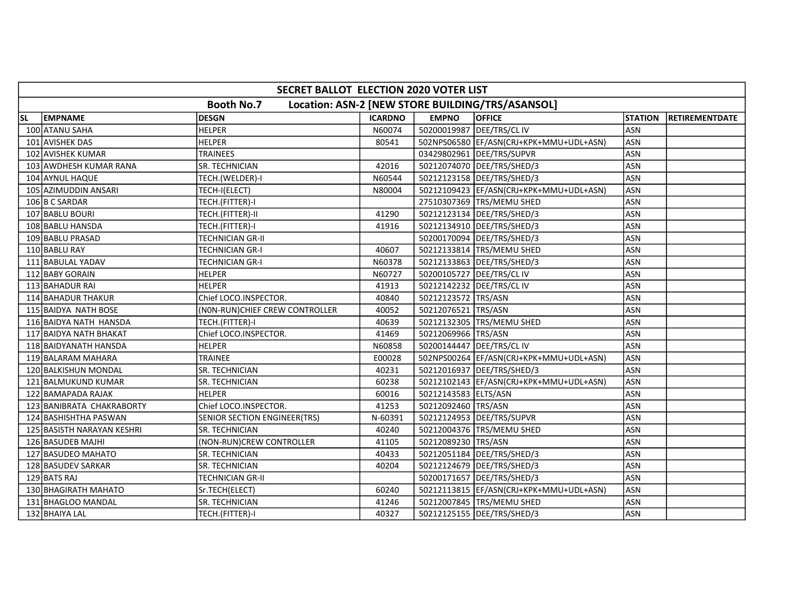|           | SECRET BALLOT ELECTION 2020 VOTER LIST                                |                                 |                |                           |                                          |                |                |  |  |  |  |
|-----------|-----------------------------------------------------------------------|---------------------------------|----------------|---------------------------|------------------------------------------|----------------|----------------|--|--|--|--|
|           | <b>Booth No.7</b><br>Location: ASN-2 [NEW STORE BUILDING/TRS/ASANSOL] |                                 |                |                           |                                          |                |                |  |  |  |  |
| <b>SL</b> | <b>EMPNAME</b>                                                        | <b>DESGN</b>                    | <b>ICARDNO</b> | <b>EMPNO</b>              | <b>OFFICE</b>                            | <b>STATION</b> | RETIREMENTDATE |  |  |  |  |
|           | 100 ATANU SAHA                                                        | <b>HELPER</b>                   | N60074         | 50200019987 DEE/TRS/CL IV |                                          | <b>ASN</b>     |                |  |  |  |  |
|           | 101 AVISHEK DAS                                                       | <b>HELPER</b>                   | 80541          |                           | 502NPS06580 EF/ASN(CRJ+KPK+MMU+UDL+ASN)  | <b>ASN</b>     |                |  |  |  |  |
|           | 102 AVISHEK KUMAR                                                     | <b>TRAINEES</b>                 |                |                           | 03429802961 DEE/TRS/SUPVR                | <b>ASN</b>     |                |  |  |  |  |
|           | 103 AWDHESH KUMAR RANA                                                | <b>SR. TECHNICIAN</b>           | 42016          |                           | 50212074070 DEE/TRS/SHED/3               | <b>ASN</b>     |                |  |  |  |  |
|           | 104 AYNUL HAQUE                                                       | TECH.(WELDER)-I                 | N60544         |                           | 50212123158   DEE/TRS/SHED/3             | <b>ASN</b>     |                |  |  |  |  |
|           | 105 AZIMUDDIN ANSARI                                                  | TECH-I(ELECT)                   | N80004         |                           | 50212109423  EF/ASN(CRJ+KPK+MMU+UDL+ASN) | <b>ASN</b>     |                |  |  |  |  |
|           | 106 B C SARDAR                                                        | TECH.(FITTER)-I                 |                |                           | 27510307369   TRS/MEMU SHED              | ASN            |                |  |  |  |  |
|           | 107 BABLU BOURI                                                       | TECH.(FITTER)-II                | 41290          |                           | 50212123134   DEE/TRS/SHED/3             | <b>ASN</b>     |                |  |  |  |  |
|           | 108 BABLU HANSDA                                                      | TECH.(FITTER)-I                 | 41916          |                           | 50212134910   DEE/TRS/SHED/3             | <b>ASN</b>     |                |  |  |  |  |
|           | 109 BABLU PRASAD                                                      | <b>TECHNICIAN GR-II</b>         |                |                           | 50200170094   DEE/TRS/SHED/3             | <b>ASN</b>     |                |  |  |  |  |
|           | 110 BABLU RAY                                                         | <b>TECHNICIAN GR-I</b>          | 40607          |                           | 50212133814 TRS/MEMU SHED                | <b>ASN</b>     |                |  |  |  |  |
|           | 111 BABULAL YADAV                                                     | <b>TECHNICIAN GR-I</b>          | N60378         |                           | 50212133863   DEE/TRS/SHED/3             | <b>ASN</b>     |                |  |  |  |  |
|           | 112 BABY GORAIN                                                       | HELPER                          | N60727         |                           | 50200105727   DEE/TRS/CL IV              | <b>ASN</b>     |                |  |  |  |  |
|           | 113 BAHADUR RAI                                                       | <b>HELPER</b>                   | 41913          |                           | 50212142232 DEE/TRS/CL IV                | ASN            |                |  |  |  |  |
|           | 114 BAHADUR THAKUR                                                    | Chief LOCO.INSPECTOR.           | 40840          | 50212123572  TRS/ASN      |                                          | ASN            |                |  |  |  |  |
|           | 115 BAIDYA NATH BOSE                                                  | (NON-RUN) CHIEF CREW CONTROLLER | 40052          | 50212076521 TRS/ASN       |                                          | <b>ASN</b>     |                |  |  |  |  |
|           | 116 BAIDYA NATH HANSDA                                                | TECH.(FITTER)-I                 | 40639          |                           | 50212132305 TRS/MEMU SHED                | <b>ASN</b>     |                |  |  |  |  |
|           | 117 BAIDYA NATH BHAKAT                                                | Chief LOCO.INSPECTOR.           | 41469          | 50212069966 TRS/ASN       |                                          | ASN            |                |  |  |  |  |
|           | 118 BAIDYANATH HANSDA                                                 | <b>HELPER</b>                   | N60858         |                           | 50200144447   DEE/TRS/CL IV              | <b>ASN</b>     |                |  |  |  |  |
|           | 119 BALARAM MAHARA                                                    | TRAINEE                         | E00028         |                           | 502NPS00264  EF/ASN(CRJ+KPK+MMU+UDL+ASN) | ASN            |                |  |  |  |  |
|           | 120 BALKISHUN MONDAL                                                  | SR. TECHNICIAN                  | 40231          |                           | 50212016937   DEE/TRS/SHED/3             | ASN            |                |  |  |  |  |
|           | 121 BALMUKUND KUMAR                                                   | SR. TECHNICIAN                  | 60238          |                           | 50212102143  EF/ASN(CRJ+KPK+MMU+UDL+ASN) | ASN            |                |  |  |  |  |
|           | 122 BAMAPADA RAJAK                                                    | <b>HELPER</b>                   | 60016          | 50212143583 ELTS/ASN      |                                          | ASN            |                |  |  |  |  |
|           | 123 BANIBRATA CHAKRABORTY                                             | Chief LOCO.INSPECTOR.           | 41253          | 50212092460 TRS/ASN       |                                          | ASN            |                |  |  |  |  |
|           | 124 BASHISHTHA PASWAN                                                 | SENIOR SECTION ENGINEER(TRS)    | N-60391        |                           | 50212124953 DEE/TRS/SUPVR                | <b>ASN</b>     |                |  |  |  |  |
|           | 125 BASISTH NARAYAN KESHRI                                            | SR. TECHNICIAN                  | 40240          |                           | 50212004376 TRS/MEMU SHED                | <b>ASN</b>     |                |  |  |  |  |
|           | 126 BASUDEB MAJHI                                                     | (NON-RUN)CREW CONTROLLER        | 41105          | 50212089230 TRS/ASN       |                                          | <b>ASN</b>     |                |  |  |  |  |
|           | 127 BASUDEO MAHATO                                                    | SR. TECHNICIAN                  | 40433          |                           | 50212051184   DEE/TRS/SHED/3             | <b>ASN</b>     |                |  |  |  |  |
|           | 128 BASUDEV SARKAR                                                    | SR. TECHNICIAN                  | 40204          |                           | 50212124679 DEE/TRS/SHED/3               | <b>ASN</b>     |                |  |  |  |  |
|           | 129 BATS RAJ                                                          | <b>TECHNICIAN GR-II</b>         |                |                           | 50200171657   DEE/TRS/SHED/3             | ASN            |                |  |  |  |  |
|           | 130 BHAGIRATH MAHATO                                                  | Sr.TECH(ELECT)                  | 60240          |                           | 50212113815 EF/ASN(CRJ+KPK+MMU+UDL+ASN)  | <b>ASN</b>     |                |  |  |  |  |
|           | 131 BHAGLOO MANDAL                                                    | <b>SR. TECHNICIAN</b>           | 41246          |                           | 50212007845 TRS/MEMU SHED                | <b>ASN</b>     |                |  |  |  |  |
|           | 132 BHAIYA LAL                                                        | TECH.(FITTER)-I                 | 40327          |                           | 50212125155   DEE/TRS/SHED/3             | ASN            |                |  |  |  |  |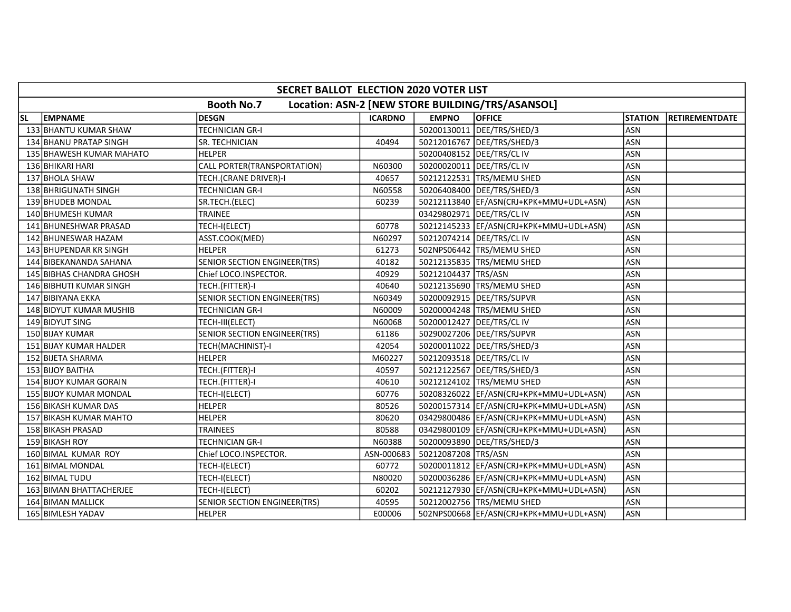|           | SECRET BALLOT ELECTION 2020 VOTER LIST |                                     |                |                             |                                                  |                |                |  |  |  |  |
|-----------|----------------------------------------|-------------------------------------|----------------|-----------------------------|--------------------------------------------------|----------------|----------------|--|--|--|--|
|           |                                        | <b>Booth No.7</b>                   |                |                             | Location: ASN-2 [NEW STORE BUILDING/TRS/ASANSOL] |                |                |  |  |  |  |
| <b>SL</b> | <b>EMPNAME</b>                         | <b>DESGN</b>                        | <b>ICARDNO</b> | <b>EMPNO</b>                | <b>OFFICE</b>                                    | <b>STATION</b> | RETIREMENTDATE |  |  |  |  |
|           | 133 BHANTU KUMAR SHAW                  | <b>TECHNICIAN GR-I</b>              |                |                             | 50200130011 DEE/TRS/SHED/3                       | <b>ASN</b>     |                |  |  |  |  |
|           | 134 BHANU PRATAP SINGH                 | SR. TECHNICIAN                      | 40494          |                             | 50212016767   DEE/TRS/SHED/3                     | <b>ASN</b>     |                |  |  |  |  |
|           | 135 BHAWESH KUMAR MAHATO               | <b>HELPER</b>                       |                |                             | 50200408152 DEE/TRS/CL IV                        | <b>ASN</b>     |                |  |  |  |  |
|           | 136 BHIKARI HARI                       | CALL PORTER(TRANSPORTATION)         | N60300         | 50200020011   DEE/TRS/CL IV |                                                  | ASN            |                |  |  |  |  |
|           | 137 BHOLA SHAW                         | TECH.(CRANE DRIVER)-I               | 40657          |                             | 50212122531 TRS/MEMU SHED                        | <b>ASN</b>     |                |  |  |  |  |
|           | 138 BHRIGUNATH SINGH                   | <b>TECHNICIAN GR-I</b>              | N60558         |                             | 50206408400   DEE/TRS/SHED/3                     | ASN            |                |  |  |  |  |
|           | 139 BHUDEB MONDAL                      | SR.TECH.(ELEC)                      | 60239          |                             | 50212113840   EF/ASN(CRJ+KPK+MMU+UDL+ASN)        | <b>ASN</b>     |                |  |  |  |  |
|           | 140 BHUMESH KUMAR                      | <b>TRAINEE</b>                      |                |                             | 03429802971 DEE/TRS/CLIV                         | <b>ASN</b>     |                |  |  |  |  |
|           | 141 BHUNESHWAR PRASAD                  | TECH-I(ELECT)                       | 60778          |                             | 50212145233 EF/ASN(CRJ+KPK+MMU+UDL+ASN)          | <b>ASN</b>     |                |  |  |  |  |
|           | 142 BHUNESWAR HAZAM                    | ASST.COOK(MED)                      | N60297         |                             | 50212074214   DEE/TRS/CL IV                      | <b>ASN</b>     |                |  |  |  |  |
|           | 143 BHUPENDAR KR SINGH                 | <b>HELPER</b>                       | 61273          |                             | 502NPS06442 TRS/MEMU SHED                        | <b>ASN</b>     |                |  |  |  |  |
|           | 144 BIBEKANANDA SAHANA                 | SENIOR SECTION ENGINEER(TRS)        | 40182          |                             | 50212135835   TRS/MEMU SHED                      | ASN            |                |  |  |  |  |
|           | 145 BIBHAS CHANDRA GHOSH               | Chief LOCO.INSPECTOR.               | 40929          | 50212104437 TRS/ASN         |                                                  | <b>ASN</b>     |                |  |  |  |  |
|           | 146 BIBHUTI KUMAR SINGH                | TECH.(FITTER)-I                     | 40640          |                             | 50212135690 TRS/MEMU SHED                        | <b>ASN</b>     |                |  |  |  |  |
|           | 147 BIBIYANA EKKA                      | SENIOR SECTION ENGINEER(TRS)        | N60349         |                             | 50200092915 DEE/TRS/SUPVR                        | ASN            |                |  |  |  |  |
|           | 148 BIDYUT KUMAR MUSHIB                | TECHNICIAN GR-I                     | N60009         |                             | 50200004248 TRS/MEMU SHED                        | <b>ASN</b>     |                |  |  |  |  |
|           | 149 BIDYUT SING                        | TECH-III(ELECT)                     | N60068         |                             | 50200012427   DEE/TRS/CL IV                      | ASN            |                |  |  |  |  |
|           | 150 BIJAY KUMAR                        | SENIOR SECTION ENGINEER(TRS)        | 61186          |                             | 50290027206 DEE/TRS/SUPVR                        | ASN            |                |  |  |  |  |
|           | 151 BIJAY KUMAR HALDER                 | TECH(MACHINIST)-I                   | 42054          |                             | 50200011022 DEE/TRS/SHED/3                       | <b>ASN</b>     |                |  |  |  |  |
|           | 152 BIJETA SHARMA                      | <b>HELPER</b>                       | M60227         |                             | 50212093518   DEE/TRS/CL IV                      | <b>ASN</b>     |                |  |  |  |  |
|           | 153 BIJOY BAITHA                       | TECH.(FITTER)-I                     | 40597          |                             | 50212122567   DEE/TRS/SHED/3                     | <b>ASN</b>     |                |  |  |  |  |
|           | 154 BIJOY KUMAR GORAIN                 | TECH.(FITTER)-I                     | 40610          |                             | 50212124102 TRS/MEMU SHED                        | <b>ASN</b>     |                |  |  |  |  |
|           | 155 BIJOY KUMAR MONDAL                 | TECH-I(ELECT)                       | 60776          |                             | 50208326022 EF/ASN(CRJ+KPK+MMU+UDL+ASN)          | <b>ASN</b>     |                |  |  |  |  |
|           | 156 BIKASH KUMAR DAS                   | <b>HELPER</b>                       | 80526          |                             | 50200157314   EF/ASN(CRJ+KPK+MMU+UDL+ASN)        | <b>ASN</b>     |                |  |  |  |  |
|           | 157 BIKASH KUMAR MAHTO                 | <b>HELPER</b>                       | 80620          |                             | 03429800486 EF/ASN(CRJ+KPK+MMU+UDL+ASN)          | ASN            |                |  |  |  |  |
|           | 158 BIKASH PRASAD                      | TRAINEES                            | 80588          |                             | 03429800109 EF/ASN(CRJ+KPK+MMU+UDL+ASN)          | <b>ASN</b>     |                |  |  |  |  |
|           | 159 BIKASH ROY                         | <b>TECHNICIAN GR-I</b>              | N60388         |                             | 50200093890 DEE/TRS/SHED/3                       | <b>ASN</b>     |                |  |  |  |  |
|           | 160 BIMAL KUMAR ROY                    | Chief LOCO.INSPECTOR.               | ASN-000683     | 50212087208 TRS/ASN         |                                                  | <b>ASN</b>     |                |  |  |  |  |
|           | 161 BIMAL MONDAL                       | TECH-I(ELECT)                       | 60772          |                             | 50200011812  EF/ASN(CRJ+KPK+MMU+UDL+ASN)         | <b>ASN</b>     |                |  |  |  |  |
|           | 162 BIMAL TUDU                         | TECH-I(ELECT)                       | N80020         |                             | 50200036286  EF/ASN(CRJ+KPK+MMU+UDL+ASN)         | <b>ASN</b>     |                |  |  |  |  |
|           | 163 BIMAN BHATTACHERJEE                | TECH-I(ELECT)                       | 60202          |                             | 50212127930 EF/ASN(CRJ+KPK+MMU+UDL+ASN)          | <b>ASN</b>     |                |  |  |  |  |
|           | 164 BIMAN MALLICK                      | <b>SENIOR SECTION ENGINEER(TRS)</b> | 40595          |                             | 50212002756 TRS/MEMU SHED                        | <b>ASN</b>     |                |  |  |  |  |
|           | 165 BIMLESH YADAV                      | <b>HELPER</b>                       | E00006         |                             | 502NPS00668 EF/ASN(CRJ+KPK+MMU+UDL+ASN)          | ASN            |                |  |  |  |  |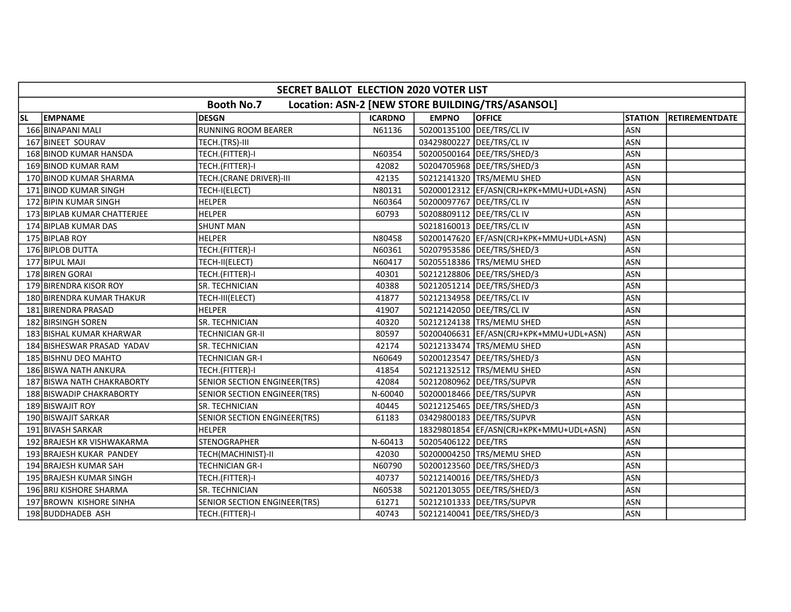|           | SECRET BALLOT ELECTION 2020 VOTER LIST                                |                                     |                |                             |                                          |                |                        |  |  |  |  |
|-----------|-----------------------------------------------------------------------|-------------------------------------|----------------|-----------------------------|------------------------------------------|----------------|------------------------|--|--|--|--|
|           | <b>Booth No.7</b><br>Location: ASN-2 [NEW STORE BUILDING/TRS/ASANSOL] |                                     |                |                             |                                          |                |                        |  |  |  |  |
| <b>SL</b> | <b>EMPNAME</b>                                                        | <b>DESGN</b>                        | <b>ICARDNO</b> | <b>EMPNO</b>                | <b>OFFICE</b>                            | <b>STATION</b> | <b>IRETIREMENTDATE</b> |  |  |  |  |
|           | 166 BINAPANI MALI                                                     | <b>RUNNING ROOM BEARER</b>          | N61136         |                             | 50200135100 DEE/TRS/CL IV                | <b>ASN</b>     |                        |  |  |  |  |
|           | 167 BINEET SOURAV                                                     | TECH.(TRS)-III                      |                | 03429800227   DEE/TRS/CL IV |                                          | ASN            |                        |  |  |  |  |
|           | 168 BINOD KUMAR HANSDA                                                | TECH.(FITTER)-I                     | N60354         |                             | 50200500164 DEE/TRS/SHED/3               | <b>ASN</b>     |                        |  |  |  |  |
|           | 169 BINOD KUMAR RAM                                                   | TECH.(FITTER)-I                     | 42082          |                             | 50204705968 DEE/TRS/SHED/3               | <b>ASN</b>     |                        |  |  |  |  |
|           | 170 BINOD KUMAR SHARMA                                                | TECH.(CRANE DRIVER)-III             | 42135          |                             | 50212141320 TRS/MEMU SHED                | <b>ASN</b>     |                        |  |  |  |  |
|           | 171 BINOD KUMAR SINGH                                                 | TECH-I(ELECT)                       | N80131         |                             | 50200012312  EF/ASN(CRJ+KPK+MMU+UDL+ASN) | <b>ASN</b>     |                        |  |  |  |  |
|           | 172 BIPIN KUMAR SINGH                                                 | <b>HELPER</b>                       | N60364         |                             | 50200097767   DEE/TRS/CL IV              | <b>ASN</b>     |                        |  |  |  |  |
|           | 173 BIPLAB KUMAR CHATTERJEE                                           | <b>HELPER</b>                       | 60793          |                             | 50208809112   DEE/TRS/CL IV              | <b>ASN</b>     |                        |  |  |  |  |
|           | 174 BIPLAB KUMAR DAS                                                  | <b>SHUNT MAN</b>                    |                | 50218160013 DEE/TRS/CL IV   |                                          | <b>ASN</b>     |                        |  |  |  |  |
|           | 175 BIPLAB ROY                                                        | <b>HELPER</b>                       | N80458         |                             | 50200147620  EF/ASN(CRJ+KPK+MMU+UDL+ASN) | <b>ASN</b>     |                        |  |  |  |  |
|           | 176 BIPLOB DUTTA                                                      | TECH.(FITTER)-I                     | N60361         |                             | 50207953586 DEE/TRS/SHED/3               | <b>ASN</b>     |                        |  |  |  |  |
|           | 177 BIPUL MAJI                                                        | TECH-II(ELECT)                      | N60417         |                             | 50205518386   TRS/MEMU SHED              | <b>ASN</b>     |                        |  |  |  |  |
|           | 178 BIREN GORAI                                                       | TECH.(FITTER)-I                     | 40301          |                             | 50212128806   DEE/TRS/SHED/3             | <b>ASN</b>     |                        |  |  |  |  |
|           | 179 BIRENDRA KISOR ROY                                                | SR. TECHNICIAN                      | 40388          |                             | 50212051214   DEE/TRS/SHED/3             | <b>ASN</b>     |                        |  |  |  |  |
|           | 180 BIRENDRA KUMAR THAKUR                                             | TECH-III(ELECT)                     | 41877          | 50212134958   DEE/TRS/CL IV |                                          | <b>ASN</b>     |                        |  |  |  |  |
|           | 181 BIRENDRA PRASAD                                                   | <b>HELPER</b>                       | 41907          |                             | 50212142050 DEE/TRS/CL IV                | <b>ASN</b>     |                        |  |  |  |  |
|           | 182 BIRSINGH SOREN                                                    | SR. TECHNICIAN                      | 40320          |                             | 50212124138  TRS/MEMU SHED               | <b>ASN</b>     |                        |  |  |  |  |
|           | 183 BISHAL KUMAR KHARWAR                                              | TECHNICIAN GR-II                    | 80597          |                             | 50200406631  EF/ASN(CRJ+KPK+MMU+UDL+ASN) | <b>ASN</b>     |                        |  |  |  |  |
|           | 184 BISHESWAR PRASAD YADAV                                            | SR. TECHNICIAN                      | 42174          |                             | 50212133474 TRS/MEMU SHED                | <b>ASN</b>     |                        |  |  |  |  |
|           | 185 BISHNU DEO MAHTO                                                  | <b>TECHNICIAN GR-I</b>              | N60649         |                             | 50200123547   DEE/TRS/SHED/3             | <b>ASN</b>     |                        |  |  |  |  |
|           | 186 BISWA NATH ANKURA                                                 | TECH.(FITTER)-I                     | 41854          |                             | 50212132512 TRS/MEMU SHED                | <b>ASN</b>     |                        |  |  |  |  |
|           | 187 BISWA NATH CHAKRABORTY                                            | SENIOR SECTION ENGINEER(TRS)        | 42084          |                             | 50212080962 DEE/TRS/SUPVR                | <b>ASN</b>     |                        |  |  |  |  |
|           | 188 BISWADIP CHAKRABORTY                                              | SENIOR SECTION ENGINEER(TRS)        | N-60040        |                             | 50200018466 DEE/TRS/SUPVR                | ASN            |                        |  |  |  |  |
|           | 189 BISWAJIT ROY                                                      | SR. TECHNICIAN                      | 40445          |                             | 50212125465   DEE/TRS/SHED/3             | <b>ASN</b>     |                        |  |  |  |  |
|           | 190 BISWAJIT SARKAR                                                   | <b>SENIOR SECTION ENGINEER(TRS)</b> | 61183          |                             | 03429800183 DEE/TRS/SUPVR                | <b>ASN</b>     |                        |  |  |  |  |
|           | 191 BIVASH SARKAR                                                     | <b>HELPER</b>                       |                |                             | 18329801854 EF/ASN(CRJ+KPK+MMU+UDL+ASN)  | <b>ASN</b>     |                        |  |  |  |  |
|           | 192 BRAJESH KR VISHWAKARMA                                            | <b>STENOGRAPHER</b>                 | N-60413        | 50205406122 DEE/TRS         |                                          | <b>ASN</b>     |                        |  |  |  |  |
|           | 193 BRAJESH KUKAR PANDEY                                              | TECH(MACHINIST)-II                  | 42030          |                             | 50200004250 TRS/MEMU SHED                | <b>ASN</b>     |                        |  |  |  |  |
|           | 194 BRAJESH KUMAR SAH                                                 | <b>TECHNICIAN GR-I</b>              | N60790         |                             | 50200123560 DEE/TRS/SHED/3               | <b>ASN</b>     |                        |  |  |  |  |
|           | 195 BRAJESH KUMAR SINGH                                               | TECH.(FITTER)-I                     | 40737          |                             | 50212140016   DEE/TRS/SHED/3             | <b>ASN</b>     |                        |  |  |  |  |
|           | 196 BRIJ KISHORE SHARMA                                               | SR. TECHNICIAN                      | N60538         |                             | 50212013055   DEE/TRS/SHED/3             | <b>ASN</b>     |                        |  |  |  |  |
|           | 197 BROWN KISHORE SINHA                                               | SENIOR SECTION ENGINEER(TRS)        | 61271          |                             | 50212101333 DEE/TRS/SUPVR                | <b>ASN</b>     |                        |  |  |  |  |
|           | 198 BUDDHADEB ASH                                                     | TECH.(FITTER)-I                     | 40743          |                             | 50212140041   DEE/TRS/SHED/3             | <b>ASN</b>     |                        |  |  |  |  |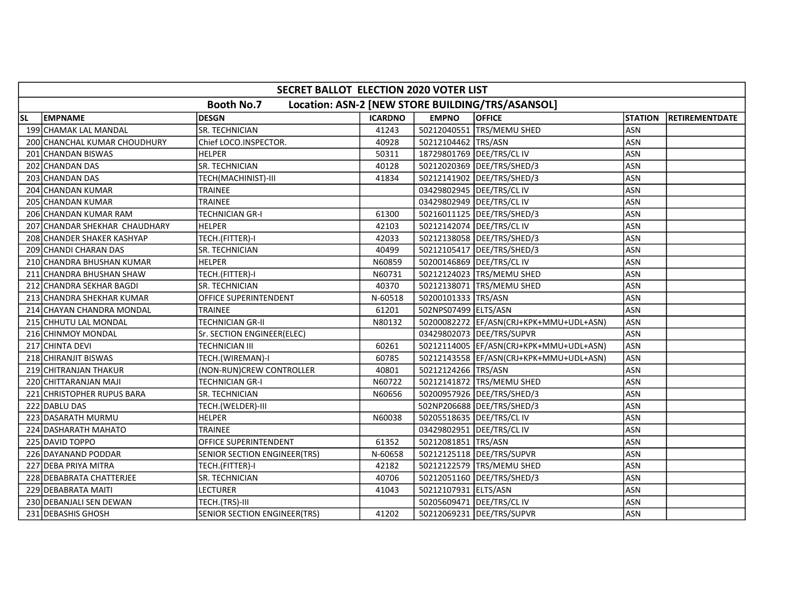|           | SECRET BALLOT ELECTION 2020 VOTER LIST                                |                              |                |                      |                                          |                |                        |  |  |  |  |
|-----------|-----------------------------------------------------------------------|------------------------------|----------------|----------------------|------------------------------------------|----------------|------------------------|--|--|--|--|
|           | <b>Booth No.7</b><br>Location: ASN-2 [NEW STORE BUILDING/TRS/ASANSOL] |                              |                |                      |                                          |                |                        |  |  |  |  |
| <b>SL</b> | <b>EMPNAME</b>                                                        | <b>DESGN</b>                 | <b>ICARDNO</b> | <b>EMPNO</b>         | <b>OFFICE</b>                            | <b>STATION</b> | <b>IRETIREMENTDATE</b> |  |  |  |  |
|           | 199 CHAMAK LAL MANDAL                                                 | <b>SR. TECHNICIAN</b>        | 41243          |                      | 50212040551 TRS/MEMU SHED                | <b>ASN</b>     |                        |  |  |  |  |
|           | 200 CHANCHAL KUMAR CHOUDHURY                                          | Chief LOCO.INSPECTOR.        | 40928          | 50212104462 TRS/ASN  |                                          | <b>ASN</b>     |                        |  |  |  |  |
|           | 201 CHANDAN BISWAS                                                    | <b>HELPER</b>                | 50311          |                      | 18729801769 DEE/TRS/CL IV                | ASN            |                        |  |  |  |  |
|           | 202 CHANDAN DAS                                                       | SR. TECHNICIAN               | 40128          |                      | 50212020369 DEE/TRS/SHED/3               | ASN            |                        |  |  |  |  |
|           | 203 CHANDAN DAS                                                       | TECH(MACHINIST)-III          | 41834          |                      | 50212141902 DEE/TRS/SHED/3               | ASN            |                        |  |  |  |  |
|           | 204 CHANDAN KUMAR                                                     | TRAINEE                      |                |                      | 03429802945   DEE/TRS/CL IV              | ASN            |                        |  |  |  |  |
|           | 205 CHANDAN KUMAR                                                     | <b>TRAINEE</b>               |                |                      | 03429802949 DEE/TRS/CLIV                 | ASN            |                        |  |  |  |  |
|           | 206 CHANDAN KUMAR RAM                                                 | <b>TECHNICIAN GR-I</b>       | 61300          |                      | 50216011125   DEE/TRS/SHED/3             | <b>ASN</b>     |                        |  |  |  |  |
|           | 207 CHANDAR SHEKHAR CHAUDHARY                                         | <b>HELPER</b>                | 42103          |                      | 50212142074   DEE/TRS/CL IV              | <b>ASN</b>     |                        |  |  |  |  |
|           | 208 CHANDER SHAKER KASHYAP                                            | TECH.(FITTER)-I              | 42033          |                      | 50212138058   DEE/TRS/SHED/3             | <b>ASN</b>     |                        |  |  |  |  |
|           | 209 CHANDI CHARAN DAS                                                 | SR. TECHNICIAN               | 40499          |                      | 50212105417   DEE/TRS/SHED/3             | <b>ASN</b>     |                        |  |  |  |  |
|           | 210 CHANDRA BHUSHAN KUMAR                                             | <b>HELPER</b>                | N60859         |                      | 50200146869   DEE/TRS/CL IV              | ASN            |                        |  |  |  |  |
|           | 211 CHANDRA BHUSHAN SHAW                                              | TECH.(FITTER)-I              | N60731         |                      | 50212124023 TRS/MEMU SHED                | <b>ASN</b>     |                        |  |  |  |  |
|           | 212 CHANDRA SEKHAR BAGDI                                              | <b>SR. TECHNICIAN</b>        | 40370          |                      | 50212138071 TRS/MEMU SHED                | ASN            |                        |  |  |  |  |
|           | 213 CHANDRA SHEKHAR KUMAR                                             | OFFICE SUPERINTENDENT        | N-60518        | 50200101333 TRS/ASN  |                                          | <b>ASN</b>     |                        |  |  |  |  |
|           | 214 CHAYAN CHANDRA MONDAL                                             | TRAINEE                      | 61201          | 502NPS07499 ELTS/ASN |                                          | ASN            |                        |  |  |  |  |
|           | 215 CHHUTU LAL MONDAL                                                 | TECHNICIAN GR-II             | N80132         |                      | 50200082272  EF/ASN(CRJ+KPK+MMU+UDL+ASN) | <b>ASN</b>     |                        |  |  |  |  |
|           | 216 CHINMOY MONDAL                                                    | Sr. SECTION ENGINEER(ELEC)   |                |                      | 03429802073 DEE/TRS/SUPVR                | <b>ASN</b>     |                        |  |  |  |  |
|           | 217 CHINTA DEVI                                                       | TECHNICIAN III               | 60261          |                      | 50212114005  EF/ASN(CRJ+KPK+MMU+UDL+ASN) | <b>ASN</b>     |                        |  |  |  |  |
|           | 218 CHIRANJIT BISWAS                                                  | TECH.(WIREMAN)-I             | 60785          |                      | 50212143558  EF/ASN(CRJ+KPK+MMU+UDL+ASN) | <b>ASN</b>     |                        |  |  |  |  |
|           | 219 CHITRANJAN THAKUR                                                 | (NON-RUN)CREW CONTROLLER     | 40801          | 50212124266 TRS/ASN  |                                          | <b>ASN</b>     |                        |  |  |  |  |
|           | 220 CHITTARANJAN MAJI                                                 | <b>TECHNICIAN GR-I</b>       | N60722         |                      | 50212141872 TRS/MEMU SHED                | ASN            |                        |  |  |  |  |
|           | 221 CHRISTOPHER RUPUS BARA                                            | SR. TECHNICIAN               | N60656         |                      | 50200957926   DEE/TRS/SHED/3             | <b>ASN</b>     |                        |  |  |  |  |
|           | 222 DABLU DAS                                                         | TECH.(WELDER)-III            |                |                      | 502NP206688 DEE/TRS/SHED/3               | <b>ASN</b>     |                        |  |  |  |  |
|           | 223 DASARATH MURMU                                                    | <b>HELPER</b>                | N60038         |                      | 50205518635   DEE/TRS/CL IV              | <b>ASN</b>     |                        |  |  |  |  |
|           | 224 DASHARATH MAHATO                                                  | <b>TRAINEE</b>               |                |                      | 03429802951 DEE/TRS/CL IV                | ASN            |                        |  |  |  |  |
|           | 225 DAVID TOPPO                                                       | OFFICE SUPERINTENDENT        | 61352          | 50212081851 TRS/ASN  |                                          | <b>ASN</b>     |                        |  |  |  |  |
|           | 226 DAYANAND PODDAR                                                   | SENIOR SECTION ENGINEER(TRS) | N-60658        |                      | 50212125118   DEE/TRS/SUPVR              | <b>ASN</b>     |                        |  |  |  |  |
|           | 227 DEBA PRIYA MITRA                                                  | TECH.(FITTER)-I              | 42182          |                      | 50212122579 TRS/MEMU SHED                | <b>ASN</b>     |                        |  |  |  |  |
|           | 228 DEBABRATA CHATTERJEE                                              | SR. TECHNICIAN               | 40706          |                      | 50212051160   DEE/TRS/SHED/3             | <b>ASN</b>     |                        |  |  |  |  |
|           | 229 DEBABRATA MAITI                                                   | LECTURER                     | 41043          | 50212107931 ELTS/ASN |                                          | ASN            |                        |  |  |  |  |
|           | 230 DEBANJALI SEN DEWAN                                               | TECH.(TRS)-III               |                |                      | 50205609471 DEE/TRS/CLIV                 | <b>ASN</b>     |                        |  |  |  |  |
|           | 231 DEBASHIS GHOSH                                                    | SENIOR SECTION ENGINEER(TRS) | 41202          |                      | 50212069231   DEE/TRS/SUPVR              | ASN            |                        |  |  |  |  |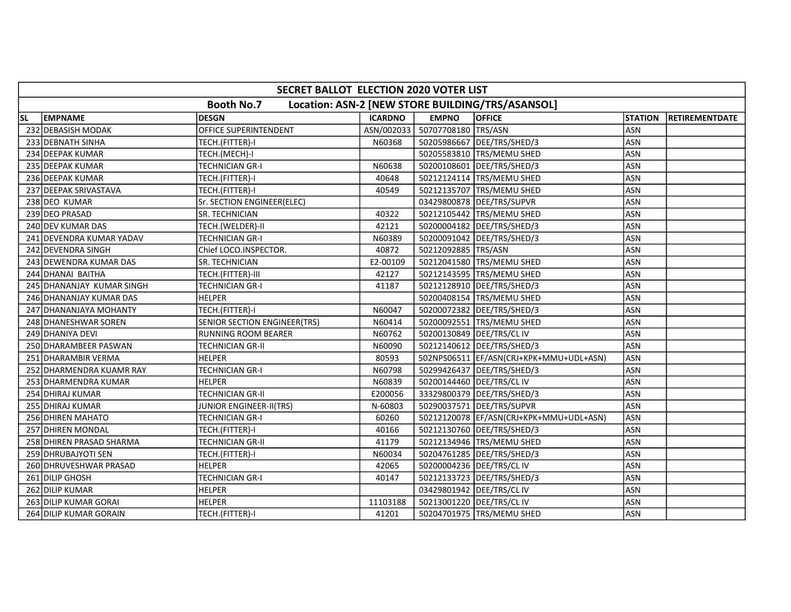|           | SECRET BALLOT ELECTION 2020 VOTER LIST |                                |                |                       |                                                  |                |                       |  |  |  |  |
|-----------|----------------------------------------|--------------------------------|----------------|-----------------------|--------------------------------------------------|----------------|-----------------------|--|--|--|--|
|           |                                        | <b>Booth No.7</b>              |                |                       | Location: ASN-2 [NEW STORE BUILDING/TRS/ASANSOL] |                |                       |  |  |  |  |
| <b>SL</b> | <b>EMPNAME</b>                         | <b>DESGN</b>                   | <b>ICARDNO</b> | <b>EMPNO</b>          | <b>OFFICE</b>                                    | <b>STATION</b> | <b>RETIREMENTDATE</b> |  |  |  |  |
|           | 232 DEBASISH MODAK                     | OFFICE SUPERINTENDENT          | ASN/002033     | 50707708180 TRS/ASN   |                                                  | <b>ASN</b>     |                       |  |  |  |  |
|           | 233 DEBNATH SINHA                      | TECH.(FITTER)-I                | N60368         |                       | 50205986667   DEE/TRS/SHED/3                     | <b>ASN</b>     |                       |  |  |  |  |
|           | 234 DEEPAK KUMAR                       | TECH.(MECH)-I                  |                |                       | 50205583810 TRS/MEMU SHED                        | <b>ASN</b>     |                       |  |  |  |  |
|           | 235 DEEPAK KUMAR                       | <b>TECHNICIAN GR-I</b>         | N60638         |                       | 50200108601 DEE/TRS/SHED/3                       | <b>ASN</b>     |                       |  |  |  |  |
|           | 236 DEEPAK KUMAR                       | TECH.(FITTER)-I                | 40648          |                       | 50212124114 TRS/MEMU SHED                        | <b>ASN</b>     |                       |  |  |  |  |
|           | 237 DEEPAK SRIVASTAVA                  | TECH.(FITTER)-I                | 40549          |                       | 50212135707   TRS/MEMU SHED                      | <b>ASN</b>     |                       |  |  |  |  |
|           | 238 DEO KUMAR                          | Sr. SECTION ENGINEER(ELEC)     |                |                       | 03429800878 DEE/TRS/SUPVR                        | <b>ASN</b>     |                       |  |  |  |  |
|           | 239 DEO PRASAD                         | SR. TECHNICIAN                 | 40322          |                       | 50212105442 TRS/MEMU SHED                        | <b>ASN</b>     |                       |  |  |  |  |
|           | 240 DEV KUMAR DAS                      | TECH.(WELDER)-II               | 42121          |                       | 50200004182  DEE/TRS/SHED/3                      | <b>ASN</b>     |                       |  |  |  |  |
|           | 241 DEVENDRA KUMAR YADAV               | TECHNICIAN GR-I                | N60389         |                       | 50200091042 DEE/TRS/SHED/3                       | ASN            |                       |  |  |  |  |
|           | 242 DEVENDRA SINGH                     | Chief LOCO.INSPECTOR.          | 40872          | 50212092885   TRS/ASN |                                                  | <b>ASN</b>     |                       |  |  |  |  |
|           | 243 DEWENDRA KUMAR DAS                 | SR. TECHNICIAN                 | E2-00109       |                       | 50212041580 TRS/MEMU SHED                        | ASN            |                       |  |  |  |  |
|           | 244 DHANAI BAITHA                      | TECH.(FITTER)-III              | 42127          |                       | 50212143595 TRS/MEMU SHED                        | <b>ASN</b>     |                       |  |  |  |  |
|           | 245 DHANANJAY KUMAR SINGH              | <b>TECHNICIAN GR-I</b>         | 41187          |                       | 50212128910   DEE/TRS/SHED/3                     | <b>ASN</b>     |                       |  |  |  |  |
|           | 246 DHANANJAY KUMAR DAS                | <b>HELPER</b>                  |                |                       | 50200408154 TRS/MEMU SHED                        | ASN            |                       |  |  |  |  |
|           | 247 DHANANJAYA MOHANTY                 | TECH.(FITTER)-I                | N60047         |                       | 50200072382  DEE/TRS/SHED/3                      | <b>ASN</b>     |                       |  |  |  |  |
|           | 248 DHANESHWAR SOREN                   | SENIOR SECTION ENGINEER(TRS)   | N60414         |                       | 50200092551 TRS/MEMU SHED                        | ASN            |                       |  |  |  |  |
|           | 249 DHANIYA DEVI                       | <b>RUNNING ROOM BEARER</b>     | N60762         |                       | 50200130849   DEE/TRS/CL IV                      | <b>ASN</b>     |                       |  |  |  |  |
|           | 250 DHARAMBEER PASWAN                  | TECHNICIAN GR-II               | N60090         |                       | 50212140612   DEE/TRS/SHED/3                     | <b>ASN</b>     |                       |  |  |  |  |
|           | 251 DHARAMBIR VERMA                    | <b>HELPER</b>                  | 80593          |                       | 502NPS06511  EF/ASN(CRJ+KPK+MMU+UDL+ASN)         | <b>ASN</b>     |                       |  |  |  |  |
|           | 252 DHARMENDRA KUAMR RAY               | <b>TECHNICIAN GR-I</b>         | N60798         |                       | 50299426437   DEE/TRS/SHED/3                     | <b>ASN</b>     |                       |  |  |  |  |
|           | 253 DHARMENDRA KUMAR                   | <b>HELPER</b>                  | N60839         |                       | 50200144460 DEE/TRS/CLIV                         | <b>ASN</b>     |                       |  |  |  |  |
|           | 254 DHIRAJ KUMAR                       | <b>TECHNICIAN GR-II</b>        | E200056        |                       | 33329800379 DEE/TRS/SHED/3                       | <b>ASN</b>     |                       |  |  |  |  |
|           | 255 DHIRAJ KUMAR                       | <b>JUNIOR ENGINEER-II(TRS)</b> | N-60803        |                       | 50290037571 DEE/TRS/SUPVR                        | <b>ASN</b>     |                       |  |  |  |  |
|           | 256 DHIREN MAHATO                      | <b>TECHNICIAN GR-I</b>         | 60260          |                       | 50212120078  EF/ASN(CRJ+KPK+MMU+UDL+ASN)         | <b>ASN</b>     |                       |  |  |  |  |
|           | 257 DHIREN MONDAL                      | TECH.(FITTER)-I                | 40166          |                       | 50212130760 DEE/TRS/SHED/3                       | ASN            |                       |  |  |  |  |
|           | 258 DHIREN PRASAD SHARMA               | <b>TECHNICIAN GR-II</b>        | 41179          |                       | 50212134946   TRS/MEMU SHED                      | ASN            |                       |  |  |  |  |
|           | 259 DHRUBAJYOTI SEN                    | TECH.(FITTER)-I                | N60034         |                       | 50204761285   DEE/TRS/SHED/3                     | <b>ASN</b>     |                       |  |  |  |  |
|           | 260 DHRUVESHWAR PRASAD                 | <b>HELPER</b>                  | 42065          |                       | 50200004236   DEE/TRS/CL IV                      | <b>ASN</b>     |                       |  |  |  |  |
|           | 261 DILIP GHOSH                        | <b>TECHNICIAN GR-I</b>         | 40147          |                       | 50212133723   DEE/TRS/SHED/3                     | <b>ASN</b>     |                       |  |  |  |  |
|           | 262 DILIP KUMAR                        | <b>HELPER</b>                  |                |                       | 03429801942 DEE/TRS/CL IV                        | <b>ASN</b>     |                       |  |  |  |  |
|           | 263 DILIP KUMAR GORAI                  | <b>HELPER</b>                  | 11103188       |                       | 50213001220 DEE/TRS/CLIV                         | ASN            |                       |  |  |  |  |
|           | 264 DILIP KUMAR GORAIN                 | TECH.(FITTER)-I                | 41201          |                       | 50204701975   TRS/MEMU SHED                      | ASN            |                       |  |  |  |  |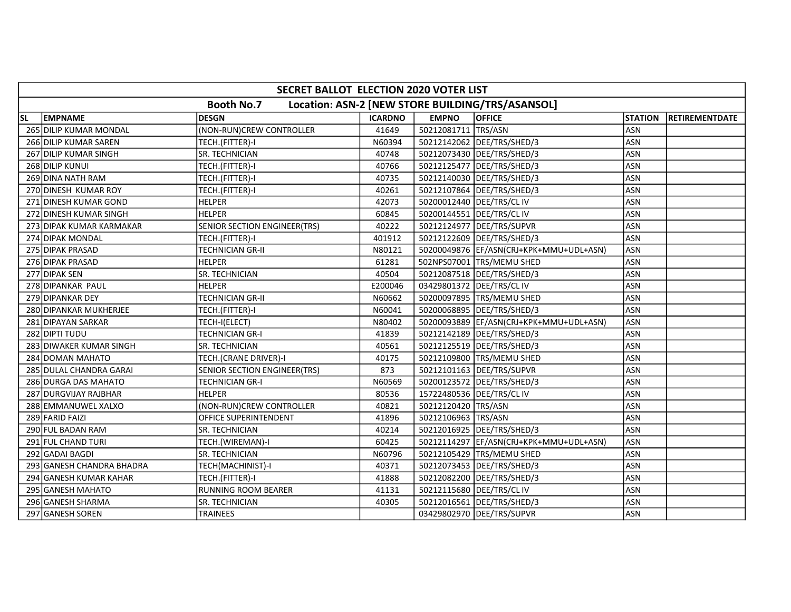|           | SECRET BALLOT ELECTION 2020 VOTER LIST                                |                                     |                |                     |                                          |                |                |  |  |  |  |
|-----------|-----------------------------------------------------------------------|-------------------------------------|----------------|---------------------|------------------------------------------|----------------|----------------|--|--|--|--|
|           | <b>Booth No.7</b><br>Location: ASN-2 [NEW STORE BUILDING/TRS/ASANSOL] |                                     |                |                     |                                          |                |                |  |  |  |  |
| <b>SL</b> | <b>EMPNAME</b>                                                        | <b>DESGN</b>                        | <b>ICARDNO</b> | <b>EMPNO</b>        | <b>OFFICE</b>                            | <b>STATION</b> | RETIREMENTDATE |  |  |  |  |
|           | 265 DILIP KUMAR MONDAL                                                | (NON-RUN)CREW CONTROLLER            | 41649          | 50212081711 TRS/ASN |                                          | <b>ASN</b>     |                |  |  |  |  |
|           | 266 DILIP KUMAR SAREN                                                 | TECH.(FITTER)-I                     | N60394         |                     | 50212142062 DEE/TRS/SHED/3               | <b>ASN</b>     |                |  |  |  |  |
|           | 267 DILIP KUMAR SINGH                                                 | SR. TECHNICIAN                      | 40748          |                     | 50212073430   DEE/TRS/SHED/3             | <b>ASN</b>     |                |  |  |  |  |
|           | 268 DILIP KUNUI                                                       | TECH.(FITTER)-I                     | 40766          |                     | 50212125477   DEE/TRS/SHED/3             | <b>ASN</b>     |                |  |  |  |  |
|           | 269 DINA NATH RAM                                                     | TECH.(FITTER)-I                     | 40735          |                     | 50212140030 DEE/TRS/SHED/3               | <b>ASN</b>     |                |  |  |  |  |
|           | 270 DINESH KUMAR ROY                                                  | TECH.(FITTER)-I                     | 40261          |                     | 50212107864 DEE/TRS/SHED/3               | <b>ASN</b>     |                |  |  |  |  |
|           | 271 DINESH KUMAR GOND                                                 | <b>HELPER</b>                       | 42073          |                     | 50200012440   DEE/TRS/CL IV              | <b>ASN</b>     |                |  |  |  |  |
|           | 272 DINESH KUMAR SINGH                                                | <b>HELPER</b>                       | 60845          |                     | 50200144551 DEE/TRS/CL IV                | <b>ASN</b>     |                |  |  |  |  |
|           | 273 DIPAK KUMAR KARMAKAR                                              | SENIOR SECTION ENGINEER(TRS)        | 40222          |                     | 50212124977   DEE/TRS/SUPVR              | ASN            |                |  |  |  |  |
|           | 274 DIPAK MONDAL                                                      | TECH.(FITTER)-I                     | 401912         |                     | 50212122609   DEE/TRS/SHED/3             | <b>ASN</b>     |                |  |  |  |  |
|           | 275 DIPAK PRASAD                                                      | TECHNICIAN GR-II                    | N80121         |                     | 50200049876  EF/ASN(CRJ+KPK+MMU+UDL+ASN) | <b>ASN</b>     |                |  |  |  |  |
|           | 276 DIPAK PRASAD                                                      | <b>HELPER</b>                       | 61281          |                     | 502NPS07001  TRS/MEMU SHED               | ASN            |                |  |  |  |  |
|           | 277 DIPAK SEN                                                         | SR. TECHNICIAN                      | 40504          |                     | 50212087518  DEE/TRS/SHED/3              | ASN            |                |  |  |  |  |
|           | 278 DIPANKAR PAUL                                                     | <b>HELPER</b>                       | E200046        |                     | 03429801372 DEE/TRS/CL IV                | <b>ASN</b>     |                |  |  |  |  |
|           | 279 DIPANKAR DEY                                                      | TECHNICIAN GR-II                    | N60662         |                     | 50200097895 TRS/MEMU SHED                | <b>ASN</b>     |                |  |  |  |  |
|           | 280 DIPANKAR MUKHERJEE                                                | TECH.(FITTER)-I                     | N60041         |                     | 50200068895  DEE/TRS/SHED/3              | <b>ASN</b>     |                |  |  |  |  |
|           | 281 DIPAYAN SARKAR                                                    | TECH-I(ELECT)                       | N80402         |                     | 50200093889  EF/ASN(CRJ+KPK+MMU+UDL+ASN) | ASN            |                |  |  |  |  |
|           | 282 DIPTI TUDU                                                        | TECHNICIAN GR-I                     | 41839          |                     | 50212142189   DEE/TRS/SHED/3             | <b>ASN</b>     |                |  |  |  |  |
|           | 283 DIWAKER KUMAR SINGH                                               | SR. TECHNICIAN                      | 40561          |                     | 50212125519   DEE/TRS/SHED/3             | <b>ASN</b>     |                |  |  |  |  |
|           | 284 DOMAN MAHATO                                                      | TECH.(CRANE DRIVER)-I               | 40175          |                     | 50212109800 TRS/MEMU SHED                | <b>ASN</b>     |                |  |  |  |  |
|           | 285 DULAL CHANDRA GARAI                                               | <b>SENIOR SECTION ENGINEER(TRS)</b> | 873            |                     | 50212101163   DEE/TRS/SUPVR              | <b>ASN</b>     |                |  |  |  |  |
|           | 286 DURGA DAS MAHATO                                                  | <b>TECHNICIAN GR-I</b>              | N60569         |                     | 50200123572   DEE/TRS/SHED/3             | <b>ASN</b>     |                |  |  |  |  |
|           | 287 DURGVIJAY RAJBHAR                                                 | <b>HELPER</b>                       | 80536          |                     | 15722480536 DEE/TRS/CL IV                | <b>ASN</b>     |                |  |  |  |  |
|           | 288 EMMANUWEL XALXO                                                   | (NON-RUN)CREW CONTROLLER            | 40821          | 50212120420 TRS/ASN |                                          | <b>ASN</b>     |                |  |  |  |  |
|           | 289 FARID FAIZI                                                       | <b>OFFICE SUPERINTENDENT</b>        | 41896          | 50212106963 TRS/ASN |                                          | <b>ASN</b>     |                |  |  |  |  |
|           | 290 FUL BADAN RAM                                                     | SR. TECHNICIAN                      | 40214          |                     | 50212016925 DEE/TRS/SHED/3               | <b>ASN</b>     |                |  |  |  |  |
|           | 291 FUL CHAND TURI                                                    | TECH.(WIREMAN)-I                    | 60425          |                     | 50212114297 EF/ASN(CRJ+KPK+MMU+UDL+ASN)  | <b>ASN</b>     |                |  |  |  |  |
|           | 292 GADAI BAGDI                                                       | SR. TECHNICIAN                      | N60796         |                     | 50212105429 TRS/MEMU SHED                | <b>ASN</b>     |                |  |  |  |  |
|           | 293 GANESH CHANDRA BHADRA                                             | TECH(MACHINIST)-I                   | 40371          |                     | 50212073453  DEE/TRS/SHED/3              | <b>ASN</b>     |                |  |  |  |  |
|           | 294 GANESH KUMAR KAHAR                                                | TECH.(FITTER)-I                     | 41888          |                     | 50212082200 DEE/TRS/SHED/3               | <b>ASN</b>     |                |  |  |  |  |
|           | 295 GANESH MAHATO                                                     | <b>RUNNING ROOM BEARER</b>          | 41131          |                     | 50212115680   DEE/TRS/CL IV              | ASN            |                |  |  |  |  |
|           | 296 GANESH SHARMA                                                     | SR. TECHNICIAN                      | 40305          |                     | 50212016561   DEE/TRS/SHED/3             | ASN            |                |  |  |  |  |
|           | 297 GANESH SOREN                                                      | <b>TRAINEES</b>                     |                |                     | 03429802970 DEE/TRS/SUPVR                | <b>ASN</b>     |                |  |  |  |  |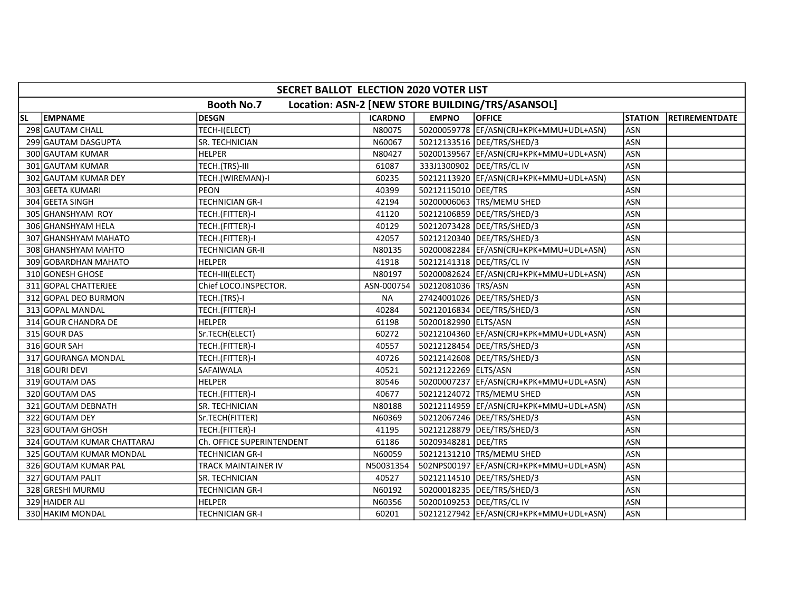|           | SECRET BALLOT ELECTION 2020 VOTER LIST                                |                           |                |                      |                                           |                |                       |  |  |  |  |
|-----------|-----------------------------------------------------------------------|---------------------------|----------------|----------------------|-------------------------------------------|----------------|-----------------------|--|--|--|--|
|           | <b>Booth No.7</b><br>Location: ASN-2 [NEW STORE BUILDING/TRS/ASANSOL] |                           |                |                      |                                           |                |                       |  |  |  |  |
| <b>SL</b> | <b>EMPNAME</b>                                                        | <b>DESGN</b>              | <b>ICARDNO</b> | <b>EMPNO</b>         | <b>OFFICE</b>                             | <b>STATION</b> | <b>RETIREMENTDATE</b> |  |  |  |  |
|           | 298 GAUTAM CHALL                                                      | TECH-I(ELECT)             | N80075         |                      | 50200059778  EF/ASN(CRJ+KPK+MMU+UDL+ASN)  | <b>ASN</b>     |                       |  |  |  |  |
|           | 299 GAUTAM DASGUPTA                                                   | SR. TECHNICIAN            | N60067         |                      | 50212133516 DEE/TRS/SHED/3                | <b>ASN</b>     |                       |  |  |  |  |
|           | 300 GAUTAM KUMAR                                                      | <b>HELPER</b>             | N80427         |                      | 50200139567  EF/ASN(CRJ+KPK+MMU+UDL+ASN)  | <b>ASN</b>     |                       |  |  |  |  |
|           | 301 GAUTAM KUMAR                                                      | TECH.(TRS)-III            | 61087          |                      | 333J1300902   DEE/TRS/CL IV               | <b>ASN</b>     |                       |  |  |  |  |
|           | 302 GAUTAM KUMAR DEY                                                  | TECH.(WIREMAN)-I          | 60235          |                      | 50212113920   EF/ASN(CRJ+KPK+MMU+UDL+ASN) | <b>ASN</b>     |                       |  |  |  |  |
|           | 303 GEETA KUMARI                                                      | <b>PEON</b>               | 40399          | 50212115010 DEE/TRS  |                                           | <b>ASN</b>     |                       |  |  |  |  |
|           | 304 GEETA SINGH                                                       | <b>TECHNICIAN GR-I</b>    | 42194          |                      | 50200006063 TRS/MEMU SHED                 | <b>ASN</b>     |                       |  |  |  |  |
|           | 305 GHANSHYAM ROY                                                     | TECH.(FITTER)-I           | 41120          |                      | 50212106859 DEE/TRS/SHED/3                | <b>ASN</b>     |                       |  |  |  |  |
|           | 306 GHANSHYAM HELA                                                    | TECH.(FITTER)-I           | 40129          |                      | 50212073428   DEE/TRS/SHED/3              | <b>ASN</b>     |                       |  |  |  |  |
|           | 307 GHANSHYAM MAHATO                                                  | TECH.(FITTER)-I           | 42057          |                      | 50212120340   DEE/TRS/SHED/3              | <b>ASN</b>     |                       |  |  |  |  |
|           | 308 GHANSHYAM MAHTO                                                   | <b>TECHNICIAN GR-II</b>   | N80135         |                      | 50200082284   EF/ASN(CRJ+KPK+MMU+UDL+ASN) | ASN            |                       |  |  |  |  |
|           | 309 GOBARDHAN MAHATO                                                  | <b>HELPER</b>             | 41918          |                      | 50212141318   DEE/TRS/CL IV               | <b>ASN</b>     |                       |  |  |  |  |
|           | 310 GONESH GHOSE                                                      | TECH-III(ELECT)           | N80197         |                      | 50200082624 EF/ASN(CRJ+KPK+MMU+UDL+ASN)   | <b>ASN</b>     |                       |  |  |  |  |
|           | 311 GOPAL CHATTERJEE                                                  | Chief LOCO.INSPECTOR.     | ASN-000754     | 50212081036 TRS/ASN  |                                           | <b>ASN</b>     |                       |  |  |  |  |
|           | 312 GOPAL DEO BURMON                                                  | TECH.(TRS)-I              | <b>NA</b>      |                      | 27424001026 DEE/TRS/SHED/3                | <b>ASN</b>     |                       |  |  |  |  |
|           | 313 GOPAL MANDAL                                                      | TECH.(FITTER)-I           | 40284          |                      | 50212016834   DEE/TRS/SHED/3              | <b>ASN</b>     |                       |  |  |  |  |
|           | 314 GOUR CHANDRA DE                                                   | <b>HELPER</b>             | 61198          | 50200182990 ELTS/ASN |                                           | ASN            |                       |  |  |  |  |
|           | 315 GOUR DAS                                                          | Sr.TECH(ELECT)            | 60272          |                      | 50212104360   EF/ASN(CRJ+KPK+MMU+UDL+ASN) | <b>ASN</b>     |                       |  |  |  |  |
|           | 316 GOUR SAH                                                          | TECH.(FITTER)-I           | 40557          |                      | 50212128454   DEE/TRS/SHED/3              | ASN            |                       |  |  |  |  |
|           | 317 GOURANGA MONDAL                                                   | TECH.(FITTER)-I           | 40726          |                      | 50212142608   DEE/TRS/SHED/3              | ASN            |                       |  |  |  |  |
|           | 318 GOURI DEVI                                                        | SAFAIWALA                 | 40521          | 50212122269 ELTS/ASN |                                           | ASN            |                       |  |  |  |  |
|           | 319 GOUTAM DAS                                                        | <b>HELPER</b>             | 80546          |                      | 50200007237 EF/ASN(CRJ+KPK+MMU+UDL+ASN)   | <b>ASN</b>     |                       |  |  |  |  |
|           | 320 GOUTAM DAS                                                        | TECH.(FITTER)-I           | 40677          |                      | 50212124072 TRS/MEMU SHED                 | ASN            |                       |  |  |  |  |
|           | 321 GOUTAM DEBNATH                                                    | SR. TECHNICIAN            | N80188         |                      | 50212114959 EF/ASN(CRJ+KPK+MMU+UDL+ASN)   | <b>ASN</b>     |                       |  |  |  |  |
|           | 322 GOUTAM DEY                                                        | Sr.TECH(FITTER)           | N60369         |                      | 50212067246   DEE/TRS/SHED/3              | <b>ASN</b>     |                       |  |  |  |  |
|           | 323 GOUTAM GHOSH                                                      | TECH.(FITTER)-I           | 41195          |                      | 50212128879   DEE/TRS/SHED/3              | <b>ASN</b>     |                       |  |  |  |  |
|           | 324 GOUTAM KUMAR CHATTARAJ                                            | Ch. OFFICE SUPERINTENDENT | 61186          | 50209348281 DEE/TRS  |                                           | <b>ASN</b>     |                       |  |  |  |  |
|           | 325 GOUTAM KUMAR MONDAL                                               | <b>TECHNICIAN GR-I</b>    | N60059         |                      | 50212131210 TRS/MEMU SHED                 | <b>ASN</b>     |                       |  |  |  |  |
|           | 326 GOUTAM KUMAR PAL                                                  | TRACK MAINTAINER IV       | N50031354      |                      | 502NPS00197  EF/ASN(CRJ+KPK+MMU+UDL+ASN)  | <b>ASN</b>     |                       |  |  |  |  |
|           | 327 GOUTAM PALIT                                                      | SR. TECHNICIAN            | 40527          |                      | 50212114510   DEE/TRS/SHED/3              | <b>ASN</b>     |                       |  |  |  |  |
|           | 328 GRESHI MURMU                                                      | <b>TECHNICIAN GR-I</b>    | N60192         |                      | 50200018235   DEE/TRS/SHED/3              | <b>ASN</b>     |                       |  |  |  |  |
|           | 329 HAIDER ALI                                                        | <b>HELPER</b>             | N60356         |                      | 50200109253   DEE/TRS/CL IV               | <b>ASN</b>     |                       |  |  |  |  |
|           | 330 HAKIM MONDAL                                                      | <b>TECHNICIAN GR-I</b>    | 60201          |                      | 50212127942 EF/ASN(CRJ+KPK+MMU+UDL+ASN)   | ASN            |                       |  |  |  |  |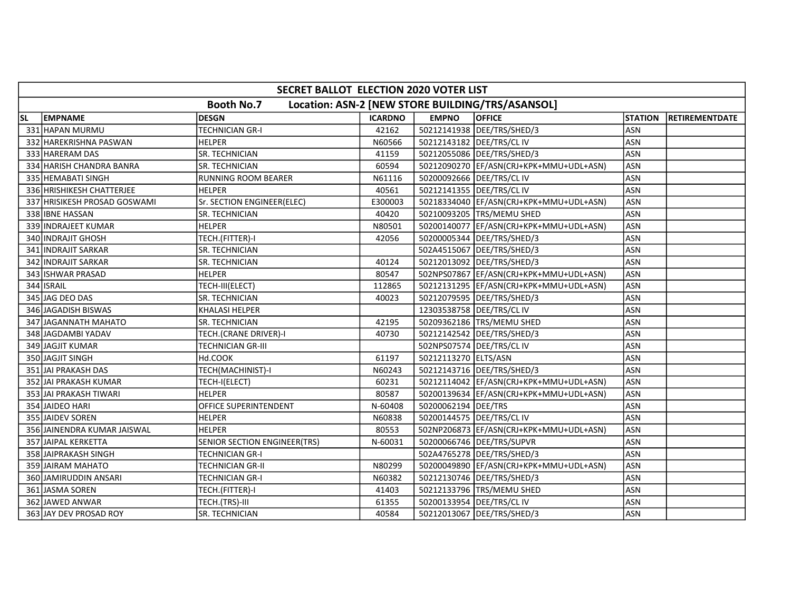|           | SECRET BALLOT ELECTION 2020 VOTER LIST                                |                              |                |                             |                                           |                |                |  |  |  |  |
|-----------|-----------------------------------------------------------------------|------------------------------|----------------|-----------------------------|-------------------------------------------|----------------|----------------|--|--|--|--|
|           | <b>Booth No.7</b><br>Location: ASN-2 [NEW STORE BUILDING/TRS/ASANSOL] |                              |                |                             |                                           |                |                |  |  |  |  |
| <b>SL</b> | <b>EMPNAME</b>                                                        | <b>DESGN</b>                 | <b>ICARDNO</b> | <b>EMPNO</b>                | <b>OFFICE</b>                             | <b>STATION</b> | RETIREMENTDATE |  |  |  |  |
|           | 331 HAPAN MURMU                                                       | <b>TECHNICIAN GR-I</b>       | 42162          |                             | 50212141938 DEE/TRS/SHED/3                | <b>ASN</b>     |                |  |  |  |  |
|           | 332 HAREKRISHNA PASWAN                                                | <b>HELPER</b>                | N60566         | 50212143182   DEE/TRS/CL IV |                                           | <b>ASN</b>     |                |  |  |  |  |
|           | 333 HARERAM DAS                                                       | SR. TECHNICIAN               | 41159          |                             | 50212055086   DEE/TRS/SHED/3              | <b>ASN</b>     |                |  |  |  |  |
|           | 334 HARISH CHANDRA BANRA                                              | SR. TECHNICIAN               | 60594          |                             | 50212090270 EF/ASN(CRJ+KPK+MMU+UDL+ASN)   | <b>ASN</b>     |                |  |  |  |  |
|           | 335 HEMABATI SINGH                                                    | <b>RUNNING ROOM BEARER</b>   | N61116         | 50200092666 DEE/TRS/CL IV   |                                           | <b>ASN</b>     |                |  |  |  |  |
|           | 336 HRISHIKESH CHATTERJEE                                             | <b>HELPER</b>                | 40561          |                             | 50212141355   DEE/TRS/CL IV               | <b>ASN</b>     |                |  |  |  |  |
|           | 337 HRISIKESH PROSAD GOSWAMI                                          | Sr. SECTION ENGINEER(ELEC)   | E300003        |                             | 50218334040   EF/ASN(CRJ+KPK+MMU+UDL+ASN) | <b>ASN</b>     |                |  |  |  |  |
|           | 338 IBNE HASSAN                                                       | SR. TECHNICIAN               | 40420          |                             | 50210093205 TRS/MEMU SHED                 | ASN            |                |  |  |  |  |
|           | 339 INDRAJEET KUMAR                                                   | <b>HELPER</b>                | N80501         |                             | 50200140077 EF/ASN(CRJ+KPK+MMU+UDL+ASN)   | <b>ASN</b>     |                |  |  |  |  |
|           | 340 INDRAJIT GHOSH                                                    | TECH.(FITTER)-I              | 42056          |                             | 50200005344  DEE/TRS/SHED/3               | <b>ASN</b>     |                |  |  |  |  |
|           | 341 INDRAJIT SARKAR                                                   | SR. TECHNICIAN               |                |                             | 502A4515067 DEE/TRS/SHED/3                | <b>ASN</b>     |                |  |  |  |  |
|           | 342 INDRAJIT SARKAR                                                   | SR. TECHNICIAN               | 40124          |                             | 50212013092   DEE/TRS/SHED/3              | <b>ASN</b>     |                |  |  |  |  |
|           | 343 ISHWAR PRASAD                                                     | <b>HELPER</b>                | 80547          |                             | 502NPS07867 EF/ASN(CRJ+KPK+MMU+UDL+ASN)   | <b>ASN</b>     |                |  |  |  |  |
|           | 344 ISRAIL                                                            | TECH-III(ELECT)              | 112865         |                             | 50212131295 EF/ASN(CRJ+KPK+MMU+UDL+ASN)   | <b>ASN</b>     |                |  |  |  |  |
|           | 345 JAG DEO DAS                                                       | SR. TECHNICIAN               | 40023          |                             | 50212079595   DEE/TRS/SHED/3              | <b>ASN</b>     |                |  |  |  |  |
|           | 346 JAGADISH BISWAS                                                   | KHALASI HELPER               |                | 12303538758   DEE/TRS/CL IV |                                           | <b>ASN</b>     |                |  |  |  |  |
|           | 347 JAGANNATH MAHATO                                                  | SR. TECHNICIAN               | 42195          |                             | 50209362186   TRS/MEMU SHED               | <b>ASN</b>     |                |  |  |  |  |
|           | 348 JAGDAMBI YADAV                                                    | TECH.(CRANE DRIVER)-I        | 40730          |                             | 50212142542 DEE/TRS/SHED/3                | ASN            |                |  |  |  |  |
|           | 349 JAGJIT KUMAR                                                      | <b>TECHNICIAN GR-III</b>     |                |                             | 502NPS07574   DEE/TRS/CL IV               | ASN            |                |  |  |  |  |
|           | 350 JAGJIT SINGH                                                      | Hd.COOK                      | 61197          | 50212113270 ELTS/ASN        |                                           | <b>ASN</b>     |                |  |  |  |  |
|           | 351 JAI PRAKASH DAS                                                   | TECH(MACHINIST)-I            | N60243         |                             | 50212143716   DEE/TRS/SHED/3              | <b>ASN</b>     |                |  |  |  |  |
|           | 352 JAI PRAKASH KUMAR                                                 | TECH-I(ELECT)                | 60231          |                             | 50212114042  EF/ASN(CRJ+KPK+MMU+UDL+ASN)  | <b>ASN</b>     |                |  |  |  |  |
|           | 353 JAI PRAKASH TIWARI                                                | <b>HELPER</b>                | 80587          |                             | 50200139634   EF/ASN(CRJ+KPK+MMU+UDL+ASN) | <b>ASN</b>     |                |  |  |  |  |
|           | 354 JAIDEO HARI                                                       | OFFICE SUPERINTENDENT        | N-60408        | 50200062194 DEE/TRS         |                                           | <b>ASN</b>     |                |  |  |  |  |
|           | 355 JAIDEV SOREN                                                      | <b>HELPER</b>                | N60838         |                             | 50200144575   DEE/TRS/CL IV               | <b>ASN</b>     |                |  |  |  |  |
|           | 356 JAINENDRA KUMAR JAISWAL                                           | HELPER                       | 80553          |                             | 502NP206873 EF/ASN(CRJ+KPK+MMU+UDL+ASN)   | <b>ASN</b>     |                |  |  |  |  |
|           | 357 JAIPAL KERKETTA                                                   | SENIOR SECTION ENGINEER(TRS) | N-60031        |                             | 50200066746 DEE/TRS/SUPVR                 | <b>ASN</b>     |                |  |  |  |  |
|           | 358 JAIPRAKASH SINGH                                                  | <b>TECHNICIAN GR-I</b>       |                |                             | 502A4765278   DEE/TRS/SHED/3              | <b>ASN</b>     |                |  |  |  |  |
|           | 359 JAIRAM MAHATO                                                     | <b>TECHNICIAN GR-II</b>      | N80299         |                             | 50200049890 EF/ASN(CRJ+KPK+MMU+UDL+ASN)   | <b>ASN</b>     |                |  |  |  |  |
|           | 360 JAMIRUDDIN ANSARI                                                 | <b>TECHNICIAN GR-I</b>       | N60382         |                             | 50212130746   DEE/TRS/SHED/3              | <b>ASN</b>     |                |  |  |  |  |
|           | 361 JASMA SOREN                                                       | TECH.(FITTER)-I              | 41403          |                             | 50212133796 TRS/MEMU SHED                 | <b>ASN</b>     |                |  |  |  |  |
|           | 362 JAWED ANWAR                                                       | TECH.(TRS)-III               | 61355          | 50200133954 DEE/TRS/CLIV    |                                           | <b>ASN</b>     |                |  |  |  |  |
|           | 363 JAY DEV PROSAD ROY                                                | SR. TECHNICIAN               | 40584          |                             | 50212013067   DEE/TRS/SHED/3              | <b>ASN</b>     |                |  |  |  |  |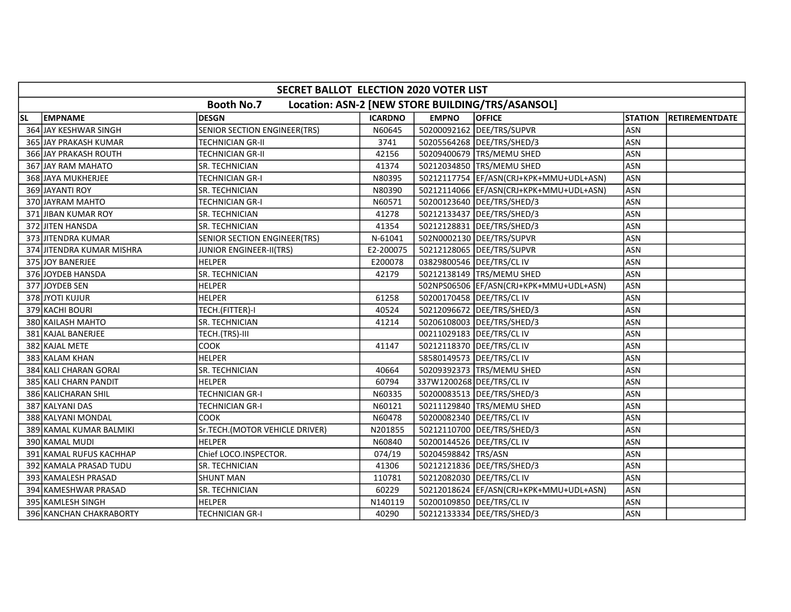|           | SECRET BALLOT ELECTION 2020 VOTER LIST |                                     |                |                             |                                                  |                |                |  |  |  |  |
|-----------|----------------------------------------|-------------------------------------|----------------|-----------------------------|--------------------------------------------------|----------------|----------------|--|--|--|--|
|           |                                        | <b>Booth No.7</b>                   |                |                             | Location: ASN-2 [NEW STORE BUILDING/TRS/ASANSOL] |                |                |  |  |  |  |
| <b>SL</b> | <b>EMPNAME</b>                         | <b>DESGN</b>                        | <b>ICARDNO</b> | <b>EMPNO</b>                | <b>OFFICE</b>                                    | <b>STATION</b> | RETIREMENTDATE |  |  |  |  |
|           | 364 JAY KESHWAR SINGH                  | <b>SENIOR SECTION ENGINEER(TRS)</b> | N60645         |                             | 50200092162 DEE/TRS/SUPVR                        | <b>ASN</b>     |                |  |  |  |  |
|           | 365 JAY PRAKASH KUMAR                  | <b>TECHNICIAN GR-II</b>             | 3741           |                             | 50205564268 DEE/TRS/SHED/3                       | <b>ASN</b>     |                |  |  |  |  |
|           | 366 JAY PRAKASH ROUTH                  | <b>TECHNICIAN GR-II</b>             | 42156          |                             | 50209400679 TRS/MEMU SHED                        | <b>ASN</b>     |                |  |  |  |  |
|           | 367 JAY RAM MAHATO                     | <b>SR. TECHNICIAN</b>               | 41374          |                             | 50212034850 TRS/MEMU SHED                        | <b>ASN</b>     |                |  |  |  |  |
|           | 368 JJAYA MUKHERJEE                    | <b>TECHNICIAN GR-I</b>              | N80395         |                             | 50212117754 EF/ASN(CRJ+KPK+MMU+UDL+ASN)          | <b>ASN</b>     |                |  |  |  |  |
|           | 369 JAYANTI ROY                        | <b>SR. TECHNICIAN</b>               | N80390         |                             | 50212114066  EF/ASN(CRJ+KPK+MMU+UDL+ASN)         | <b>ASN</b>     |                |  |  |  |  |
|           | 370 JAYRAM MAHTO                       | <b>TECHNICIAN GR-I</b>              | N60571         |                             | 50200123640   DEE/TRS/SHED/3                     | <b>ASN</b>     |                |  |  |  |  |
|           | 371 JIBAN KUMAR ROY                    | <b>SR. TECHNICIAN</b>               | 41278          |                             | 50212133437   DEE/TRS/SHED/3                     | <b>ASN</b>     |                |  |  |  |  |
|           | 372 JITEN HANSDA                       | <b>SR. TECHNICIAN</b>               | 41354          |                             | 50212128831 DEE/TRS/SHED/3                       | <b>ASN</b>     |                |  |  |  |  |
|           | 373 JJITENDRA KUMAR                    | <b>SENIOR SECTION ENGINEER(TRS)</b> | N-61041        |                             | 502N0002130   DEE/TRS/SUPVR                      | <b>ASN</b>     |                |  |  |  |  |
|           | 374 JITENDRA KUMAR MISHRA              | JUNIOR ENGINEER-II(TRS)             | E2-200075      |                             | 50212128065 DEE/TRS/SUPVR                        | ASN            |                |  |  |  |  |
|           | 375 JOY BANERJEE                       | <b>HELPER</b>                       | E200078        | 03829800546   DEE/TRS/CL IV |                                                  | <b>ASN</b>     |                |  |  |  |  |
|           | 376 JOYDEB HANSDA                      | SR. TECHNICIAN                      | 42179          |                             | 50212138149 TRS/MEMU SHED                        | <b>ASN</b>     |                |  |  |  |  |
|           | 377 JOYDEB SEN                         | <b>HELPER</b>                       |                |                             | 502NPS06506 EF/ASN(CRJ+KPK+MMU+UDL+ASN)          | <b>ASN</b>     |                |  |  |  |  |
|           | 378 JYOTI KUJUR                        | <b>HELPER</b>                       | 61258          |                             | 50200170458   DEE/TRS/CL IV                      | <b>ASN</b>     |                |  |  |  |  |
|           | 379 KACHI BOURI                        | TECH.(FITTER)-I                     | 40524          |                             | 50212096672 DEE/TRS/SHED/3                       | <b>ASN</b>     |                |  |  |  |  |
|           | 380 KAILASH MAHTO                      | <b>SR. TECHNICIAN</b>               | 41214          |                             | 50206108003 DEE/TRS/SHED/3                       | <b>ASN</b>     |                |  |  |  |  |
|           | 381 KAJAL BANERJEE                     | TECH.(TRS)-III                      |                |                             | 00211029183   DEE/TRS/CL IV                      | ASN            |                |  |  |  |  |
|           | 382 KAJAL METE                         | COOK                                | 41147          |                             | 50212118370   DEE/TRS/CL IV                      | ASN            |                |  |  |  |  |
|           | 383 KALAM KHAN                         | <b>HELPER</b>                       |                |                             | 58580149573   DEE/TRS/CL IV                      | <b>ASN</b>     |                |  |  |  |  |
|           | 384 KALI CHARAN GORAI                  | SR. TECHNICIAN                      | 40664          |                             | 50209392373 TRS/MEMU SHED                        | <b>ASN</b>     |                |  |  |  |  |
|           | 385 KALI CHARN PANDIT                  | <b>HELPER</b>                       | 60794          | 337W1200268 DEE/TRS/CL IV   |                                                  | <b>ASN</b>     |                |  |  |  |  |
|           | 386 KALICHARAN SHIL                    | <b>TECHNICIAN GR-I</b>              | N60335         |                             | 50200083513  DEE/TRS/SHED/3                      | <b>ASN</b>     |                |  |  |  |  |
|           | 387 KALYANI DAS                        | <b>TECHNICIAN GR-I</b>              | N60121         |                             | 50211129840   TRS/MEMU SHED                      | <b>ASN</b>     |                |  |  |  |  |
|           | 388 KALYANI MONDAL                     | COOK                                | N60478         |                             | 50200082340   DEE/TRS/CL IV                      | <b>ASN</b>     |                |  |  |  |  |
|           | 389 KAMAL KUMAR BALMIKI                | Sr.TECH.(MOTOR VEHICLE DRIVER)      | N201855        |                             | 50212110700   DEE/TRS/SHED/3                     | ASN            |                |  |  |  |  |
|           | 390 KAMAL MUDI                         | HELPER                              | N60840         | 50200144526 DEE/TRS/CL IV   |                                                  | <b>ASN</b>     |                |  |  |  |  |
|           | 391 KAMAL RUFUS KACHHAP                | Chief LOCO.INSPECTOR.               | 074/19         | 50204598842 TRS/ASN         |                                                  | <b>ASN</b>     |                |  |  |  |  |
|           | 392 KAMALA PRASAD TUDU                 | SR. TECHNICIAN                      | 41306          |                             | 50212121836   DEE/TRS/SHED/3                     | <b>ASN</b>     |                |  |  |  |  |
|           | 393 KAMALESH PRASAD                    | <b>SHUNT MAN</b>                    | 110781         |                             | 50212082030 DEE/TRS/CL IV                        | <b>ASN</b>     |                |  |  |  |  |
|           | 394 KAMESHWAR PRASAD                   | <b>SR. TECHNICIAN</b>               | 60229          |                             | 50212018624 EF/ASN(CRJ+KPK+MMU+UDL+ASN)          | <b>ASN</b>     |                |  |  |  |  |
|           | 395 KAMLESH SINGH                      | <b>HELPER</b>                       | N140119        |                             | 50200109850 DEE/TRS/CL IV                        | <b>ASN</b>     |                |  |  |  |  |
|           | 396 KANCHAN CHAKRABORTY                | <b>TECHNICIAN GR-I</b>              | 40290          |                             | 50212133334   DEE/TRS/SHED/3                     | <b>ASN</b>     |                |  |  |  |  |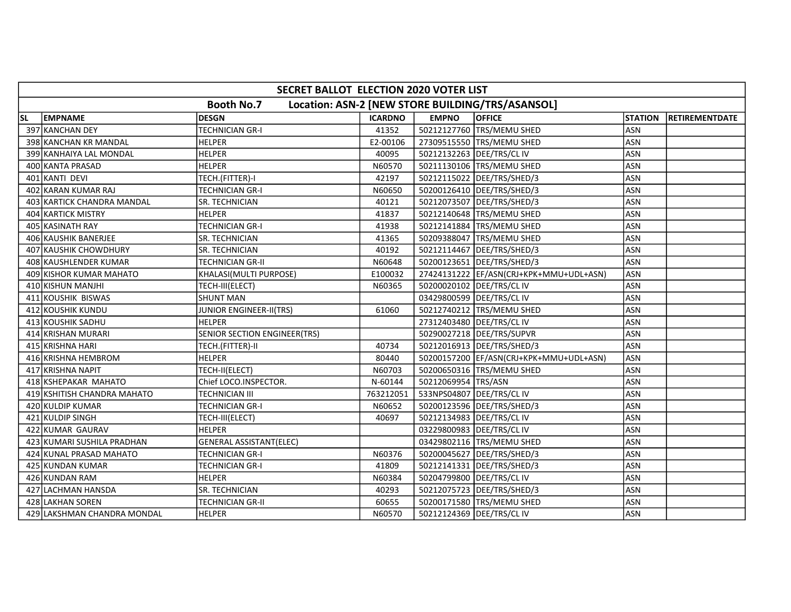|           | SECRET BALLOT ELECTION 2020 VOTER LIST |                                |                |                     |                                                  |                |                |  |  |  |  |
|-----------|----------------------------------------|--------------------------------|----------------|---------------------|--------------------------------------------------|----------------|----------------|--|--|--|--|
|           |                                        | <b>Booth No.7</b>              |                |                     | Location: ASN-2 [NEW STORE BUILDING/TRS/ASANSOL] |                |                |  |  |  |  |
| <b>SL</b> | <b>EMPNAME</b>                         | <b>DESGN</b>                   | <b>ICARDNO</b> | <b>EMPNO</b>        | <b>OFFICE</b>                                    | <b>STATION</b> | RETIREMENTDATE |  |  |  |  |
|           | 397 KANCHAN DEY                        | TECHNICIAN GR-I                | 41352          |                     | 50212127760 TRS/MEMU SHED                        | <b>ASN</b>     |                |  |  |  |  |
|           | 398 KANCHAN KR MANDAL                  | <b>HELPER</b>                  | E2-00106       |                     | 27309515550 TRS/MEMU SHED                        | <b>ASN</b>     |                |  |  |  |  |
|           | 399 KANHAIYA LAL MONDAL                | <b>HELPER</b>                  | 40095          |                     | 50212132263 DEE/TRS/CL IV                        | <b>ASN</b>     |                |  |  |  |  |
|           | 400 KANTA PRASAD                       | <b>HELPER</b>                  | N60570         |                     | 50211130106 TRS/MEMU SHED                        | ASN            |                |  |  |  |  |
|           | 401 KANTI DEVI                         | TECH.(FITTER)-I                | 42197          |                     | 50212115022 DEE/TRS/SHED/3                       | ASN            |                |  |  |  |  |
|           | 402 KARAN KUMAR RAJ                    | <b>TECHNICIAN GR-I</b>         | N60650         |                     | 50200126410   DEE/TRS/SHED/3                     | ASN            |                |  |  |  |  |
|           | 403 KARTICK CHANDRA MANDAL             | <b>SR. TECHNICIAN</b>          | 40121          |                     | 50212073507 DEE/TRS/SHED/3                       | <b>ASN</b>     |                |  |  |  |  |
|           | 404 KARTICK MISTRY                     | <b>HELPER</b>                  | 41837          |                     | 50212140648  TRS/MEMU SHED                       | <b>ASN</b>     |                |  |  |  |  |
|           | 405 KASINATH RAY                       | <b>TECHNICIAN GR-I</b>         | 41938          |                     | 50212141884 TRS/MEMU SHED                        | ASN            |                |  |  |  |  |
|           | 406 KAUSHIK BANERJEE                   | SR. TECHNICIAN                 | 41365          |                     | 50209388047 TRS/MEMU SHED                        | ASN            |                |  |  |  |  |
|           | 407 KAUSHIK CHOWDHURY                  | <b>SR. TECHNICIAN</b>          | 40192          |                     | 50212114467   DEE/TRS/SHED/3                     | <b>ASN</b>     |                |  |  |  |  |
|           | 408 KAUSHLENDER KUMAR                  | <b>TECHNICIAN GR-II</b>        | N60648         |                     | 50200123651   DEE/TRS/SHED/3                     | <b>ASN</b>     |                |  |  |  |  |
|           | 409 KISHOR KUMAR MAHATO                | KHALASI(MULTI PURPOSE)         | E100032        |                     | 27424131222  EF/ASN(CRJ+KPK+MMU+UDL+ASN)         | <b>ASN</b>     |                |  |  |  |  |
|           | 410 KISHUN MANJHI                      | TECH-III(ELECT)                | N60365         |                     | 50200020102   DEE/TRS/CL IV                      | <b>ASN</b>     |                |  |  |  |  |
|           | 411 KOUSHIK BISWAS                     | <b>SHUNT MAN</b>               |                |                     | 03429800599   DEE/TRS/CL IV                      | <b>ASN</b>     |                |  |  |  |  |
|           | 412 KOUSHIK KUNDU                      | JUNIOR ENGINEER-II(TRS)        | 61060          |                     | 50212740212 TRS/MEMU SHED                        | <b>ASN</b>     |                |  |  |  |  |
|           | 413 KOUSHIK SADHU                      | <b>HELPER</b>                  |                |                     | 27312403480 DEE/TRS/CL IV                        | ASN            |                |  |  |  |  |
|           | 414 KRISHAN MURARI                     | SENIOR SECTION ENGINEER(TRS)   |                |                     | 50290027218   DEE/TRS/SUPVR                      | ASN            |                |  |  |  |  |
|           | 415 KRISHNA HARI                       | TECH.(FITTER)-II               | 40734          |                     | 50212016913  DEE/TRS/SHED/3                      | <b>ASN</b>     |                |  |  |  |  |
|           | 416 KRISHNA HEMBROM                    | <b>HELPER</b>                  | 80440          |                     | 50200157200   EF/ASN(CRJ+KPK+MMU+UDL+ASN)        | <b>ASN</b>     |                |  |  |  |  |
|           | 417 KRISHNA NAPIT                      | TECH-II(ELECT)                 | N60703         |                     | 50200650316 TRS/MEMU SHED                        | <b>ASN</b>     |                |  |  |  |  |
|           | 418 KSHEPAKAR MAHATO                   | Chief LOCO.INSPECTOR.          | N-60144        | 50212069954 TRS/ASN |                                                  | <b>ASN</b>     |                |  |  |  |  |
|           | 419 KSHITISH CHANDRA MAHATO            | <b>TECHNICIAN III</b>          | 763212051      |                     | 533NPS04807 DEE/TRS/CL IV                        | <b>ASN</b>     |                |  |  |  |  |
|           | 420 KULDIP KUMAR                       | <b>TECHNICIAN GR-I</b>         | N60652         |                     | 50200123596   DEE/TRS/SHED/3                     | <b>ASN</b>     |                |  |  |  |  |
|           | 421 KULDIP SINGH                       | TECH-III(ELECT)                | 40697          |                     | 50212134983 DEE/TRS/CL IV                        | ASN            |                |  |  |  |  |
|           | 422 KUMAR GAURAV                       | <b>HELPER</b>                  |                |                     | 03229800983 DEE/TRS/CL IV                        | <b>ASN</b>     |                |  |  |  |  |
|           | 423 KUMARI SUSHILA PRADHAN             | <b>GENERAL ASSISTANT(ELEC)</b> |                |                     | 03429802116   TRS/MEMU SHED                      | <b>ASN</b>     |                |  |  |  |  |
|           | 424 KUNAL PRASAD MAHATO                | TECHNICIAN GR-I                | N60376         |                     | 50200045627   DEE/TRS/SHED/3                     | <b>ASN</b>     |                |  |  |  |  |
|           | 425 KUNDAN KUMAR                       | <b>TECHNICIAN GR-I</b>         | 41809          |                     | 50212141331   DEE/TRS/SHED/3                     | <b>ASN</b>     |                |  |  |  |  |
|           | 426 KUNDAN RAM                         | <b>HELPER</b>                  | N60384         |                     | 50204799800 DEE/TRS/CL IV                        | <b>ASN</b>     |                |  |  |  |  |
|           | 427 LACHMAN HANSDA                     | SR. TECHNICIAN                 | 40293          |                     | 50212075723   DEE/TRS/SHED/3                     | <b>ASN</b>     |                |  |  |  |  |
|           | 428 LAKHAN SOREN                       | TECHNICIAN GR-II               | 60655          |                     | 50200171580 TRS/MEMU SHED                        | <b>ASN</b>     |                |  |  |  |  |
|           | 429 LAKSHMAN CHANDRA MONDAL            | <b>HELPER</b>                  | N60570         |                     | 50212124369   DEE/TRS/CL IV                      | <b>ASN</b>     |                |  |  |  |  |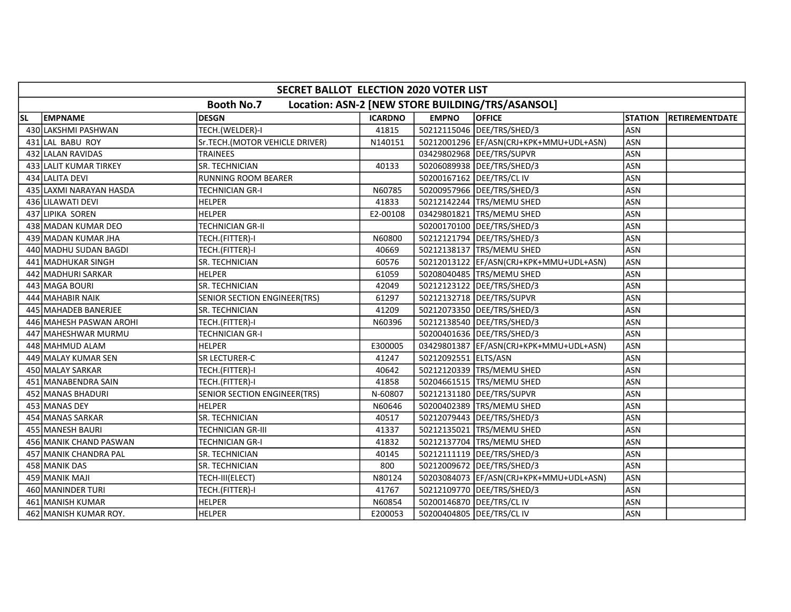|           | SECRET BALLOT ELECTION 2020 VOTER LIST |                                |                |                             |                                                  |                |                |  |  |  |  |
|-----------|----------------------------------------|--------------------------------|----------------|-----------------------------|--------------------------------------------------|----------------|----------------|--|--|--|--|
|           |                                        | <b>Booth No.7</b>              |                |                             | Location: ASN-2 [NEW STORE BUILDING/TRS/ASANSOL] |                |                |  |  |  |  |
| <b>SL</b> | <b>EMPNAME</b>                         | DESGN                          | <b>ICARDNO</b> | <b>EMPNO</b>                | <b>OFFICE</b>                                    | <b>STATION</b> | RETIREMENTDATE |  |  |  |  |
|           | 430 LAKSHMI PASHWAN                    | TECH.(WELDER)-I                | 41815          |                             | 50212115046 DEE/TRS/SHED/3                       | <b>ASN</b>     |                |  |  |  |  |
|           | 431 LAL BABU ROY                       | Sr.TECH.(MOTOR VEHICLE DRIVER) | N140151        |                             | 50212001296 EF/ASN(CRJ+KPK+MMU+UDL+ASN)          | <b>ASN</b>     |                |  |  |  |  |
|           | 432 LALAN RAVIDAS                      | <b>TRAINEES</b>                |                |                             | 03429802968 DEE/TRS/SUPVR                        | <b>ASN</b>     |                |  |  |  |  |
|           | 433 LALIT KUMAR TIRKEY                 | SR. TECHNICIAN                 | 40133          |                             | 50206089938   DEE/TRS/SHED/3                     | ASN            |                |  |  |  |  |
|           | 434 LALITA DEVI                        | <b>RUNNING ROOM BEARER</b>     |                |                             | 50200167162 DEE/TRS/CL IV                        | <b>ASN</b>     |                |  |  |  |  |
|           | 435 LAXMI NARAYAN HASDA                | TECHNICIAN GR-I                | N60785         |                             | 50200957966   DEE/TRS/SHED/3                     | ASN            |                |  |  |  |  |
|           | 436 LILAWATI DEVI                      | <b>HELPER</b>                  | 41833          |                             | 50212142244 TRS/MEMU SHED                        | <b>ASN</b>     |                |  |  |  |  |
|           | 437 LIPIKA SOREN                       | <b>HELPER</b>                  | E2-00108       |                             | 03429801821 TRS/MEMU SHED                        | ASN            |                |  |  |  |  |
|           | 438 MADAN KUMAR DEO                    | <b>TECHNICIAN GR-II</b>        |                |                             | 50200170100 DEE/TRS/SHED/3                       | ASN            |                |  |  |  |  |
|           | 439 MADAN KUMAR JHA                    | TECH.(FITTER)-I                | N60800         |                             | 50212121794   DEE/TRS/SHED/3                     | ASN            |                |  |  |  |  |
|           | 440 MADHU SUDAN BAGDI                  | TECH.(FITTER)-I                | 40669          |                             | 50212138137 TRS/MEMU SHED                        | <b>ASN</b>     |                |  |  |  |  |
|           | 441 MADHUKAR SINGH                     | SR. TECHNICIAN                 | 60576          |                             | 50212013122  EF/ASN(CRJ+KPK+MMU+UDL+ASN)         | <b>ASN</b>     |                |  |  |  |  |
|           | 442 MADHURI SARKAR                     | <b>HELPER</b>                  | 61059          |                             | 50208040485 TRS/MEMU SHED                        | <b>ASN</b>     |                |  |  |  |  |
|           | 443 MAGA BOURI                         | SR. TECHNICIAN                 | 42049          |                             | 50212123122 DEE/TRS/SHED/3                       | <b>ASN</b>     |                |  |  |  |  |
|           | 444 MAHABIR NAIK                       | SENIOR SECTION ENGINEER(TRS)   | 61297          |                             | 50212132718 DEE/TRS/SUPVR                        | <b>ASN</b>     |                |  |  |  |  |
|           | 445 MAHADEB BANERJEE                   | SR. TECHNICIAN                 | 41209          |                             | 50212073350 DEE/TRS/SHED/3                       | ASN            |                |  |  |  |  |
|           | 446 MAHESH PASWAN AROHI                | TECH.(FITTER)-I                | N60396         |                             | 50212138540   DEE/TRS/SHED/3                     | ASN            |                |  |  |  |  |
|           | 447 MAHESHWAR MURMU                    | <b>TECHNICIAN GR-I</b>         |                |                             | 50200401636   DEE/TRS/SHED/3                     | ASN            |                |  |  |  |  |
|           | 448 MAHMUD ALAM                        | <b>HELPER</b>                  | E300005        |                             | 03429801387  EF/ASN(CRJ+KPK+MMU+UDL+ASN)         | <b>ASN</b>     |                |  |  |  |  |
|           | 449 MALAY KUMAR SEN                    | SR LECTURER-C                  | 41247          | 50212092551 ELTS/ASN        |                                                  | <b>ASN</b>     |                |  |  |  |  |
|           | 450 MALAY SARKAR                       | TECH.(FITTER)-I                | 40642          |                             | 50212120339 TRS/MEMU SHED                        | <b>ASN</b>     |                |  |  |  |  |
|           | 451 MANABENDRA SAIN                    | TECH.(FITTER)-I                | 41858          |                             | 50204661515   TRS/MEMU SHED                      | <b>ASN</b>     |                |  |  |  |  |
|           | 452 MANAS BHADURI                      | SENIOR SECTION ENGINEER(TRS)   | N-60807        |                             | 50212131180 DEE/TRS/SUPVR                        | <b>ASN</b>     |                |  |  |  |  |
|           | 453 MANAS DEY                          | <b>HELPER</b>                  | N60646         |                             | 50200402389 TRS/MEMU SHED                        | <b>ASN</b>     |                |  |  |  |  |
|           | 454 MANAS SARKAR                       | <b>SR. TECHNICIAN</b>          | 40517          |                             | 50212079443   DEE/TRS/SHED/3                     | <b>ASN</b>     |                |  |  |  |  |
|           | 455 MANESH BAURI                       | TECHNICIAN GR-III              | 41337          |                             | 50212135021 TRS/MEMU SHED                        | ASN            |                |  |  |  |  |
|           | 456 MANIK CHAND PASWAN                 | TECHNICIAN GR-I                | 41832          |                             | 50212137704 TRS/MEMU SHED                        | <b>ASN</b>     |                |  |  |  |  |
|           | 457 MANIK CHANDRA PAL                  | <b>SR. TECHNICIAN</b>          | 40145          |                             | 50212111119   DEE/TRS/SHED/3                     | <b>ASN</b>     |                |  |  |  |  |
|           | 458 MANIK DAS                          | SR. TECHNICIAN                 | 800            |                             | 50212009672 DEE/TRS/SHED/3                       | <b>ASN</b>     |                |  |  |  |  |
|           | 459 MANIK MAJI                         | TECH-III(ELECT)                | N80124         |                             | 50203084073  EF/ASN(CRJ+KPK+MMU+UDL+ASN)         | <b>ASN</b>     |                |  |  |  |  |
|           | 460 MANINDER TURI                      | TECH.(FITTER)-I                | 41767          |                             | 50212109770 DEE/TRS/SHED/3                       | ASN            |                |  |  |  |  |
|           | 461 MANISH KUMAR                       | <b>HELPER</b>                  | N60854         |                             | 50200146870 DEE/TRS/CL IV                        | ASN            |                |  |  |  |  |
|           | 462 MANISH KUMAR ROY.                  | <b>HELPER</b>                  | E200053        | 50200404805   DEE/TRS/CL IV |                                                  | ASN            |                |  |  |  |  |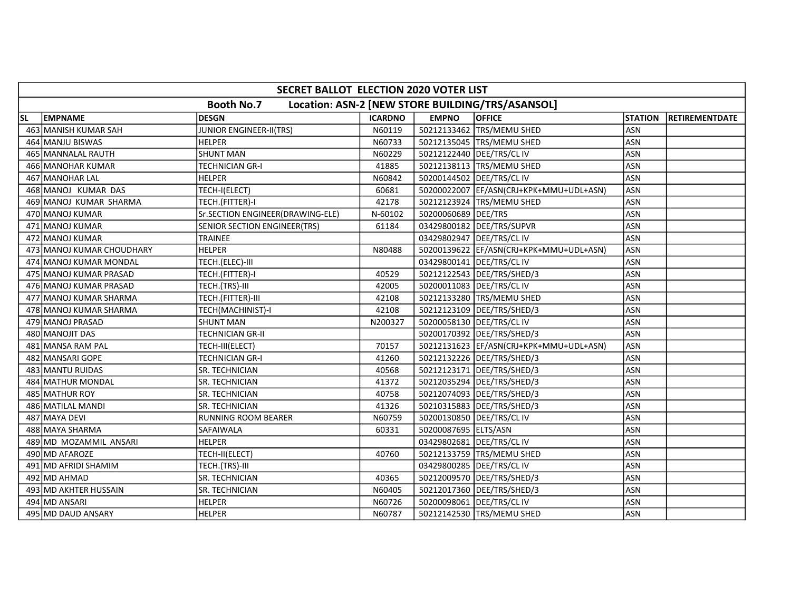|           | SECRET BALLOT ELECTION 2020 VOTER LIST                                |                                  |                |                             |                                           |                |                |  |  |  |
|-----------|-----------------------------------------------------------------------|----------------------------------|----------------|-----------------------------|-------------------------------------------|----------------|----------------|--|--|--|
|           | <b>Booth No.7</b><br>Location: ASN-2 [NEW STORE BUILDING/TRS/ASANSOL] |                                  |                |                             |                                           |                |                |  |  |  |
| <b>SL</b> | <b>EMPNAME</b>                                                        | <b>DESGN</b>                     | <b>ICARDNO</b> | <b>EMPNO</b>                | <b>OFFICE</b>                             | <b>STATION</b> | RETIREMENTDATE |  |  |  |
|           | 463 MANISH KUMAR SAH                                                  | <b>JUNIOR ENGINEER-II(TRS)</b>   | N60119         |                             | 50212133462 TRS/MEMU SHED                 | <b>ASN</b>     |                |  |  |  |
|           | 464 MANJU BISWAS                                                      | <b>HELPER</b>                    | N60733         |                             | 50212135045 TRS/MEMU SHED                 | ASN            |                |  |  |  |
|           | 465 MANNALAL RAUTH                                                    | <b>SHUNT MAN</b>                 | N60229         |                             | 50212122440   DEE/TRS/CL IV               | ASN            |                |  |  |  |
|           | 466 MANOHAR KUMAR                                                     | TECHNICIAN GR-I                  | 41885          |                             | 50212138113   TRS/MEMU SHED               | ASN            |                |  |  |  |
|           | 467 MANOHAR LAL                                                       | <b>HELPER</b>                    | N60842         | 50200144502 DEE/TRS/CL IV   |                                           | ASN            |                |  |  |  |
|           | 468 MANOJ KUMAR DAS                                                   | TECH-I(ELECT)                    | 60681          |                             | 50200022007  EF/ASN(CRJ+KPK+MMU+UDL+ASN)  | <b>ASN</b>     |                |  |  |  |
|           | 469 MANOJ KUMAR SHARMA                                                | TECH.(FITTER)-I                  | 42178          |                             | 50212123924 TRS/MEMU SHED                 | <b>ASN</b>     |                |  |  |  |
|           | 470 MANOJ KUMAR                                                       | Sr.SECTION ENGINEER(DRAWING-ELE) | N-60102        | 50200060689 DEE/TRS         |                                           | ASN            |                |  |  |  |
|           | 471 MANOJ KUMAR                                                       | SENIOR SECTION ENGINEER(TRS)     | 61184          |                             | 03429800182 DEE/TRS/SUPVR                 | ASN            |                |  |  |  |
|           | 472 MANOJ KUMAR                                                       | TRAINEE                          |                |                             | 03429802947   DEE/TRS/CL IV               | <b>ASN</b>     |                |  |  |  |
|           | 473 MANOJ KUMAR CHOUDHARY                                             | <b>HELPER</b>                    | N80488         |                             | 50200139622 EF/ASN(CRJ+KPK+MMU+UDL+ASN)   | ASN            |                |  |  |  |
|           | 474 MANOJ KUMAR MONDAL                                                | TECH.(ELEC)-III                  |                | 03429800141   DEE/TRS/CL IV |                                           | <b>ASN</b>     |                |  |  |  |
|           | 475 MANOJ KUMAR PRASAD                                                | TECH.(FITTER)-I                  | 40529          |                             | 50212122543   DEE/TRS/SHED/3              | ASN            |                |  |  |  |
|           | 476 MANOJ KUMAR PRASAD                                                | TECH.(TRS)-III                   | 42005          | 50200011083 DEE/TRS/CL IV   |                                           | ASN            |                |  |  |  |
|           | 477 MANOJ KUMAR SHARMA                                                | TECH.(FITTER)-III                | 42108          |                             | 50212133280 TRS/MEMU SHED                 | <b>ASN</b>     |                |  |  |  |
|           | 478 MANOJ KUMAR SHARMA                                                | TECH(MACHINIST)-I                | 42108          |                             | 50212123109   DEE/TRS/SHED/3              | ASN            |                |  |  |  |
|           | 479 MANOJ PRASAD                                                      | <b>SHUNT MAN</b>                 | N200327        |                             | 50200058130   DEE/TRS/CL IV               | <b>ASN</b>     |                |  |  |  |
|           | 480 MANOJIT DAS                                                       | TECHNICIAN GR-II                 |                |                             | 50200170392   DEE/TRS/SHED/3              | ASN            |                |  |  |  |
|           | 481 MANSA RAM PAL                                                     | TECH-III(ELECT)                  | 70157          |                             | 50212131623   EF/ASN(CRJ+KPK+MMU+UDL+ASN) | <b>ASN</b>     |                |  |  |  |
|           | 482 MANSARI GOPE                                                      | TECHNICIAN GR-I                  | 41260          |                             | 50212132226   DEE/TRS/SHED/3              | <b>ASN</b>     |                |  |  |  |
|           | 483 MANTU RUIDAS                                                      | SR. TECHNICIAN                   | 40568          |                             | 50212123171   DEE/TRS/SHED/3              | <b>ASN</b>     |                |  |  |  |
|           | 484 MATHUR MONDAL                                                     | <b>SR. TECHNICIAN</b>            | 41372          |                             | 50212035294  DEE/TRS/SHED/3               | <b>ASN</b>     |                |  |  |  |
|           | 485 MATHUR ROY                                                        | SR. TECHNICIAN                   | 40758          |                             | 50212074093 DEE/TRS/SHED/3                | <b>ASN</b>     |                |  |  |  |
|           | 486 MATILAL MANDI                                                     | SR. TECHNICIAN                   | 41326          |                             | 50210315883 DEE/TRS/SHED/3                | <b>ASN</b>     |                |  |  |  |
|           | 487 MAYA DEVI                                                         | <b>RUNNING ROOM BEARER</b>       | N60759         | 50200130850 DEE/TRS/CL IV   |                                           | <b>ASN</b>     |                |  |  |  |
|           | 488 MAYA SHARMA                                                       | <b>SAFAIWALA</b>                 | 60331          | 50200087695 ELTS/ASN        |                                           | ASN            |                |  |  |  |
|           | 489 MD MOZAMMIL ANSARI                                                | <b>HELPER</b>                    |                | 03429802681   DEE/TRS/CL IV |                                           | <b>ASN</b>     |                |  |  |  |
|           | 490 MD AFAROZE                                                        | TECH-II(ELECT)                   | 40760          |                             | 50212133759 TRS/MEMU SHED                 | ASN            |                |  |  |  |
|           | 491 MD AFRIDI SHAMIM                                                  | TECH.(TRS)-III                   |                | 03429800285 DEE/TRS/CL IV   |                                           | ASN            |                |  |  |  |
|           | 492 MD AHMAD                                                          | <b>SR. TECHNICIAN</b>            | 40365          |                             | 50212009570   DEE/TRS/SHED/3              | <b>ASN</b>     |                |  |  |  |
|           | 493 MD AKHTER HUSSAIN                                                 | SR. TECHNICIAN                   | N60405         |                             | 50212017360 DEE/TRS/SHED/3                | ASN            |                |  |  |  |
|           | 494 MD ANSARI                                                         | <b>HELPER</b>                    | N60726         | 50200098061   DEE/TRS/CL IV |                                           | <b>ASN</b>     |                |  |  |  |
|           | 495 MD DAUD ANSARY                                                    | <b>HELPER</b>                    | N60787         |                             | 50212142530 TRS/MEMU SHED                 | ASN            |                |  |  |  |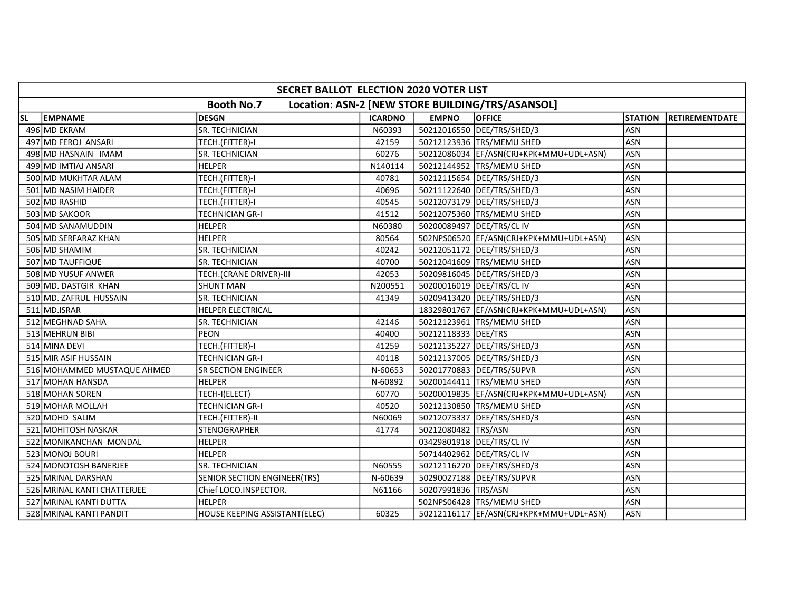|           | SECRET BALLOT ELECTION 2020 VOTER LIST |                               |                |                             |                                                  |                |                        |  |  |  |
|-----------|----------------------------------------|-------------------------------|----------------|-----------------------------|--------------------------------------------------|----------------|------------------------|--|--|--|
|           |                                        | <b>Booth No.7</b>             |                |                             | Location: ASN-2 [NEW STORE BUILDING/TRS/ASANSOL] |                |                        |  |  |  |
| <b>SL</b> | <b>EMPNAME</b>                         | <b>DESGN</b>                  | <b>ICARDNO</b> | <b>EMPNO</b>                | <b>OFFICE</b>                                    | <b>STATION</b> | <b>IRETIREMENTDATE</b> |  |  |  |
|           | 496 MD EKRAM                           | SR. TECHNICIAN                | N60393         |                             | 50212016550 DEE/TRS/SHED/3                       | <b>ASN</b>     |                        |  |  |  |
|           | 497 MD FEROJ ANSARI                    | TECH.(FITTER)-I               | 42159          |                             | 50212123936 TRS/MEMU SHED                        | <b>ASN</b>     |                        |  |  |  |
|           | 498 MD HASNAIN IMAM                    | SR. TECHNICIAN                | 60276          |                             | 50212086034 EF/ASN(CRJ+KPK+MMU+UDL+ASN)          | ASN            |                        |  |  |  |
|           | 499 MD IMTIAJ ANSARI                   | <b>HELPER</b>                 | N140114        |                             | 50212144952 TRS/MEMU SHED                        | <b>ASN</b>     |                        |  |  |  |
|           | 500 MD MUKHTAR ALAM                    | TECH.(FITTER)-I               | 40781          |                             | 50212115654   DEE/TRS/SHED/3                     | <b>ASN</b>     |                        |  |  |  |
|           | 501 MD NASIM HAIDER                    | TECH.(FITTER)-I               | 40696          |                             | 50211122640   DEE/TRS/SHED/3                     | <b>ASN</b>     |                        |  |  |  |
|           | 502 MD RASHID                          | TECH.(FITTER)-I               | 40545          |                             | 50212073179   DEE/TRS/SHED/3                     | <b>ASN</b>     |                        |  |  |  |
|           | 503 MD SAKOOR                          | <b>TECHNICIAN GR-I</b>        | 41512          |                             | 50212075360 TRS/MEMU SHED                        | <b>ASN</b>     |                        |  |  |  |
|           | 504 MD SANAMUDDIN                      | <b>HELPER</b>                 | N60380         | 50200089497   DEE/TRS/CL IV |                                                  | ASN            |                        |  |  |  |
|           | 505 MD SERFARAZ KHAN                   | <b>HELPER</b>                 | 80564          |                             | 502NPS06520  EF/ASN(CRJ+KPK+MMU+UDL+ASN)         | <b>ASN</b>     |                        |  |  |  |
|           | 506 MD SHAMIM                          | SR. TECHNICIAN                | 40242          |                             | 50212051172   DEE/TRS/SHED/3                     | <b>ASN</b>     |                        |  |  |  |
|           | 507 MD TAUFFIQUE                       | SR. TECHNICIAN                | 40700          |                             | 50212041609 TRS/MEMU SHED                        | <b>ASN</b>     |                        |  |  |  |
|           | 508 MD YUSUF ANWER                     | TECH.(CRANE DRIVER)-III       | 42053          |                             | 50209816045   DEE/TRS/SHED/3                     | <b>ASN</b>     |                        |  |  |  |
|           | 509 MD. DASTGIR KHAN                   | <b>SHUNT MAN</b>              | N200551        | 50200016019   DEE/TRS/CL IV |                                                  | ASN            |                        |  |  |  |
|           | 510 MD. ZAFRUL HUSSAIN                 | SR. TECHNICIAN                | 41349          |                             | 50209413420   DEE/TRS/SHED/3                     | <b>ASN</b>     |                        |  |  |  |
|           | 511 MD.ISRAR                           | HELPER ELECTRICAL             |                |                             | 18329801767 EF/ASN(CRJ+KPK+MMU+UDL+ASN)          | ASN            |                        |  |  |  |
|           | 512 MEGHNAD SAHA                       | SR. TECHNICIAN                | 42146          |                             | 50212123961  TRS/MEMU SHED                       | <b>ASN</b>     |                        |  |  |  |
|           | 513 MEHRUN BIBI                        | <b>PEON</b>                   | 40400          | 50212118333 DEE/TRS         |                                                  | <b>ASN</b>     |                        |  |  |  |
|           | 514 MINA DEVI                          | TECH.(FITTER)-I               | 41259          |                             | 50212135227 DEE/TRS/SHED/3                       | <b>ASN</b>     |                        |  |  |  |
|           | 515 MIR ASIF HUSSAIN                   | <b>TECHNICIAN GR-I</b>        | 40118          |                             | 50212137005   DEE/TRS/SHED/3                     | <b>ASN</b>     |                        |  |  |  |
|           | 516 MOHAMMED MUSTAQUE AHMED            | <b>SR SECTION ENGINEER</b>    | N-60653        |                             | 50201770883 DEE/TRS/SUPVR                        | <b>ASN</b>     |                        |  |  |  |
|           | 517 MOHAN HANSDA                       | <b>HELPER</b>                 | N-60892        |                             | 50200144411 TRS/MEMU SHED                        | <b>ASN</b>     |                        |  |  |  |
|           | 518 MOHAN SOREN                        | TECH-I(ELECT)                 | 60770          |                             | 50200019835  EF/ASN(CRJ+KPK+MMU+UDL+ASN)         | <b>ASN</b>     |                        |  |  |  |
|           | 519 MOHAR MOLLAH                       | TECHNICIAN GR-I               | 40520          |                             | 50212130850 TRS/MEMU SHED                        | ASN            |                        |  |  |  |
|           | 520 MOHD SALIM                         | TECH.(FITTER)-II              | N60069         |                             | 50212073337 DEE/TRS/SHED/3                       | <b>ASN</b>     |                        |  |  |  |
|           | 521 MOHITOSH NASKAR                    | <b>STENOGRAPHER</b>           | 41774          | 50212080482 TRS/ASN         |                                                  | <b>ASN</b>     |                        |  |  |  |
|           | 522 MONIKANCHAN MONDAL                 | <b>HELPER</b>                 |                | 03429801918   DEE/TRS/CL IV |                                                  | ASN            |                        |  |  |  |
|           | 523 MONOJ BOURI                        | <b>HELPER</b>                 |                | 50714402962 DEE/TRS/CL IV   |                                                  | ASN            |                        |  |  |  |
|           | 524 MONOTOSH BANERJEE                  | <b>SR. TECHNICIAN</b>         | N60555         |                             | 50212116270   DEE/TRS/SHED/3                     | <b>ASN</b>     |                        |  |  |  |
|           | 525 MRINAL DARSHAN                     | SENIOR SECTION ENGINEER(TRS)  | N-60639        |                             | 50290027188   DEE/TRS/SUPVR                      | ASN            |                        |  |  |  |
|           | 526 MRINAL KANTI CHATTERJEE            | Chief LOCO.INSPECTOR.         | N61166         | 50207991836 TRS/ASN         |                                                  | ASN            |                        |  |  |  |
|           | 527 MRINAL KANTI DUTTA                 | <b>HELPER</b>                 |                |                             | 502NPS06428 TRS/MEMU SHED                        | <b>ASN</b>     |                        |  |  |  |
|           | 528 MRINAL KANTI PANDIT                | HOUSE KEEPING ASSISTANT(ELEC) | 60325          |                             | 50212116117  EF/ASN(CRJ+KPK+MMU+UDL+ASN)         | <b>ASN</b>     |                        |  |  |  |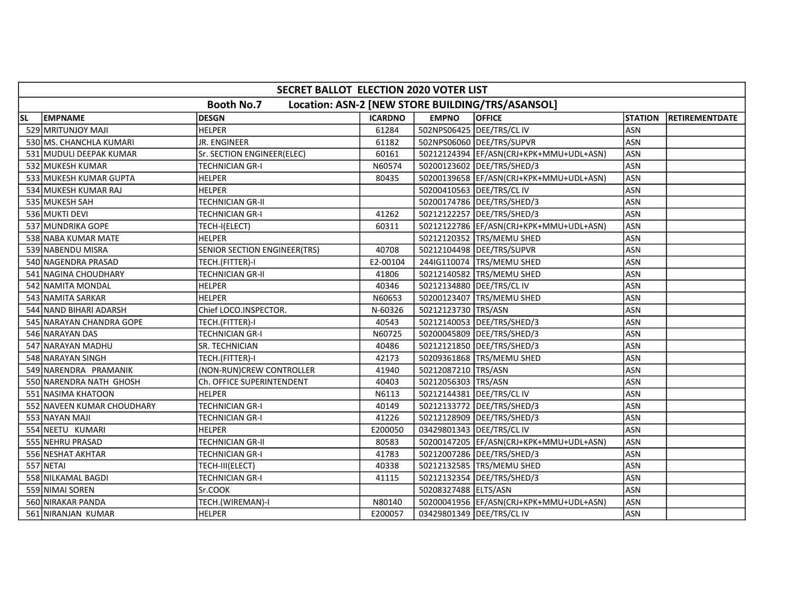|           | SECRET BALLOT ELECTION 2020 VOTER LIST |                              |                |                             |                                                  |                |                |  |  |  |
|-----------|----------------------------------------|------------------------------|----------------|-----------------------------|--------------------------------------------------|----------------|----------------|--|--|--|
|           |                                        | <b>Booth No.7</b>            |                |                             | Location: ASN-2 [NEW STORE BUILDING/TRS/ASANSOL] |                |                |  |  |  |
| <b>SL</b> | <b>EMPNAME</b>                         | <b>DESGN</b>                 | <b>ICARDNO</b> | <b>EMPNO</b>                | <b>OFFICE</b>                                    | <b>STATION</b> | RETIREMENTDATE |  |  |  |
|           | 529 MRITUNJOY MAJI                     | <b>HELPER</b>                | 61284          | 502NPS06425 DEE/TRS/CL IV   |                                                  | ASN            |                |  |  |  |
|           | 530 MS. CHANCHLA KUMARI                | JR. ENGINEER                 | 61182          |                             | 502NPS06060 DEE/TRS/SUPVR                        | <b>ASN</b>     |                |  |  |  |
|           | 531 MUDULI DEEPAK KUMAR                | Sr. SECTION ENGINEER(ELEC)   | 60161          |                             | 50212124394 EF/ASN(CRJ+KPK+MMU+UDL+ASN)          | <b>ASN</b>     |                |  |  |  |
|           | 532 MUKESH KUMAR                       | <b>TECHNICIAN GR-I</b>       | N60574         |                             | 50200123602 DEE/TRS/SHED/3                       | <b>ASN</b>     |                |  |  |  |
|           | 533 MUKESH KUMAR GUPTA                 | <b>HELPER</b>                | 80435          |                             | 50200139658 EF/ASN(CRJ+KPK+MMU+UDL+ASN)          | <b>ASN</b>     |                |  |  |  |
|           | 534 MUKESH KUMAR RAJ                   | HELPER                       |                |                             | 50200410563   DEE/TRS/CL IV                      | <b>ASN</b>     |                |  |  |  |
|           | 535 MUKESH SAH                         | <b>TECHNICIAN GR-II</b>      |                |                             | 50200174786 DEE/TRS/SHED/3                       | ASN            |                |  |  |  |
|           | 536 MUKTI DEVI                         | <b>TECHNICIAN GR-I</b>       | 41262          |                             | 50212122257   DEE/TRS/SHED/3                     | ASN            |                |  |  |  |
|           | 537 MUNDRIKA GOPE                      | TECH-I(ELECT)                | 60311          |                             | 50212122786   EF/ASN(CRJ+KPK+MMU+UDL+ASN)        | ASN            |                |  |  |  |
|           | 538 NABA KUMAR MATE                    | <b>HELPER</b>                |                |                             | 50212120352 TRS/MEMU SHED                        | ASN            |                |  |  |  |
|           | 539 NABENDU MISRA                      | SENIOR SECTION ENGINEER(TRS) | 40708          |                             | 50212104498 DEE/TRS/SUPVR                        | <b>ASN</b>     |                |  |  |  |
|           | 540 NAGENDRA PRASAD                    | TECH.(FITTER)-I              | E2-00104       |                             | 2441G110074   TRS/MEMU SHED                      | <b>ASN</b>     |                |  |  |  |
|           | 541 NAGINA CHOUDHARY                   | <b>TECHNICIAN GR-II</b>      | 41806          |                             | 50212140582 TRS/MEMU SHED                        | ASN            |                |  |  |  |
|           | 542 NAMITA MONDAL                      | <b>HELPER</b>                | 40346          | 50212134880 DEE/TRS/CL IV   |                                                  | ASN            |                |  |  |  |
|           | 543 NAMITA SARKAR                      | HELPER                       | N60653         |                             | 50200123407   TRS/MEMU SHED                      | <b>ASN</b>     |                |  |  |  |
|           | 544 NAND BIHARI ADARSH                 | Chief LOCO.INSPECTOR.        | N-60326        | 50212123730 TRS/ASN         |                                                  | ASN            |                |  |  |  |
|           | 545 NARAYAN CHANDRA GOPE               | TECH.(FITTER)-I              | 40543          |                             | 50212140053   DEE/TRS/SHED/3                     | <b>ASN</b>     |                |  |  |  |
|           | 546 NARAYAN DAS                        | TECHNICIAN GR-I              | N60725         |                             | 50200045809 DEE/TRS/SHED/3                       | <b>ASN</b>     |                |  |  |  |
|           | 547 NARAYAN MADHU                      | SR. TECHNICIAN               | 40486          |                             | 50212121850   DEE/TRS/SHED/3                     | <b>ASN</b>     |                |  |  |  |
|           | 548 NARAYAN SINGH                      | TECH.(FITTER)-I              | 42173          |                             | 50209361868 TRS/MEMU SHED                        | <b>ASN</b>     |                |  |  |  |
|           | 549 NARENDRA PRAMANIK                  | (NON-RUN)CREW CONTROLLER     | 41940          | 50212087210 TRS/ASN         |                                                  | <b>ASN</b>     |                |  |  |  |
|           | 550 NARENDRA NATH GHOSH                | Ch. OFFICE SUPERINTENDENT    | 40403          | 50212056303 TRS/ASN         |                                                  | <b>ASN</b>     |                |  |  |  |
|           | 551 NASIMA KHATOON                     | <b>HELPER</b>                | N6113          | 50212144381 DEE/TRS/CL IV   |                                                  | ASN            |                |  |  |  |
|           | 552 NAVEEN KUMAR CHOUDHARY             | <b>TECHNICIAN GR-I</b>       | 40149          |                             | 50212133772 DEE/TRS/SHED/3                       | <b>ASN</b>     |                |  |  |  |
|           | 553 NAYAN MAJI                         | <b>TECHNICIAN GR-I</b>       | 41226          |                             | 50212128909   DEE/TRS/SHED/3                     | <b>ASN</b>     |                |  |  |  |
|           | 554 NEETU KUMARI                       | <b>HELPER</b>                | E200050        | 03429801343  DEE/TRS/CL IV  |                                                  | <b>ASN</b>     |                |  |  |  |
|           | 555 NEHRU PRASAD                       | <b>TECHNICIAN GR-II</b>      | 80583          |                             | 50200147205  EF/ASN(CRJ+KPK+MMU+UDL+ASN)         | <b>ASN</b>     |                |  |  |  |
|           | 556 NESHAT AKHTAR                      | <b>TECHNICIAN GR-I</b>       | 41783          |                             | 50212007286   DEE/TRS/SHED/3                     | <b>ASN</b>     |                |  |  |  |
|           | 557 NETAI                              | TECH-III(ELECT)              | 40338          |                             | 50212132585 TRS/MEMU SHED                        | <b>ASN</b>     |                |  |  |  |
|           | 558 NILKAMAL BAGDI                     | <b>TECHNICIAN GR-I</b>       | 41115          |                             | 50212132354   DEE/TRS/SHED/3                     | <b>ASN</b>     |                |  |  |  |
|           | 559 NIMAI SOREN                        | Sr.COOK                      |                | 50208327488 ELTS/ASN        |                                                  | ASN            |                |  |  |  |
|           | 560 NIRAKAR PANDA                      | TECH.(WIREMAN)-I             | N80140         |                             | 50200041956  EF/ASN(CRJ+KPK+MMU+UDL+ASN)         | <b>ASN</b>     |                |  |  |  |
|           | 561 NIRANJAN KUMAR                     | <b>HELPER</b>                | E200057        | 03429801349   DEE/TRS/CL IV |                                                  | ASN            |                |  |  |  |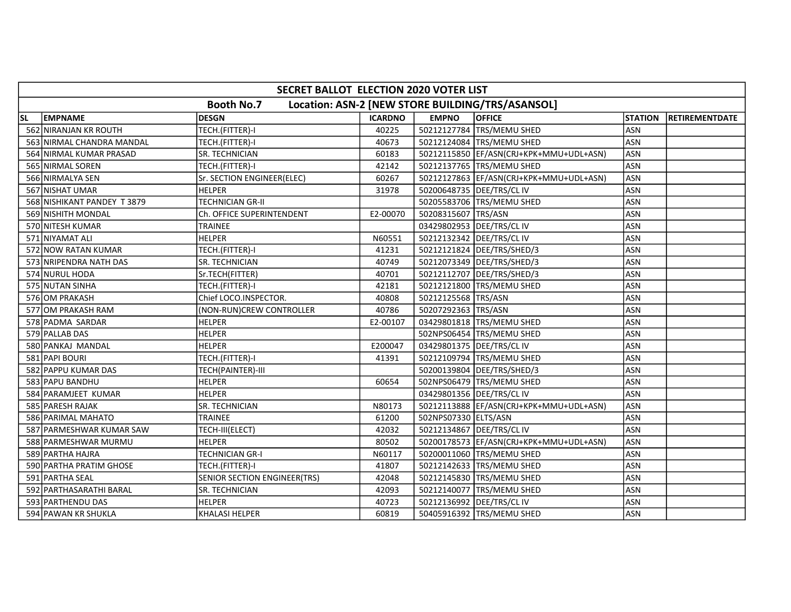|           | SECRET BALLOT ELECTION 2020 VOTER LIST                                |                                     |                |                      |                                          |                |                |  |  |  |
|-----------|-----------------------------------------------------------------------|-------------------------------------|----------------|----------------------|------------------------------------------|----------------|----------------|--|--|--|
|           | <b>Booth No.7</b><br>Location: ASN-2 [NEW STORE BUILDING/TRS/ASANSOL] |                                     |                |                      |                                          |                |                |  |  |  |
| <b>SL</b> | <b>EMPNAME</b>                                                        | <b>DESGN</b>                        | <b>ICARDNO</b> | <b>EMPNO</b>         | <b>OFFICE</b>                            | <b>STATION</b> | RETIREMENTDATE |  |  |  |
|           | 562 NIRANJAN KR ROUTH                                                 | TECH.(FITTER)-I                     | 40225          |                      | 50212127784 TRS/MEMU SHED                | <b>ASN</b>     |                |  |  |  |
|           | 563 NIRMAL CHANDRA MANDAL                                             | TECH.(FITTER)-I                     | 40673          |                      | 50212124084 TRS/MEMU SHED                | <b>ASN</b>     |                |  |  |  |
|           | 564 NIRMAL KUMAR PRASAD                                               | SR. TECHNICIAN                      | 60183          |                      | 50212115850 EF/ASN(CRJ+KPK+MMU+UDL+ASN)  | <b>ASN</b>     |                |  |  |  |
|           | 565 NIRMAL SOREN                                                      | TECH.(FITTER)-I                     | 42142          |                      | 50212137765 TRS/MEMU SHED                | <b>ASN</b>     |                |  |  |  |
|           | 566 NIRMALYA SEN                                                      | Sr. SECTION ENGINEER(ELEC)          | 60267          |                      | 50212127863  EF/ASN(CRJ+KPK+MMU+UDL+ASN) | <b>ASN</b>     |                |  |  |  |
|           | 567 NISHAT UMAR                                                       | <b>HELPER</b>                       | 31978          |                      | 50200648735   DEE/TRS/CL IV              | ASN            |                |  |  |  |
|           | 568 NISHIKANT PANDEY T3879                                            | <b>TECHNICIAN GR-II</b>             |                |                      | 50205583706 TRS/MEMU SHED                | <b>ASN</b>     |                |  |  |  |
|           | 569 NISHITH MONDAL                                                    | Ch. OFFICE SUPERINTENDENT           | E2-00070       | 50208315607 TRS/ASN  |                                          | <b>ASN</b>     |                |  |  |  |
|           | 570 NITESH KUMAR                                                      | <b>TRAINEE</b>                      |                |                      | 03429802953 DEE/TRS/CL IV                | <b>ASN</b>     |                |  |  |  |
|           | 571 NIYAMAT ALI                                                       | <b>HELPER</b>                       | N60551         |                      | 50212132342 DEE/TRS/CL IV                | ASN            |                |  |  |  |
|           | 572 NOW RATAN KUMAR                                                   | TECH.(FITTER)-I                     | 41231          |                      | 50212121824 DEE/TRS/SHED/3               | <b>ASN</b>     |                |  |  |  |
|           | 573 NRIPENDRA NATH DAS                                                | SR. TECHNICIAN                      | 40749          |                      | 50212073349   DEE/TRS/SHED/3             | <b>ASN</b>     |                |  |  |  |
|           | 574 NURUL HODA                                                        | Sr.TECH(FITTER)                     | 40701          |                      | 50212112707   DEE/TRS/SHED/3             | <b>ASN</b>     |                |  |  |  |
|           | 575 NUTAN SINHA                                                       | TECH.(FITTER)-I                     | 42181          |                      | 50212121800 TRS/MEMU SHED                | ASN            |                |  |  |  |
|           | 576 OM PRAKASH                                                        | Chief LOCO.INSPECTOR.               | 40808          | 50212125568 TRS/ASN  |                                          | <b>ASN</b>     |                |  |  |  |
|           | 577 OM PRAKASH RAM                                                    | (NON-RUN)CREW CONTROLLER            | 40786          | 50207292363 TRS/ASN  |                                          | ASN            |                |  |  |  |
|           | 578 PADMA SARDAR                                                      | <b>HELPER</b>                       | E2-00107       |                      | 03429801818   TRS/MEMU SHED              | ASN            |                |  |  |  |
|           | 579 PALLAB DAS                                                        | <b>HELPER</b>                       |                |                      | 502NPS06454 TRS/MEMU SHED                | ASN            |                |  |  |  |
|           | 580 PANKAJ MANDAL                                                     | <b>HELPER</b>                       | E200047        |                      | 03429801375   DEE/TRS/CL IV              | ASN            |                |  |  |  |
|           | 581 PAPI BOURI                                                        | TECH.(FITTER)-I                     | 41391          |                      | 50212109794 TRS/MEMU SHED                | <b>ASN</b>     |                |  |  |  |
|           | 582 PAPPU KUMAR DAS                                                   | TECH(PAINTER)-III                   |                |                      | 50200139804   DEE/TRS/SHED/3             | ASN            |                |  |  |  |
|           | 583 PAPU BANDHU                                                       | <b>HELPER</b>                       | 60654          |                      | 502NPS06479 TRS/MEMU SHED                | <b>ASN</b>     |                |  |  |  |
|           | 584 PARAMJEET KUMAR                                                   | <b>HELPER</b>                       |                |                      | 03429801356 DEE/TRS/CL IV                | <b>ASN</b>     |                |  |  |  |
|           | 585 PARESH RAJAK                                                      | SR. TECHNICIAN                      | N80173         |                      | 50212113888 EF/ASN(CRJ+KPK+MMU+UDL+ASN)  | <b>ASN</b>     |                |  |  |  |
|           | 586 PARIMAL MAHATO                                                    | <b>TRAINEE</b>                      | 61200          | 502NPS07330 ELTS/ASN |                                          | <b>ASN</b>     |                |  |  |  |
|           | 587 PARMESHWAR KUMAR SAW                                              | TECH-III(ELECT)                     | 42032          |                      | 50212134867 DEE/TRS/CL IV                | ASN            |                |  |  |  |
|           | 588 PARMESHWAR MURMU                                                  | <b>HELPER</b>                       | 80502          |                      | 50200178573  EF/ASN(CRJ+KPK+MMU+UDL+ASN) | <b>ASN</b>     |                |  |  |  |
|           | 589 PARTHA HAJRA                                                      | <b>TECHNICIAN GR-I</b>              | N60117         |                      | 50200011060 TRS/MEMU SHED                | ASN            |                |  |  |  |
|           | 590 PARTHA PRATIM GHOSE                                               | TECH.(FITTER)-I                     | 41807          |                      | 50212142633 TRS/MEMU SHED                | <b>ASN</b>     |                |  |  |  |
|           | 591 PARTHA SEAL                                                       | <b>SENIOR SECTION ENGINEER(TRS)</b> | 42048          |                      | 50212145830 TRS/MEMU SHED                | <b>ASN</b>     |                |  |  |  |
|           | 592 PARTHASARATHI BARAL                                               | SR. TECHNICIAN                      | 42093          |                      | 50212140077 TRS/MEMU SHED                | ASN            |                |  |  |  |
|           | 593 PARTHENDU DAS                                                     | <b>HELPER</b>                       | 40723          |                      | 50212136992 DEE/TRS/CL IV                | <b>ASN</b>     |                |  |  |  |
|           | 594 PAWAN KR SHUKLA                                                   | <b>KHALASI HELPER</b>               | 60819          |                      | 50405916392 TRS/MEMU SHED                | <b>ASN</b>     |                |  |  |  |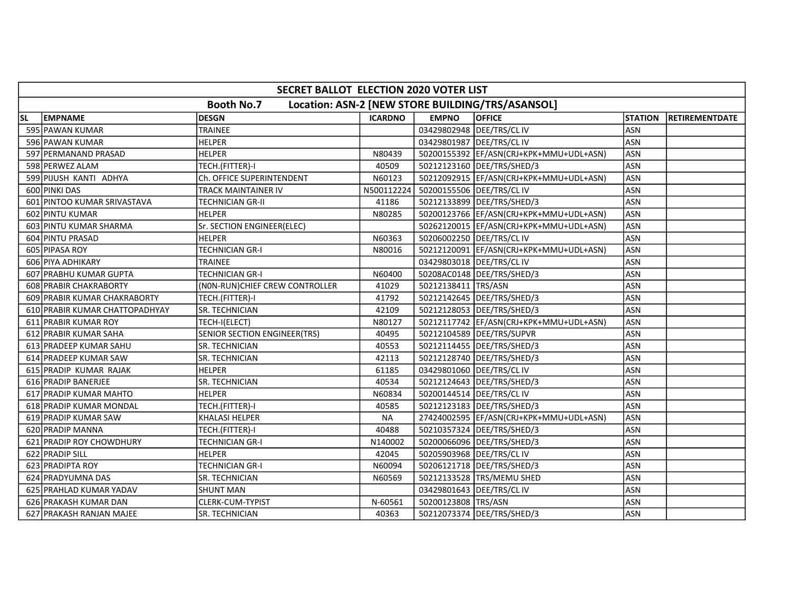|    | SECRET BALLOT ELECTION 2020 VOTER LIST |                                 |                |                      |                                                  |                |                       |  |  |  |  |
|----|----------------------------------------|---------------------------------|----------------|----------------------|--------------------------------------------------|----------------|-----------------------|--|--|--|--|
|    |                                        | <b>Booth No.7</b>               |                |                      | Location: ASN-2 [NEW STORE BUILDING/TRS/ASANSOL] |                |                       |  |  |  |  |
| SL | <b>EMPNAME</b>                         | <b>DESGN</b>                    | <b>ICARDNO</b> | <b>EMPNO</b>         | <b>OFFICE</b>                                    | <b>STATION</b> | <b>RETIREMENTDATE</b> |  |  |  |  |
|    | 595 PAWAN KUMAR                        | TRAINEE                         |                |                      | 03429802948 DEE/TRS/CL IV                        | <b>ASN</b>     |                       |  |  |  |  |
|    | 596 PAWAN KUMAR                        | <b>HELPER</b>                   |                |                      | 03429801987 DEE/TRS/CL IV                        | <b>ASN</b>     |                       |  |  |  |  |
|    | 597 PERMANAND PRASAD                   | <b>HELPER</b>                   | N80439         |                      | 50200155392 EF/ASN(CRJ+KPK+MMU+UDL+ASN)          | <b>ASN</b>     |                       |  |  |  |  |
|    | 598 PERWEZ ALAM                        | TECH.(FITTER)-I                 | 40509          |                      | 50212123160   DEE/TRS/SHED/3                     | <b>ASN</b>     |                       |  |  |  |  |
|    | 599 PIJUSH KANTI ADHYA                 | Ch. OFFICE SUPERINTENDENT       | N60123         |                      | 50212092915  EF/ASN(CRJ+KPK+MMU+UDL+ASN)         | <b>ASN</b>     |                       |  |  |  |  |
|    | 600 PINKI DAS                          | TRACK MAINTAINER IV             | N500112224     |                      | 50200155506   DEE/TRS/CL IV                      | ASN            |                       |  |  |  |  |
|    | 601 PINTOO KUMAR SRIVASTAVA            | TECHNICIAN GR-II                | 41186          |                      | 50212133899   DEE/TRS/SHED/3                     | <b>ASN</b>     |                       |  |  |  |  |
|    | 602 PINTU KUMAR                        | <b>HELPER</b>                   | N80285         |                      | 50200123766  EF/ASN(CRJ+KPK+MMU+UDL+ASN)         | <b>ASN</b>     |                       |  |  |  |  |
|    | 603 PINTU KUMAR SHARMA                 | Sr. SECTION ENGINEER(ELEC)      |                |                      | 50262120015   EF/ASN(CRJ+KPK+MMU+UDL+ASN)        | <b>ASN</b>     |                       |  |  |  |  |
|    | 604 PINTU PRASAD                       | <b>HELPER</b>                   | N60363         |                      | 50206002250 DEE/TRS/CL IV                        | <b>ASN</b>     |                       |  |  |  |  |
|    | 605 PIPASA ROY                         | TECHNICIAN GR-I                 | N80016         |                      | 50212120091  EF/ASN(CRJ+KPK+MMU+UDL+ASN)         | <b>ASN</b>     |                       |  |  |  |  |
|    | 606 PIYA ADHIKARY                      | <b>TRAINEE</b>                  |                |                      | 03429803018 DEE/TRS/CL IV                        | <b>ASN</b>     |                       |  |  |  |  |
|    | 607 PRABHU KUMAR GUPTA                 | <b>TECHNICIAN GR-I</b>          | N60400         |                      | 50208AC0148   DEE/TRS/SHED/3                     | <b>ASN</b>     |                       |  |  |  |  |
|    | 608 PRABIR CHAKRABORTY                 | (NON-RUN) CHIEF CREW CONTROLLER | 41029          | 50212138411 TRS/ASN  |                                                  | <b>ASN</b>     |                       |  |  |  |  |
|    | 609 PRABIR KUMAR CHAKRABORTY           | TECH.(FITTER)-I                 | 41792          |                      | 50212142645   DEE/TRS/SHED/3                     | ASN            |                       |  |  |  |  |
|    | 610 PRABIR KUMAR CHATTOPADHYAY         | <b>SR. TECHNICIAN</b>           | 42109          |                      | 50212128053   DEE/TRS/SHED/3                     | <b>ASN</b>     |                       |  |  |  |  |
|    | 611 PRABIR KUMAR ROY                   | TECH-I(ELECT)                   | N80127         |                      | 50212117742  EF/ASN(CRJ+KPK+MMU+UDL+ASN)         | <b>ASN</b>     |                       |  |  |  |  |
|    | 612 PRABIR KUMAR SAHA                  | SENIOR SECTION ENGINEER(TRS)    | 40495          |                      | 50212104589   DEE/TRS/SUPVR                      | ASN            |                       |  |  |  |  |
|    | 613 PRADEEP KUMAR SAHU                 | SR. TECHNICIAN                  | 40553          |                      | 50212114455   DEE/TRS/SHED/3                     | <b>ASN</b>     |                       |  |  |  |  |
|    | 614 PRADEEP KUMAR SAW                  | <b>SR. TECHNICIAN</b>           | 42113          |                      | 50212128740   DEE/TRS/SHED/3                     | <b>ASN</b>     |                       |  |  |  |  |
|    | 615 PRADIP KUMAR RAJAK                 | <b>HELPER</b>                   | 61185          |                      | 03429801060   DEE/TRS/CL IV                      | <b>ASN</b>     |                       |  |  |  |  |
|    | 616 PRADIP BANERJEE                    | SR. TECHNICIAN                  | 40534          |                      | 50212124643  DEE/TRS/SHED/3                      | <b>ASN</b>     |                       |  |  |  |  |
|    | 617 PRADIP KUMAR MAHTO                 | <b>HELPER</b>                   | N60834         |                      | 50200144514 DEE/TRS/CL IV                        | <b>ASN</b>     |                       |  |  |  |  |
|    | 618 PRADIP KUMAR MONDAL                | TECH.(FITTER)-I                 | 40585          |                      | 50212123183   DEE/TRS/SHED/3                     | <b>ASN</b>     |                       |  |  |  |  |
|    | 619 PRADIP KUMAR SAW                   | <b>KHALASI HELPER</b>           | <b>NA</b>      |                      | 27424002595 EF/ASN(CRJ+KPK+MMU+UDL+ASN)          | <b>ASN</b>     |                       |  |  |  |  |
|    | 620 PRADIP MANNA                       | TECH.(FITTER)-I                 | 40488          |                      | 50210357324 DEE/TRS/SHED/3                       | ASN            |                       |  |  |  |  |
|    | 621 PRADIP ROY CHOWDHURY               | <b>TECHNICIAN GR-I</b>          | N140002        |                      | 50200066096 DEE/TRS/SHED/3                       | <b>ASN</b>     |                       |  |  |  |  |
|    | 622 PRADIP SILL                        | <b>HELPER</b>                   | 42045          |                      | 50205903968 DEE/TRS/CL IV                        | <b>ASN</b>     |                       |  |  |  |  |
|    | 623 PRADIPTA ROY                       | <b>TECHNICIAN GR-I</b>          | N60094         |                      | 50206121718   DEE/TRS/SHED/3                     | <b>ASN</b>     |                       |  |  |  |  |
|    | 624 PRADYUMNA DAS                      | SR. TECHNICIAN                  | N60569         |                      | 50212133528 TRS/MEMU SHED                        | ASN            |                       |  |  |  |  |
|    | 625 PRAHLAD KUMAR YADAV                | <b>SHUNT MAN</b>                |                |                      | 03429801643   DEE/TRS/CL IV                      | <b>ASN</b>     |                       |  |  |  |  |
|    | 626 PRAKASH KUMAR DAN                  | <b>CLERK-CUM-TYPIST</b>         | N-60561        | 50200123808  TRS/ASN |                                                  | <b>ASN</b>     |                       |  |  |  |  |
|    | 627 PRAKASH RANJAN MAJEE               | <b>SR. TECHNICIAN</b>           | 40363          |                      | 50212073374   DEE/TRS/SHED/3                     | ASN            |                       |  |  |  |  |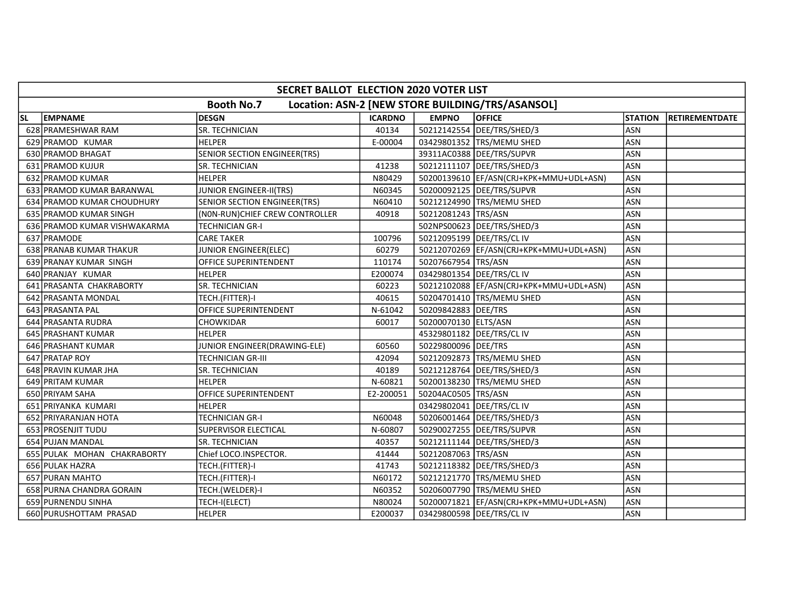|           | SECRET BALLOT ELECTION 2020 VOTER LIST |                                     |                |                             |                                                  |                |                |  |  |  |  |
|-----------|----------------------------------------|-------------------------------------|----------------|-----------------------------|--------------------------------------------------|----------------|----------------|--|--|--|--|
|           |                                        | <b>Booth No.7</b>                   |                |                             | Location: ASN-2 [NEW STORE BUILDING/TRS/ASANSOL] |                |                |  |  |  |  |
| <b>SL</b> | <b>EMPNAME</b>                         | <b>DESGN</b>                        | <b>ICARDNO</b> | <b>EMPNO</b>                | <b>OFFICE</b>                                    | <b>STATION</b> | RETIREMENTDATE |  |  |  |  |
|           | 628 PRAMESHWAR RAM                     | <b>SR. TECHNICIAN</b>               | 40134          |                             | 50212142554 DEE/TRS/SHED/3                       | <b>ASN</b>     |                |  |  |  |  |
|           | 629 PRAMOD KUMAR                       | <b>HELPER</b>                       | E-00004        |                             | 03429801352 TRS/MEMU SHED                        | <b>ASN</b>     |                |  |  |  |  |
|           | 630 PRAMOD BHAGAT                      | SENIOR SECTION ENGINEER(TRS)        |                |                             | 39311AC0388 DEE/TRS/SUPVR                        | <b>ASN</b>     |                |  |  |  |  |
|           | 631 PRAMOD KUJUR                       | SR. TECHNICIAN                      | 41238          |                             | 50212111107   DEE/TRS/SHED/3                     | <b>ASN</b>     |                |  |  |  |  |
|           | 632 PRAMOD KUMAR                       | <b>HELPER</b>                       | N80429         |                             | 50200139610 EF/ASN(CRJ+KPK+MMU+UDL+ASN)          | <b>ASN</b>     |                |  |  |  |  |
|           | 633 PRAMOD KUMAR BARANWAL              | <b>JUNIOR ENGINEER-II(TRS)</b>      | N60345         |                             | 50200092125   DEE/TRS/SUPVR                      | <b>ASN</b>     |                |  |  |  |  |
|           | 634 PRAMOD KUMAR CHOUDHURY             | <b>SENIOR SECTION ENGINEER(TRS)</b> | N60410         |                             | 50212124990   TRS/MEMU SHED                      | <b>ASN</b>     |                |  |  |  |  |
|           | 635 PRAMOD KUMAR SINGH                 | (NON-RUN) CHIEF CREW CONTROLLER     | 40918          | 50212081243   TRS/ASN       |                                                  | ASN            |                |  |  |  |  |
|           | 636 PRAMOD KUMAR VISHWAKARMA           | <b>TECHNICIAN GR-I</b>              |                |                             | 502NPS00623 DEE/TRS/SHED/3                       | <b>ASN</b>     |                |  |  |  |  |
|           | 637 PRAMODE                            | <b>CARE TAKER</b>                   | 100796         | 50212095199   DEE/TRS/CL IV |                                                  | ASN            |                |  |  |  |  |
|           | 638 PRANAB KUMAR THAKUR                | JUNIOR ENGINEER(ELEC)               | 60279          |                             | 50212070269   EF/ASN(CRJ+KPK+MMU+UDL+ASN)        | <b>ASN</b>     |                |  |  |  |  |
|           | 639 PRANAY KUMAR SINGH                 | OFFICE SUPERINTENDENT               | 110174         | 50207667954 TRS/ASN         |                                                  | <b>ASN</b>     |                |  |  |  |  |
|           | 640 PRANJAY KUMAR                      | <b>HELPER</b>                       | E200074        | 03429801354 DEE/TRS/CL IV   |                                                  | ASN            |                |  |  |  |  |
|           | 641 PRASANTA CHAKRABORTY               | <b>SR. TECHNICIAN</b>               | 60223          |                             | 50212102088 EF/ASN(CRJ+KPK+MMU+UDL+ASN)          | <b>ASN</b>     |                |  |  |  |  |
|           | 642 PRASANTA MONDAL                    | TECH.(FITTER)-I                     | 40615          |                             | 50204701410 TRS/MEMU SHED                        | <b>ASN</b>     |                |  |  |  |  |
|           | 643 PRASANTA PAL                       | OFFICE SUPERINTENDENT               | N-61042        | 50209842883   DEE/TRS       |                                                  | <b>ASN</b>     |                |  |  |  |  |
|           | 644 PRASANTA RUDRA                     | CHOWKIDAR                           | 60017          | 50200070130 ELTS/ASN        |                                                  | ASN            |                |  |  |  |  |
|           | 645 PRASHANT KUMAR                     | <b>HELPER</b>                       |                |                             | 45329801182 DEE/TRS/CL IV                        | ASN            |                |  |  |  |  |
|           | 646 PRASHANT KUMAR                     | JUNIOR ENGINEER(DRAWING-ELE)        | 60560          | 50229800096   DEE/TRS       |                                                  | ASN            |                |  |  |  |  |
|           | 647 PRATAP ROY                         | TECHNICIAN GR-III                   | 42094          |                             | 50212092873 TRS/MEMU SHED                        | <b>ASN</b>     |                |  |  |  |  |
|           | 648 PRAVIN KUMAR JHA                   | <b>SR. TECHNICIAN</b>               | 40189          |                             | 50212128764   DEE/TRS/SHED/3                     | <b>ASN</b>     |                |  |  |  |  |
|           | 649 PRITAM KUMAR                       | <b>HELPER</b>                       | N-60821        |                             | 50200138230 TRS/MEMU SHED                        | <b>ASN</b>     |                |  |  |  |  |
|           | 650 PRIYAM SAHA                        | <b>OFFICE SUPERINTENDENT</b>        | E2-200051      | 50204AC0505 TRS/ASN         |                                                  | <b>ASN</b>     |                |  |  |  |  |
|           | 651 PRIYANKA KUMARI                    | <b>HELPER</b>                       |                | 03429802041 DEE/TRS/CL IV   |                                                  | ASN            |                |  |  |  |  |
|           | 652 PRIYARANJAN HOTA                   | <b>TECHNICIAN GR-I</b>              | N60048         |                             | 50206001464   DEE/TRS/SHED/3                     | <b>ASN</b>     |                |  |  |  |  |
|           | 653 PROSENJIT TUDU                     | SUPERVISOR ELECTICAL                | N-60807        |                             | 50290027255 DEE/TRS/SUPVR                        | <b>ASN</b>     |                |  |  |  |  |
|           | 654 PUJAN MANDAL                       | <b>SR. TECHNICIAN</b>               | 40357          |                             | 50212111144   DEE/TRS/SHED/3                     | <b>ASN</b>     |                |  |  |  |  |
|           | 655 PULAK MOHAN CHAKRABORTY            | Chief LOCO.INSPECTOR.               | 41444          | 50212087063 TRS/ASN         |                                                  | <b>ASN</b>     |                |  |  |  |  |
|           | 656 PULAK HAZRA                        | TECH.(FITTER)-I                     | 41743          |                             | 50212118382 DEE/TRS/SHED/3                       | <b>ASN</b>     |                |  |  |  |  |
|           | 657 PURAN MAHTO                        | TECH.(FITTER)-I                     | N60172         |                             | 50212121770 TRS/MEMU SHED                        | <b>ASN</b>     |                |  |  |  |  |
|           | 658 PURNA CHANDRA GORAIN               | TECH.(WELDER)-I                     | N60352         |                             | 50206007790 TRS/MEMU SHED                        | <b>ASN</b>     |                |  |  |  |  |
|           | 659 PURNENDU SINHA                     | TECH-I(ELECT)                       | N80024         |                             | 50200071821   EF/ASN(CRJ+KPK+MMU+UDL+ASN)        | <b>ASN</b>     |                |  |  |  |  |
|           | 660 PURUSHOTTAM PRASAD                 | <b>HELPER</b>                       | E200037        |                             | 03429800598   DEE/TRS/CL IV                      | <b>ASN</b>     |                |  |  |  |  |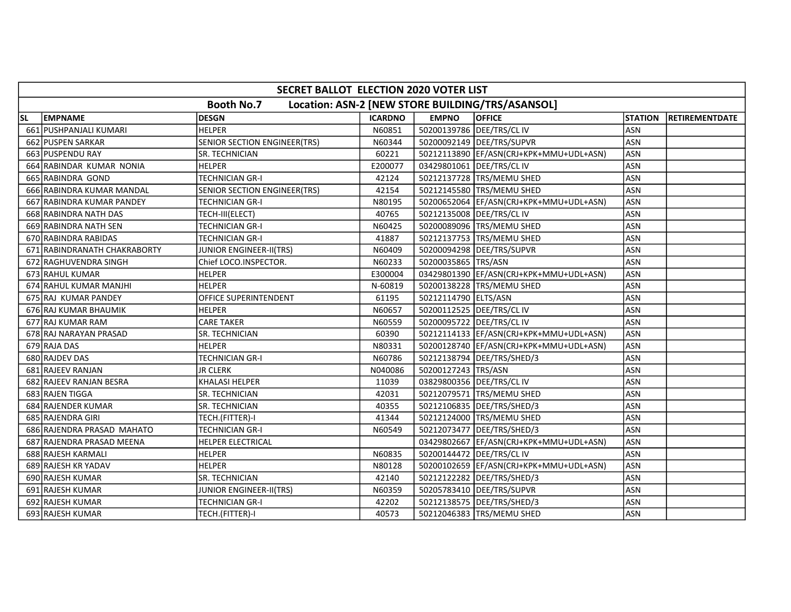|           | SECRET BALLOT ELECTION 2020 VOTER LIST |                                |                |                       |                                                  |                |                        |  |  |  |  |
|-----------|----------------------------------------|--------------------------------|----------------|-----------------------|--------------------------------------------------|----------------|------------------------|--|--|--|--|
|           |                                        | <b>Booth No.7</b>              |                |                       | Location: ASN-2 [NEW STORE BUILDING/TRS/ASANSOL] |                |                        |  |  |  |  |
| <b>SL</b> | <b>EMPNAME</b>                         | <b>DESGN</b>                   | <b>ICARDNO</b> | <b>EMPNO</b>          | <b>OFFICE</b>                                    | <b>STATION</b> | <b>IRETIREMENTDATE</b> |  |  |  |  |
|           | 661 PUSHPANJALI KUMARI                 | <b>HELPER</b>                  | N60851         |                       | 50200139786 DEE/TRS/CL IV                        | <b>ASN</b>     |                        |  |  |  |  |
|           | 662 PUSPEN SARKAR                      | SENIOR SECTION ENGINEER(TRS)   | N60344         |                       | 50200092149   DEE/TRS/SUPVR                      | <b>ASN</b>     |                        |  |  |  |  |
|           | 663 PUSPENDU RAY                       | <b>SR. TECHNICIAN</b>          | 60221          |                       | 50212113890  EF/ASN(CRJ+KPK+MMU+UDL+ASN)         | <b>ASN</b>     |                        |  |  |  |  |
|           | 664 RABINDAR KUMAR NONIA               | <b>HELPER</b>                  | E200077        |                       | 03429801061 DEE/TRS/CL IV                        | <b>ASN</b>     |                        |  |  |  |  |
|           | 665 RABINDRA GOND                      | <b>TECHNICIAN GR-I</b>         | 42124          |                       | 50212137728 TRS/MEMU SHED                        | <b>ASN</b>     |                        |  |  |  |  |
|           | 666 RABINDRA KUMAR MANDAL              | SENIOR SECTION ENGINEER(TRS)   | 42154          |                       | 50212145580 TRS/MEMU SHED                        | <b>ASN</b>     |                        |  |  |  |  |
|           | 667 RABINDRA KUMAR PANDEY              | TECHNICIAN GR-I                | N80195         |                       | 50200652064   EF/ASN(CRJ+KPK+MMU+UDL+ASN)        | <b>ASN</b>     |                        |  |  |  |  |
|           | 668 RABINDRA NATH DAS                  | TECH-III(ELECT)                | 40765          |                       | 50212135008   DEE/TRS/CL IV                      | ASN            |                        |  |  |  |  |
|           | 669 RABINDRA NATH SEN                  | <b>TECHNICIAN GR-I</b>         | N60425         |                       | 50200089096 TRS/MEMU SHED                        | ASN            |                        |  |  |  |  |
|           | 670 RABINDRA RABIDAS                   | <b>TECHNICIAN GR-I</b>         | 41887          |                       | 50212137753 TRS/MEMU SHED                        | ASN            |                        |  |  |  |  |
|           | 671 RABINDRANATH CHAKRABORTY           | <b>JUNIOR ENGINEER-II(TRS)</b> | N60409         |                       | 50200094298 DEE/TRS/SUPVR                        | ASN            |                        |  |  |  |  |
|           | 672 RAGHUVENDRA SINGH                  | Chief LOCO.INSPECTOR.          | N60233         | 50200035865   TRS/ASN |                                                  | <b>ASN</b>     |                        |  |  |  |  |
|           | 673 RAHUL KUMAR                        | <b>HELPER</b>                  | E300004        |                       | 03429801390 EF/ASN(CRJ+KPK+MMU+UDL+ASN)          | <b>ASN</b>     |                        |  |  |  |  |
|           | 674 RAHUL KUMAR MANJHI                 | <b>HELPER</b>                  | N-60819        |                       | 50200138228 TRS/MEMU SHED                        | ASN            |                        |  |  |  |  |
|           | 675 RAJ KUMAR PANDEY                   | OFFICE SUPERINTENDENT          | 61195          | 50212114790 ELTS/ASN  |                                                  | <b>ASN</b>     |                        |  |  |  |  |
|           | 676 RAJ KUMAR BHAUMIK                  | <b>HELPER</b>                  | N60657         |                       | 50200112525   DEE/TRS/CL IV                      | ASN            |                        |  |  |  |  |
|           | 677 RAJ KUMAR RAM                      | <b>CARE TAKER</b>              | N60559         |                       | 50200095722   DEE/TRS/CL IV                      | ASN            |                        |  |  |  |  |
|           | 678 RAJ NARAYAN PRASAD                 | SR. TECHNICIAN                 | 60390          |                       | 50212114133 EF/ASN(CRJ+KPK+MMU+UDL+ASN)          | ASN            |                        |  |  |  |  |
|           | 679 RAJA DAS                           | <b>HELPER</b>                  | N80331         |                       | 50200128740   EF/ASN(CRJ+KPK+MMU+UDL+ASN)        | <b>ASN</b>     |                        |  |  |  |  |
|           | 680 RAJDEV DAS                         | TECHNICIAN GR-I                | N60786         |                       | 50212138794   DEE/TRS/SHED/3                     | <b>ASN</b>     |                        |  |  |  |  |
|           | 681 RAJEEV RANJAN                      | <b>JR CLERK</b>                | N040086        | 50200127243  TRS/ASN  |                                                  | <b>ASN</b>     |                        |  |  |  |  |
|           | 682 RAJEEV RANJAN BESRA                | <b>KHALASI HELPER</b>          | 11039          |                       | 03829800356   DEE/TRS/CL IV                      | <b>ASN</b>     |                        |  |  |  |  |
|           | 683 RAJEN TIGGA                        | SR. TECHNICIAN                 | 42031          |                       | 50212079571 TRS/MEMU SHED                        | <b>ASN</b>     |                        |  |  |  |  |
|           | 684 RAJENDER KUMAR                     | SR. TECHNICIAN                 | 40355          |                       | 50212106835   DEE/TRS/SHED/3                     | <b>ASN</b>     |                        |  |  |  |  |
|           | 685 RAJENDRA GIRI                      | TECH.(FITTER)-I                | 41344          |                       | 50212124000 TRS/MEMU SHED                        | <b>ASN</b>     |                        |  |  |  |  |
|           | 686 RAJENDRA PRASAD MAHATO             | TECHNICIAN GR-I                | N60549         |                       | 50212073477   DEE/TRS/SHED/3                     | <b>ASN</b>     |                        |  |  |  |  |
|           | 687 RAJENDRA PRASAD MEENA              | <b>HELPER ELECTRICAL</b>       |                |                       | 03429802667  EF/ASN(CRJ+KPK+MMU+UDL+ASN)         | <b>ASN</b>     |                        |  |  |  |  |
|           | 688 RAJESH KARMALI                     | <b>HELPER</b>                  | N60835         |                       | 50200144472 DEE/TRS/CL IV                        | <b>ASN</b>     |                        |  |  |  |  |
|           | 689 RAJESH KR YADAV                    | <b>HELPER</b>                  | N80128         |                       | 50200102659 EF/ASN(CRJ+KPK+MMU+UDL+ASN)          | <b>ASN</b>     |                        |  |  |  |  |
|           | 690 RAJESH KUMAR                       | <b>SR. TECHNICIAN</b>          | 42140          |                       | 50212122282  DEE/TRS/SHED/3                      | <b>ASN</b>     |                        |  |  |  |  |
|           | 691 RAJESH KUMAR                       | JUNIOR ENGINEER-II(TRS)        | N60359         |                       | 50205783410 DEE/TRS/SUPVR                        | <b>ASN</b>     |                        |  |  |  |  |
|           | 692 RAJESH KUMAR                       | <b>TECHNICIAN GR-I</b>         | 42202          |                       | 50212138575   DEE/TRS/SHED/3                     | <b>ASN</b>     |                        |  |  |  |  |
|           | 693 RAJESH KUMAR                       | TECH.(FITTER)-I                | 40573          |                       | 50212046383 TRS/MEMU SHED                        | ASN            |                        |  |  |  |  |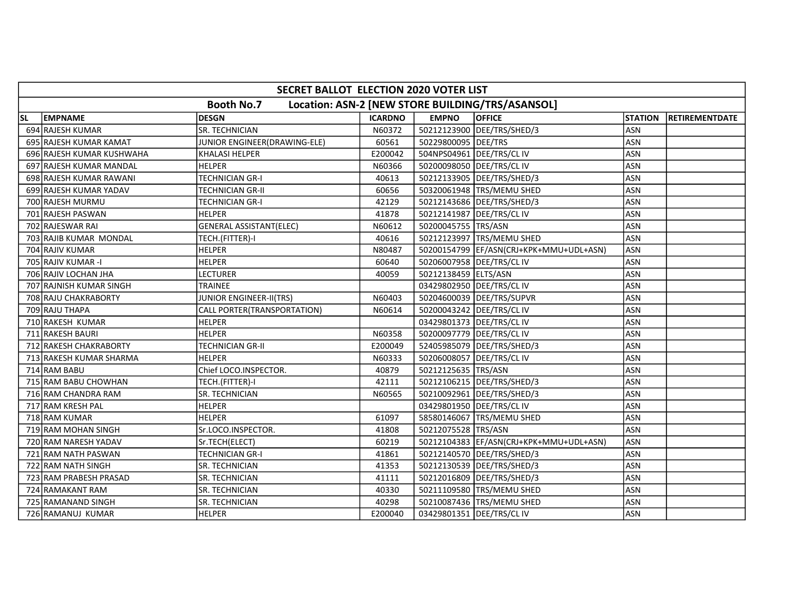|           | SECRET BALLOT ELECTION 2020 VOTER LIST |                                |                |                             |                                                  |                |                       |  |  |  |
|-----------|----------------------------------------|--------------------------------|----------------|-----------------------------|--------------------------------------------------|----------------|-----------------------|--|--|--|
|           |                                        | <b>Booth No.7</b>              |                |                             | Location: ASN-2 [NEW STORE BUILDING/TRS/ASANSOL] |                |                       |  |  |  |
| <b>SL</b> | <b>EMPNAME</b>                         | <b>DESGN</b>                   | <b>ICARDNO</b> | <b>EMPNO</b>                | <b>OFFICE</b>                                    | <b>STATION</b> | <b>RETIREMENTDATE</b> |  |  |  |
|           | 694 RAJESH KUMAR                       | <b>SR. TECHNICIAN</b>          | N60372         |                             | 50212123900 DEE/TRS/SHED/3                       | <b>ASN</b>     |                       |  |  |  |
|           | 695 RAJESH KUMAR KAMAT                 | JUNIOR ENGINEER(DRAWING-ELE)   | 60561          | 50229800095 DEE/TRS         |                                                  | <b>ASN</b>     |                       |  |  |  |
|           | 696 RAJESH KUMAR KUSHWAHA              | <b>KHALASI HELPER</b>          | E200042        |                             | 504NPS04961 DEE/TRS/CL IV                        | <b>ASN</b>     |                       |  |  |  |
|           | 697 RAJESH KUMAR MANDAL                | <b>HELPER</b>                  | N60366         |                             | 50200098050 DEE/TRS/CL IV                        | <b>ASN</b>     |                       |  |  |  |
|           | 698 RAJESH KUMAR RAWANI                | <b>TECHNICIAN GR-I</b>         | 40613          |                             | 50212133905   DEE/TRS/SHED/3                     | <b>ASN</b>     |                       |  |  |  |
|           | 699 RAJESH KUMAR YADAV                 | <b>TECHNICIAN GR-II</b>        | 60656          |                             | 50320061948   TRS/MEMU SHED                      | ASN            |                       |  |  |  |
|           | 700 RAJESH MURMU                       | <b>TECHNICIAN GR-I</b>         | 42129          |                             | 50212143686 DEE/TRS/SHED/3                       | <b>ASN</b>     |                       |  |  |  |
|           | 701 RAJESH PASWAN                      | <b>HELPER</b>                  | 41878          |                             | 50212141987   DEE/TRS/CL IV                      | <b>ASN</b>     |                       |  |  |  |
|           | 702 RAJESWAR RAI                       | <b>GENERAL ASSISTANT(ELEC)</b> | N60612         | 50200045755 TRS/ASN         |                                                  | <b>ASN</b>     |                       |  |  |  |
|           | 703 RAJIB KUMAR MONDAL                 | TECH.(FITTER)-I                | 40616          |                             | 50212123997   TRS/MEMU SHED                      | <b>ASN</b>     |                       |  |  |  |
|           | 704 RAJIV KUMAR                        | <b>HELPER</b>                  | N80487         |                             | 50200154799 EF/ASN(CRJ+KPK+MMU+UDL+ASN)          | <b>ASN</b>     |                       |  |  |  |
|           | 705 RAJIV KUMAR-I                      | <b>HELPER</b>                  | 60640          |                             | 50206007958   DEE/TRS/CL IV                      | <b>ASN</b>     |                       |  |  |  |
|           | 706 RAJIV LOCHAN JHA                   | LECTURER                       | 40059          | 50212138459 ELTS/ASN        |                                                  | <b>ASN</b>     |                       |  |  |  |
|           | 707 RAJNISH KUMAR SINGH                | <b>TRAINEE</b>                 |                |                             | 03429802950 DEE/TRS/CL IV                        | ASN            |                       |  |  |  |
|           | 708 RAJU CHAKRABORTY                   | JUNIOR ENGINEER-II(TRS)        | N60403         |                             | 50204600039 DEE/TRS/SUPVR                        | ASN            |                       |  |  |  |
|           | 709 RAJU THAPA                         | CALL PORTER(TRANSPORTATION)    | N60614         |                             | 50200043242 DEE/TRS/CL IV                        | ASN            |                       |  |  |  |
|           | 710 RAKESH KUMAR                       | HELPER                         |                |                             | 03429801373 DEE/TRS/CL IV                        | ASN            |                       |  |  |  |
|           | 711 RAKESH BAURI                       | <b>HELPER</b>                  | N60358         |                             | 50200097779   DEE/TRS/CL IV                      | <b>ASN</b>     |                       |  |  |  |
|           | 712 RAKESH CHAKRABORTY                 | TECHNICIAN GR-II               | E200049        |                             | 52405985079   DEE/TRS/SHED/3                     | ASN            |                       |  |  |  |
|           | 713 RAKESH KUMAR SHARMA                | <b>HELPER</b>                  | N60333         |                             | 50206008057 DEE/TRS/CLIV                         | <b>ASN</b>     |                       |  |  |  |
|           | 714 RAM BABU                           | Chief LOCO.INSPECTOR.          | 40879          | 50212125635 TRS/ASN         |                                                  | <b>ASN</b>     |                       |  |  |  |
|           | 715 RAM BABU CHOWHAN                   | TECH.(FITTER)-I                | 42111          |                             | 50212106215   DEE/TRS/SHED/3                     | <b>ASN</b>     |                       |  |  |  |
|           | 716 RAM CHANDRA RAM                    | SR. TECHNICIAN                 | N60565         |                             | 50210092961 DEE/TRS/SHED/3                       | <b>ASN</b>     |                       |  |  |  |
|           | 717 RAM KRESH PAL                      | <b>HELPER</b>                  |                |                             | 03429801950 DEE/TRS/CL IV                        | ASN            |                       |  |  |  |
|           | 718 RAM KUMAR                          | <b>HELPER</b>                  | 61097          |                             | 58580146067 TRS/MEMU SHED                        | ASN            |                       |  |  |  |
|           | 719 RAM MOHAN SINGH                    | Sr.LOCO.INSPECTOR.             | 41808          | 50212075528 TRS/ASN         |                                                  | <b>ASN</b>     |                       |  |  |  |
|           | 720 RAM NARESH YADAV                   | Sr.TECH(ELECT)                 | 60219          |                             | 50212104383 EF/ASN(CRJ+KPK+MMU+UDL+ASN)          | <b>ASN</b>     |                       |  |  |  |
|           | 721 RAM NATH PASWAN                    | <b>TECHNICIAN GR-I</b>         | 41861          |                             | 50212140570   DEE/TRS/SHED/3                     | <b>ASN</b>     |                       |  |  |  |
|           | 722 RAM NATH SINGH                     | SR. TECHNICIAN                 | 41353          |                             | 50212130539 DEE/TRS/SHED/3                       | <b>ASN</b>     |                       |  |  |  |
|           | 723 RAM PRABESH PRASAD                 | SR. TECHNICIAN                 | 41111          |                             | 50212016809   DEE/TRS/SHED/3                     | <b>ASN</b>     |                       |  |  |  |
|           | 724 RAMAKANT RAM                       | SR. TECHNICIAN                 | 40330          |                             | 50211109580 TRS/MEMU SHED                        | <b>ASN</b>     |                       |  |  |  |
|           | 725 RAMANAND SINGH                     | SR. TECHNICIAN                 | 40298          |                             | 50210087436   TRS/MEMU SHED                      | ASN            |                       |  |  |  |
|           | 726 RAMANUJ KUMAR                      | <b>HELPER</b>                  | E200040        | 03429801351   DEE/TRS/CL IV |                                                  | <b>ASN</b>     |                       |  |  |  |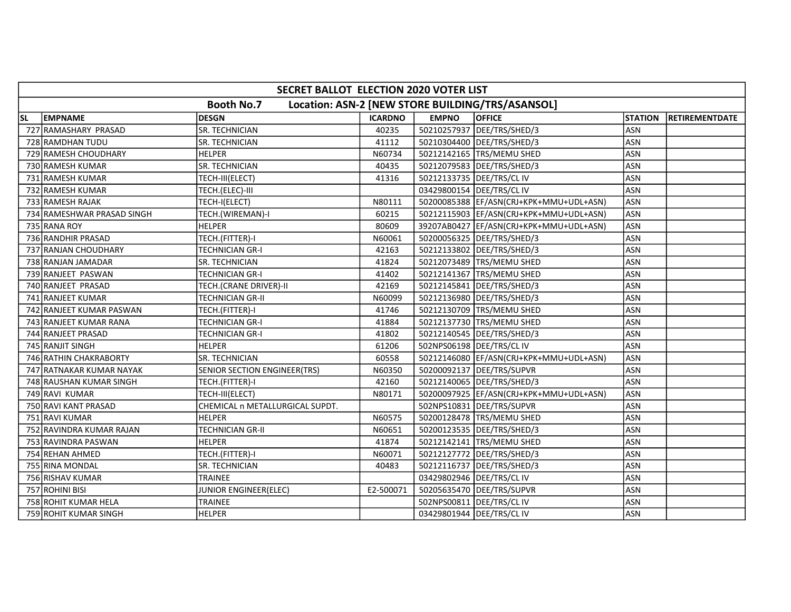|           | SECRET BALLOT ELECTION 2020 VOTER LIST |                                 |                |              |                                                  |                |                |  |  |  |
|-----------|----------------------------------------|---------------------------------|----------------|--------------|--------------------------------------------------|----------------|----------------|--|--|--|
|           |                                        | <b>Booth No.7</b>               |                |              | Location: ASN-2 [NEW STORE BUILDING/TRS/ASANSOL] |                |                |  |  |  |
| <b>SL</b> | <b>EMPNAME</b>                         | <b>DESGN</b>                    | <b>ICARDNO</b> | <b>EMPNO</b> | <b>OFFICE</b>                                    | <b>STATION</b> | RETIREMENTDATE |  |  |  |
|           | 727 RAMASHARY PRASAD                   | SR. TECHNICIAN                  | 40235          |              | 50210257937 DEE/TRS/SHED/3                       | <b>ASN</b>     |                |  |  |  |
|           | 728 RAMDHAN TUDU                       | SR. TECHNICIAN                  | 41112          |              | 50210304400 DEE/TRS/SHED/3                       | <b>ASN</b>     |                |  |  |  |
|           | 729 RAMESH CHOUDHARY                   | <b>HELPER</b>                   | N60734         |              | 50212142165   TRS/MEMU SHED                      | <b>ASN</b>     |                |  |  |  |
|           | 730 RAMESH KUMAR                       | SR. TECHNICIAN                  | 40435          |              | 50212079583 DEE/TRS/SHED/3                       | <b>ASN</b>     |                |  |  |  |
|           | 731 RAMESH KUMAR                       | TECH-III(ELECT)                 | 41316          |              | 50212133735   DEE/TRS/CL IV                      | ASN            |                |  |  |  |
|           | 732 RAMESH KUMAR                       | TECH.(ELEC)-III                 |                |              | 03429800154 DEE/TRS/CL IV                        | ASN            |                |  |  |  |
|           | 733 RAMESH RAJAK                       | TECH-I(ELECT)                   | N80111         |              | 50200085388 EF/ASN(CRJ+KPK+MMU+UDL+ASN)          | <b>ASN</b>     |                |  |  |  |
|           | 734 RAMESHWAR PRASAD SINGH             | TECH.(WIREMAN)-I                | 60215          |              | 50212115903 EF/ASN(CRJ+KPK+MMU+UDL+ASN)          | <b>ASN</b>     |                |  |  |  |
|           | 735 RANA ROY                           | <b>HELPER</b>                   | 80609          |              | 39207AB0427  EF/ASN(CRJ+KPK+MMU+UDL+ASN)         | <b>ASN</b>     |                |  |  |  |
|           | 736 RANDHIR PRASAD                     | TECH.(FITTER)-I                 | N60061         |              | 50200056325   DEE/TRS/SHED/3                     | ASN            |                |  |  |  |
|           | 737 RANJAN CHOUDHARY                   | <b>TECHNICIAN GR-I</b>          | 42163          |              | 50212133802 DEE/TRS/SHED/3                       | ASN            |                |  |  |  |
|           | 738 RANJAN JAMADAR                     | SR. TECHNICIAN                  | 41824          |              | 50212073489 TRS/MEMU SHED                        | <b>ASN</b>     |                |  |  |  |
|           | 739 RANJEET PASWAN                     | <b>TECHNICIAN GR-I</b>          | 41402          |              | 50212141367 TRS/MEMU SHED                        | <b>ASN</b>     |                |  |  |  |
|           | 740 RANJEET PRASAD                     | TECH.(CRANE DRIVER)-II          | 42169          |              | 50212145841   DEE/TRS/SHED/3                     | <b>ASN</b>     |                |  |  |  |
|           | 741 RANJEET KUMAR                      | TECHNICIAN GR-II                | N60099         |              | 50212136980   DEE/TRS/SHED/3                     | ASN            |                |  |  |  |
|           | 742 RANJEET KUMAR PASWAN               | TECH.(FITTER)-I                 | 41746          |              | 50212130709 TRS/MEMU SHED                        | ASN            |                |  |  |  |
|           | 743 RANJEET KUMAR RANA                 | TECHNICIAN GR-I                 | 41884          |              | 50212137730 TRS/MEMU SHED                        | ASN            |                |  |  |  |
|           | 744 RANJEET PRASAD                     | <b>TECHNICIAN GR-I</b>          | 41802          |              | 50212140545   DEE/TRS/SHED/3                     | <b>ASN</b>     |                |  |  |  |
|           | 745 RANJIT SINGH                       | <b>HELPER</b>                   | 61206          |              | 502NPS06198 DEE/TRS/CL IV                        | <b>ASN</b>     |                |  |  |  |
|           | 746 RATHIN CHAKRABORTY                 | SR. TECHNICIAN                  | 60558          |              | 50212146080   EF/ASN(CRJ+KPK+MMU+UDL+ASN)        | <b>ASN</b>     |                |  |  |  |
|           | 747 RATNAKAR KUMAR NAYAK               | SENIOR SECTION ENGINEER(TRS)    | N60350         |              | 50200092137   DEE/TRS/SUPVR                      | <b>ASN</b>     |                |  |  |  |
|           | 748 RAUSHAN KUMAR SINGH                | TECH.(FITTER)-I                 | 42160          |              | 50212140065   DEE/TRS/SHED/3                     | <b>ASN</b>     |                |  |  |  |
|           | 749 RAVI KUMAR                         | TECH-III(ELECT)                 | N80171         |              | 50200097925  EF/ASN(CRJ+KPK+MMU+UDL+ASN)         | <b>ASN</b>     |                |  |  |  |
|           | 750 RAVI KANT PRASAD                   | CHEMICAL n METALLURGICAL SUPDT. |                |              | 502NPS10831 DEE/TRS/SUPVR                        | ASN            |                |  |  |  |
|           | 751 RAVI KUMAR                         | <b>HELPER</b>                   | N60575         |              | 50200128478   TRS/MEMU SHED                      | <b>ASN</b>     |                |  |  |  |
|           | 752 RAVINDRA KUMAR RAJAN               | <b>TECHNICIAN GR-II</b>         | N60651         |              | 50200123535   DEE/TRS/SHED/3                     | <b>ASN</b>     |                |  |  |  |
|           | 753 RAVINDRA PASWAN                    | <b>HELPER</b>                   | 41874          |              | 50212142141 TRS/MEMU SHED                        | <b>ASN</b>     |                |  |  |  |
|           | 754 REHAN AHMED                        | TECH.(FITTER)-I                 | N60071         |              | 50212127772 DEE/TRS/SHED/3                       | <b>ASN</b>     |                |  |  |  |
|           | 755 RINA MONDAL                        | SR. TECHNICIAN                  | 40483          |              | 50212116737   DEE/TRS/SHED/3                     | <b>ASN</b>     |                |  |  |  |
|           | 756 RISHAV KUMAR                       | TRAINEE                         |                |              | 03429802946   DEE/TRS/CL IV                      | ASN            |                |  |  |  |
|           | 757 ROHINI BISI                        | JUNIOR ENGINEER(ELEC)           | E2-500071      |              | 50205635470 DEE/TRS/SUPVR                        | <b>ASN</b>     |                |  |  |  |
|           | 758 ROHIT KUMAR HELA                   | <b>TRAINEE</b>                  |                |              | 502NPS00811   DEE/TRS/CL IV                      | ASN            |                |  |  |  |
|           | 759 ROHIT KUMAR SINGH                  | <b>HELPER</b>                   |                |              | 03429801944   DEE/TRS/CL IV                      | ASN            |                |  |  |  |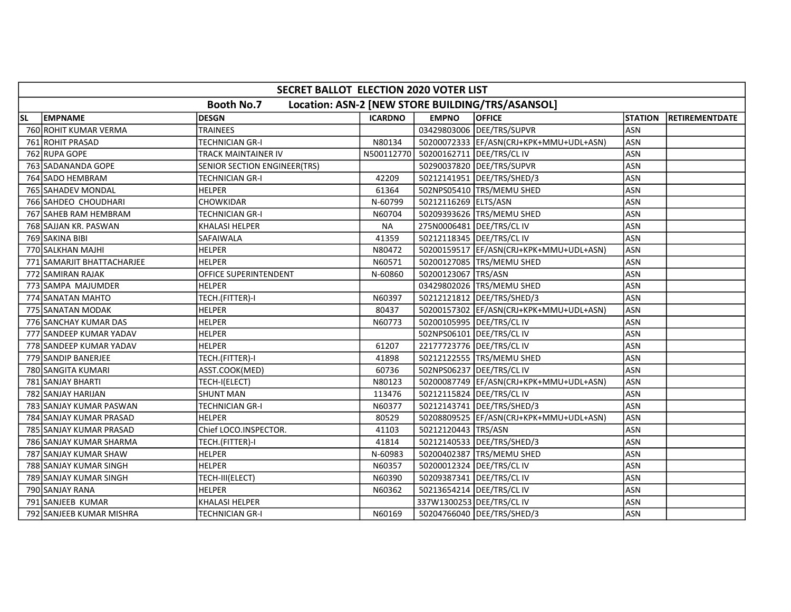|           | SECRET BALLOT ELECTION 2020 VOTER LIST |                              |                |                             |                                                  |                |                |  |  |  |  |
|-----------|----------------------------------------|------------------------------|----------------|-----------------------------|--------------------------------------------------|----------------|----------------|--|--|--|--|
|           |                                        | <b>Booth No.7</b>            |                |                             | Location: ASN-2 [NEW STORE BUILDING/TRS/ASANSOL] |                |                |  |  |  |  |
| <b>SL</b> | <b>EMPNAME</b>                         | <b>DESGN</b>                 | <b>ICARDNO</b> | <b>EMPNO</b>                | <b>OFFICE</b>                                    | <b>STATION</b> | RETIREMENTDATE |  |  |  |  |
|           | 760 ROHIT KUMAR VERMA                  | TRAINEES                     |                |                             | 03429803006 DEE/TRS/SUPVR                        | <b>ASN</b>     |                |  |  |  |  |
|           | 761 ROHIT PRASAD                       | <b>TECHNICIAN GR-I</b>       | N80134         |                             | 50200072333  EF/ASN(CRJ+KPK+MMU+UDL+ASN)         | <b>ASN</b>     |                |  |  |  |  |
|           | 762 RUPA GOPE                          | <b>TRACK MAINTAINER IV</b>   | N500112770     | 50200162711   DEE/TRS/CL IV |                                                  | <b>ASN</b>     |                |  |  |  |  |
|           | 763 SADANANDA GOPE                     | SENIOR SECTION ENGINEER(TRS) |                |                             | 50290037820 DEE/TRS/SUPVR                        | ASN            |                |  |  |  |  |
|           | 764 SADO HEMBRAM                       | <b>TECHNICIAN GR-I</b>       | 42209          |                             | 50212141951 DEE/TRS/SHED/3                       | <b>ASN</b>     |                |  |  |  |  |
|           | 765 SAHADEV MONDAL                     | <b>HELPER</b>                | 61364          |                             | 502NPS05410  TRS/MEMU SHED                       | <b>ASN</b>     |                |  |  |  |  |
|           | 766 SAHDEO CHOUDHARI                   | <b>CHOWKIDAR</b>             | N-60799        | 50212116269 ELTS/ASN        |                                                  | <b>ASN</b>     |                |  |  |  |  |
|           | 767 SAHEB RAM HEMBRAM                  | <b>TECHNICIAN GR-I</b>       | N60704         |                             | 50209393626   TRS/MEMU SHED                      | ASN            |                |  |  |  |  |
|           | 768 SAJJAN KR. PASWAN                  | <b>KHALASI HELPER</b>        | <b>NA</b>      | 275N0006481 DEE/TRS/CL IV   |                                                  | ASN            |                |  |  |  |  |
|           | 769 SAKINA BIBI                        | <b>SAFAIWALA</b>             | 41359          |                             | 50212118345   DEE/TRS/CL IV                      | ASN            |                |  |  |  |  |
|           | 770 SALKHAN MAJHI                      | <b>HELPER</b>                | N80472         |                             | 50200159517 EF/ASN(CRJ+KPK+MMU+UDL+ASN)          | <b>ASN</b>     |                |  |  |  |  |
|           | 771 SAMARJIT BHATTACHARJEE             | <b>HELPER</b>                | N60571         |                             | 50200127085   TRS/MEMU SHED                      | <b>ASN</b>     |                |  |  |  |  |
|           | 772 SAMIRAN RAJAK                      | OFFICE SUPERINTENDENT        | N-60860        | 50200123067 TRS/ASN         |                                                  | <b>ASN</b>     |                |  |  |  |  |
|           | 773 SAMPA MAJUMDER                     | <b>HELPER</b>                |                |                             | 03429802026 TRS/MEMU SHED                        | ASN            |                |  |  |  |  |
|           | 774 SANATAN MAHTO                      | TECH.(FITTER)-I              | N60397         |                             | 50212121812   DEE/TRS/SHED/3                     | <b>ASN</b>     |                |  |  |  |  |
|           | 775 SANATAN MODAK                      | <b>HELPER</b>                | 80437          |                             | 50200157302  EF/ASN(CRJ+KPK+MMU+UDL+ASN)         | ASN            |                |  |  |  |  |
|           | 776 SANCHAY KUMAR DAS                  | <b>HELPER</b>                | N60773         |                             | 50200105995   DEE/TRS/CL IV                      | <b>ASN</b>     |                |  |  |  |  |
|           | 777 SANDEEP KUMAR YADAV                | <b>HELPER</b>                |                |                             | 502NPS06101 DEE/TRS/CL IV                        | ASN            |                |  |  |  |  |
|           | 778 SANDEEP KUMAR YADAV                | <b>HELPER</b>                | 61207          |                             | 22177723776 DEE/TRS/CL IV                        | ASN            |                |  |  |  |  |
|           | 779 SANDIP BANERJEE                    | TECH.(FITTER)-I              | 41898          |                             | 50212122555 TRS/MEMU SHED                        | <b>ASN</b>     |                |  |  |  |  |
|           | 780 SANGITA KUMARI                     | ASST.COOK(MED)               | 60736          |                             | 502NPS06237   DEE/TRS/CL IV                      | <b>ASN</b>     |                |  |  |  |  |
|           | 781 SANJAY BHARTI                      | TECH-I(ELECT)                | N80123         |                             | 50200087749   EF/ASN(CRJ+KPK+MMU+UDL+ASN)        | <b>ASN</b>     |                |  |  |  |  |
|           | 782 SANJAY HARIJAN                     | <b>SHUNT MAN</b>             | 113476         |                             | 50212115824 DEE/TRS/CL IV                        | <b>ASN</b>     |                |  |  |  |  |
|           | 783 SANJAY KUMAR PASWAN                | <b>TECHNICIAN GR-I</b>       | N60377         |                             | 50212143741   DEE/TRS/SHED/3                     | <b>ASN</b>     |                |  |  |  |  |
|           | 784 SANJAY KUMAR PRASAD                | <b>HELPER</b>                | 80529          |                             | 50208809525 EF/ASN(CRJ+KPK+MMU+UDL+ASN)          | <b>ASN</b>     |                |  |  |  |  |
|           | 785 SANJAY KUMAR PRASAD                | Chief LOCO.INSPECTOR.        | 41103          | 50212120443 TRS/ASN         |                                                  | <b>ASN</b>     |                |  |  |  |  |
|           | 786 SANJAY KUMAR SHARMA                | TECH.(FITTER)-I              | 41814          |                             | 50212140533 DEE/TRS/SHED/3                       | <b>ASN</b>     |                |  |  |  |  |
|           | 787 SANJAY KUMAR SHAW                  | <b>HELPER</b>                | N-60983        |                             | 50200402387 TRS/MEMU SHED                        | ASN            |                |  |  |  |  |
|           | 788 SANJAY KUMAR SINGH                 | <b>HELPER</b>                | N60357         |                             | 50200012324 DEE/TRS/CL IV                        | ASN            |                |  |  |  |  |
|           | 789 SANJAY KUMAR SINGH                 | TECH-III(ELECT)              | N60390         |                             | 50209387341   DEE/TRS/CL IV                      | <b>ASN</b>     |                |  |  |  |  |
|           | 790 SANJAY RANA                        | <b>HELPER</b>                | N60362         |                             | 50213654214   DEE/TRS/CL IV                      | ASN            |                |  |  |  |  |
|           | 791 SANJEEB KUMAR                      | <b>KHALASI HELPER</b>        |                | 337W1300253 DEE/TRS/CL IV   |                                                  | <b>ASN</b>     |                |  |  |  |  |
|           | 792 SANJEEB KUMAR MISHRA               | <b>TECHNICIAN GR-I</b>       | N60169         |                             | 50204766040   DEE/TRS/SHED/3                     | ASN            |                |  |  |  |  |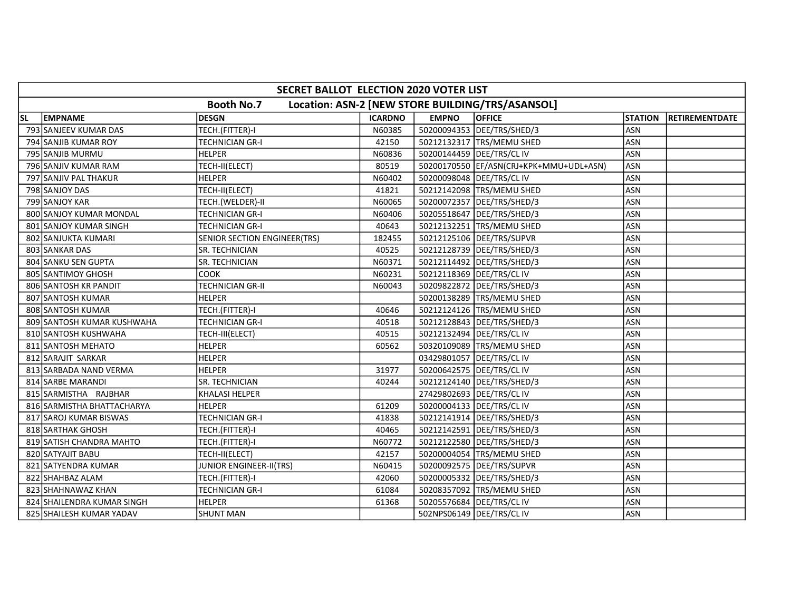|           | SECRET BALLOT ELECTION 2020 VOTER LIST                                |                              |                |              |                                         |                |                        |  |  |  |
|-----------|-----------------------------------------------------------------------|------------------------------|----------------|--------------|-----------------------------------------|----------------|------------------------|--|--|--|
|           | <b>Booth No.7</b><br>Location: ASN-2 [NEW STORE BUILDING/TRS/ASANSOL] |                              |                |              |                                         |                |                        |  |  |  |
| <b>SL</b> | <b>EMPNAME</b>                                                        | DESGN                        | <b>ICARDNO</b> | <b>EMPNO</b> | <b>OFFICE</b>                           | <b>STATION</b> | <b>IRETIREMENTDATE</b> |  |  |  |
|           | 793 SANJEEV KUMAR DAS                                                 | TECH.(FITTER)-I              | N60385         |              | 50200094353 DEE/TRS/SHED/3              | <b>ASN</b>     |                        |  |  |  |
|           | 794 SANJIB KUMAR ROY                                                  | <b>TECHNICIAN GR-I</b>       | 42150          |              | 50212132317 TRS/MEMU SHED               | <b>ASN</b>     |                        |  |  |  |
|           | 795 SANJIB MURMU                                                      | <b>HELPER</b>                | N60836         |              | 50200144459 DEE/TRS/CLIV                | <b>ASN</b>     |                        |  |  |  |
|           | 796 SANJIV KUMAR RAM                                                  | TECH-II(ELECT)               | 80519          |              | 50200170550 EF/ASN(CRJ+KPK+MMU+UDL+ASN) | <b>ASN</b>     |                        |  |  |  |
|           | 797 SANJIV PAL THAKUR                                                 | <b>HELPER</b>                | N60402         |              | 50200098048   DEE/TRS/CL IV             | <b>ASN</b>     |                        |  |  |  |
|           | 798 SANJOY DAS                                                        | TECH-II(ELECT)               | 41821          |              | 50212142098 TRS/MEMU SHED               | ASN            |                        |  |  |  |
|           | 799 SANJOY KAR                                                        | TECH.(WELDER)-II             | N60065         |              | 50200072357   DEE/TRS/SHED/3            | <b>ASN</b>     |                        |  |  |  |
|           | 800 SANJOY KUMAR MONDAL                                               | <b>TECHNICIAN GR-I</b>       | N60406         |              | 50205518647   DEE/TRS/SHED/3            | <b>ASN</b>     |                        |  |  |  |
|           | 801 SANJOY KUMAR SINGH                                                | <b>TECHNICIAN GR-I</b>       | 40643          |              | 50212132251   TRS/MEMU SHED             | <b>ASN</b>     |                        |  |  |  |
|           | 802 SANJUKTA KUMARI                                                   | SENIOR SECTION ENGINEER(TRS) | 182455         |              | 50212125106   DEE/TRS/SUPVR             | ASN            |                        |  |  |  |
|           | 803 SANKAR DAS                                                        | <b>SR. TECHNICIAN</b>        | 40525          |              | 50212128739   DEE/TRS/SHED/3            | <b>ASN</b>     |                        |  |  |  |
|           | 804 SANKU SEN GUPTA                                                   | <b>SR. TECHNICIAN</b>        | N60371         |              | 50212114492   DEE/TRS/SHED/3            | <b>ASN</b>     |                        |  |  |  |
|           | 805 SANTIMOY GHOSH                                                    | <b>COOK</b>                  | N60231         |              | 50212118369   DEE/TRS/CL IV             | <b>ASN</b>     |                        |  |  |  |
|           | 806 SANTOSH KR PANDIT                                                 | TECHNICIAN GR-II             | N60043         |              | 50209822872 DEE/TRS/SHED/3              | <b>ASN</b>     |                        |  |  |  |
|           | 807 SANTOSH KUMAR                                                     | <b>HELPER</b>                |                |              | 50200138289 TRS/MEMU SHED               | <b>ASN</b>     |                        |  |  |  |
|           | 808 SANTOSH KUMAR                                                     | TECH.(FITTER)-I              | 40646          |              | 50212124126   TRS/MEMU SHED             | <b>ASN</b>     |                        |  |  |  |
|           | 809 SANTOSH KUMAR KUSHWAHA                                            | TECHNICIAN GR-I              | 40518          |              | 50212128843   DEE/TRS/SHED/3            | <b>ASN</b>     |                        |  |  |  |
|           | 810 SANTOSH KUSHWAHA                                                  | TECH-III(ELECT)              | 40515          |              | 50212132494   DEE/TRS/CL IV             | <b>ASN</b>     |                        |  |  |  |
|           | 811 SANTOSH MEHATO                                                    | HELPER                       | 60562          |              | 50320109089 TRS/MEMU SHED               | ASN            |                        |  |  |  |
|           | 812 SARAJIT SARKAR                                                    | <b>HELPER</b>                |                |              | 03429801057 DEE/TRS/CL IV               | <b>ASN</b>     |                        |  |  |  |
|           | 813 SARBADA NAND VERMA                                                | <b>HELPER</b>                | 31977          |              | 50200642575   DEE/TRS/CL IV             | ASN            |                        |  |  |  |
|           | 814 SARBE MARANDI                                                     | <b>SR. TECHNICIAN</b>        | 40244          |              | 50212124140   DEE/TRS/SHED/3            | <b>ASN</b>     |                        |  |  |  |
|           | 815 SARMISTHA RAJBHAR                                                 | <b>KHALASI HELPER</b>        |                |              | 27429802693 DEE/TRS/CL IV               | <b>ASN</b>     |                        |  |  |  |
|           | 816 SARMISTHA BHATTACHARYA                                            | <b>HELPER</b>                | 61209          |              | 50200004133   DEE/TRS/CL IV             | <b>ASN</b>     |                        |  |  |  |
|           | 817 SAROJ KUMAR BISWAS                                                | <b>TECHNICIAN GR-I</b>       | 41838          |              | 50212141914   DEE/TRS/SHED/3            | <b>ASN</b>     |                        |  |  |  |
|           | 818 SARTHAK GHOSH                                                     | TECH.(FITTER)-I              | 40465          |              | 50212142591 DEE/TRS/SHED/3              | <b>ASN</b>     |                        |  |  |  |
|           | 819 SATISH CHANDRA MAHTO                                              | TECH.(FITTER)-I              | N60772         |              | 50212122580 DEE/TRS/SHED/3              | <b>ASN</b>     |                        |  |  |  |
|           | 820 SATYAJIT BABU                                                     | TECH-II(ELECT)               | 42157          |              | 50200004054 TRS/MEMU SHED               | <b>ASN</b>     |                        |  |  |  |
|           | 821 SATYENDRA KUMAR                                                   | JUNIOR ENGINEER-II(TRS)      | N60415         |              | 50200092575   DEE/TRS/SUPVR             | <b>ASN</b>     |                        |  |  |  |
|           | 822 SHAHBAZ ALAM                                                      | TECH.(FITTER)-I              | 42060          |              | 50200005332  DEE/TRS/SHED/3             | <b>ASN</b>     |                        |  |  |  |
|           | 823 SHAHNAWAZ KHAN                                                    | <b>TECHNICIAN GR-I</b>       | 61084          |              | 50208357092 TRS/MEMU SHED               | <b>ASN</b>     |                        |  |  |  |
|           | 824 SHAILENDRA KUMAR SINGH                                            | <b>HELPER</b>                | 61368          |              | 50205576684   DEE/TRS/CL IV             | <b>ASN</b>     |                        |  |  |  |
|           | 825 SHAILESH KUMAR YADAV                                              | <b>SHUNT MAN</b>             |                |              | 502NPS06149   DEE/TRS/CL IV             | ASN            |                        |  |  |  |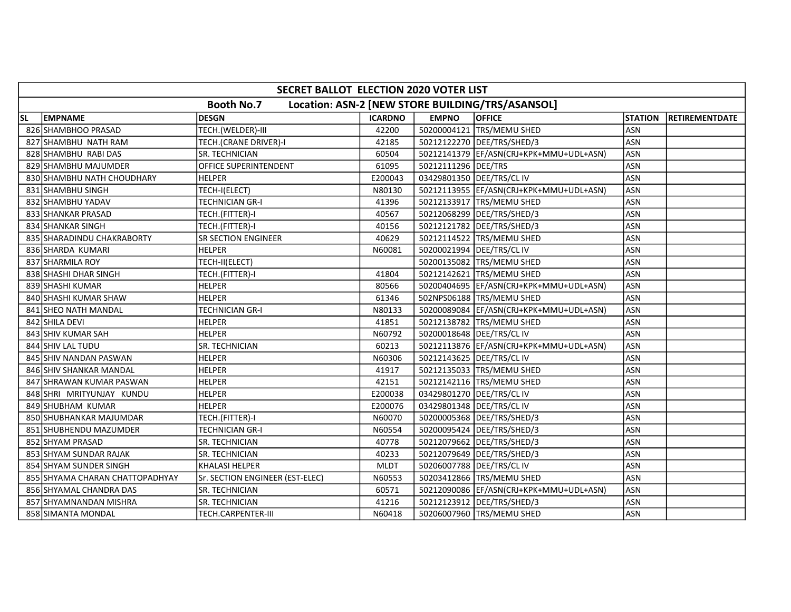|           | SECRET BALLOT ELECTION 2020 VOTER LIST                                |                                 |                |                     |                                           |                |                        |  |  |  |
|-----------|-----------------------------------------------------------------------|---------------------------------|----------------|---------------------|-------------------------------------------|----------------|------------------------|--|--|--|
|           | <b>Booth No.7</b><br>Location: ASN-2 [NEW STORE BUILDING/TRS/ASANSOL] |                                 |                |                     |                                           |                |                        |  |  |  |
| <b>SL</b> | <b>EMPNAME</b>                                                        | DESGN                           | <b>ICARDNO</b> | <b>EMPNO</b>        | <b>OFFICE</b>                             | <b>STATION</b> | <b>IRETIREMENTDATE</b> |  |  |  |
|           | 826 SHAMBHOO PRASAD                                                   | TECH.(WELDER)-III               | 42200          |                     | 50200004121 TRS/MEMU SHED                 | <b>ASN</b>     |                        |  |  |  |
|           | 827 SHAMBHU NATH RAM                                                  | TECH.(CRANE DRIVER)-I           | 42185          |                     | 50212122270   DEE/TRS/SHED/3              | <b>ASN</b>     |                        |  |  |  |
|           | 828 SHAMBHU RABI DAS                                                  | <b>SR. TECHNICIAN</b>           | 60504          |                     | 50212141379  EF/ASN(CRJ+KPK+MMU+UDL+ASN)  | <b>ASN</b>     |                        |  |  |  |
|           | 829 SHAMBHU MAJUMDER                                                  | OFFICE SUPERINTENDENT           | 61095          | 50212111296 DEE/TRS |                                           | <b>ASN</b>     |                        |  |  |  |
|           | 830 SHAMBHU NATH CHOUDHARY                                            | <b>HELPER</b>                   | E200043        |                     | 03429801350 DEE/TRS/CL IV                 | <b>ASN</b>     |                        |  |  |  |
|           | 831 SHAMBHU SINGH                                                     | TECH-I(ELECT)                   | N80130         |                     | 50212113955  EF/ASN(CRJ+KPK+MMU+UDL+ASN)  | <b>ASN</b>     |                        |  |  |  |
|           | 832 SHAMBHU YADAV                                                     | <b>TECHNICIAN GR-I</b>          | 41396          |                     | 50212133917  TRS/MEMU SHED                | <b>ASN</b>     |                        |  |  |  |
|           | 833 SHANKAR PRASAD                                                    | TECH.(FITTER)-I                 | 40567          |                     | 50212068299   DEE/TRS/SHED/3              | ASN            |                        |  |  |  |
|           | 834 SHANKAR SINGH                                                     | TECH.(FITTER)-I                 | 40156          |                     | 50212121782 DEE/TRS/SHED/3                | ASN            |                        |  |  |  |
|           | 835 SHARADINDU CHAKRABORTY                                            | <b>SR SECTION ENGINEER</b>      | 40629          |                     | 50212114522 TRS/MEMU SHED                 | <b>ASN</b>     |                        |  |  |  |
|           | 836 SHARDA KUMARI                                                     | <b>HELPER</b>                   | N60081         |                     | 50200021994 DEE/TRS/CL IV                 | ASN            |                        |  |  |  |
|           | 837 SHARMILA ROY                                                      | TECH-II(ELECT)                  |                |                     | 50200135082 TRS/MEMU SHED                 | <b>ASN</b>     |                        |  |  |  |
|           | 838 SHASHI DHAR SINGH                                                 | TECH.(FITTER)-I                 | 41804          |                     | 50212142621 TRS/MEMU SHED                 | <b>ASN</b>     |                        |  |  |  |
|           | 839 SHASHI KUMAR                                                      | <b>HELPER</b>                   | 80566          |                     | 50200404695 EF/ASN(CRJ+KPK+MMU+UDL+ASN)   | <b>ASN</b>     |                        |  |  |  |
|           | 840 SHASHI KUMAR SHAW                                                 | <b>HELPER</b>                   | 61346          |                     | 502NPS06188  TRS/MEMU SHED                | <b>ASN</b>     |                        |  |  |  |
|           | 841 SHEO NATH MANDAL                                                  | TECHNICIAN GR-I                 | N80133         |                     | 50200089084 EF/ASN(CRJ+KPK+MMU+UDL+ASN)   | <b>ASN</b>     |                        |  |  |  |
|           | 842 SHILA DEVI                                                        | HELPER                          | 41851          |                     | 50212138782 TRS/MEMU SHED                 | <b>ASN</b>     |                        |  |  |  |
|           | 843 SHIV KUMAR SAH                                                    | <b>HELPER</b>                   | N60792         |                     | 50200018648   DEE/TRS/CL IV               | ASN            |                        |  |  |  |
|           | 844 SHIV LAL TUDU                                                     | SR. TECHNICIAN                  | 60213          |                     | 50212113876   EF/ASN(CRJ+KPK+MMU+UDL+ASN) | <b>ASN</b>     |                        |  |  |  |
|           | 845 SHIV NANDAN PASWAN                                                | <b>HELPER</b>                   | N60306         |                     | 50212143625 DEE/TRS/CL IV                 | <b>ASN</b>     |                        |  |  |  |
|           | 846 SHIV SHANKAR MANDAL                                               | <b>HELPER</b>                   | 41917          |                     | 50212135033 TRS/MEMU SHED                 | <b>ASN</b>     |                        |  |  |  |
|           | 847 SHRAWAN KUMAR PASWAN                                              | <b>HELPER</b>                   | 42151          |                     | 50212142116 TRS/MEMU SHED                 | <b>ASN</b>     |                        |  |  |  |
|           | 848 SHRI MRITYUNJAY KUNDU                                             | <b>HELPER</b>                   | E200038        |                     | 03429801270 DEE/TRS/CL IV                 | <b>ASN</b>     |                        |  |  |  |
|           | 849 SHUBHAM KUMAR                                                     | <b>HELPER</b>                   | E200076        |                     | 03429801348   DEE/TRS/CL IV               | <b>ASN</b>     |                        |  |  |  |
|           | 850 SHUBHANKAR MAJUMDAR                                               | TECH.(FITTER)-I                 | N60070         |                     | 50200005368 DEE/TRS/SHED/3                | <b>ASN</b>     |                        |  |  |  |
|           | 851 SHUBHENDU MAZUMDER                                                | <b>TECHNICIAN GR-I</b>          | N60554         |                     | 50200095424 DEE/TRS/SHED/3                | <b>ASN</b>     |                        |  |  |  |
|           | 852 SHYAM PRASAD                                                      | <b>SR. TECHNICIAN</b>           | 40778          |                     | 50212079662 DEE/TRS/SHED/3                | <b>ASN</b>     |                        |  |  |  |
|           | 853 SHYAM SUNDAR RAJAK                                                | SR. TECHNICIAN                  | 40233          |                     | 50212079649 DEE/TRS/SHED/3                | ASN            |                        |  |  |  |
|           | 854 SHYAM SUNDER SINGH                                                | <b>KHALASI HELPER</b>           | <b>MLDT</b>    |                     | 50206007788   DEE/TRS/CL IV               | ASN            |                        |  |  |  |
|           | 855 SHYAMA CHARAN CHATTOPADHYAY                                       | Sr. SECTION ENGINEER (EST-ELEC) | N60553         |                     | 50203412866 TRS/MEMU SHED                 | <b>ASN</b>     |                        |  |  |  |
|           | 856 SHYAMAL CHANDRA DAS                                               | SR. TECHNICIAN                  | 60571          |                     | 50212090086 EF/ASN(CRJ+KPK+MMU+UDL+ASN)   | <b>ASN</b>     |                        |  |  |  |
|           | 857 SHYAMNANDAN MISHRA                                                | <b>SR. TECHNICIAN</b>           | 41216          |                     | 50212123912   DEE/TRS/SHED/3              | ASN            |                        |  |  |  |
|           | 858 SIMANTA MONDAL                                                    | TECH.CARPENTER-III              | N60418         |                     | 50206007960 TRS/MEMU SHED                 | <b>ASN</b>     |                        |  |  |  |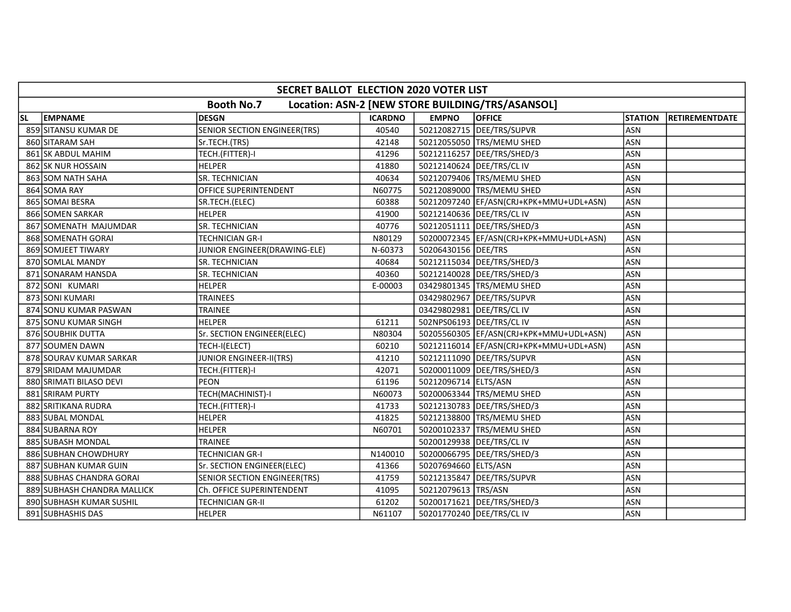|           | SECRET BALLOT ELECTION 2020 VOTER LIST                                |                                     |                |                       |                                           |                |                       |  |  |  |
|-----------|-----------------------------------------------------------------------|-------------------------------------|----------------|-----------------------|-------------------------------------------|----------------|-----------------------|--|--|--|
|           | <b>Booth No.7</b><br>Location: ASN-2 [NEW STORE BUILDING/TRS/ASANSOL] |                                     |                |                       |                                           |                |                       |  |  |  |
| <b>SL</b> | <b>EMPNAME</b>                                                        | <b>DESGN</b>                        | <b>ICARDNO</b> | <b>EMPNO</b>          | <b>OFFICE</b>                             | <b>STATION</b> | <b>RETIREMENTDATE</b> |  |  |  |
|           | 859 SITANSU KUMAR DE                                                  | <b>SENIOR SECTION ENGINEER(TRS)</b> | 40540          |                       | 50212082715   DEE/TRS/SUPVR               | ASN            |                       |  |  |  |
|           | 860 SITARAM SAH                                                       | Sr.TECH.(TRS)                       | 42148          |                       | 50212055050 TRS/MEMU SHED                 | <b>ASN</b>     |                       |  |  |  |
|           | 861 SK ABDUL MAHIM                                                    | TECH.(FITTER)-I                     | 41296          |                       | 50212116257   DEE/TRS/SHED/3              | <b>ASN</b>     |                       |  |  |  |
|           | 862 SK NUR HOSSAIN                                                    | <b>HELPER</b>                       | 41880          |                       | 50212140624 DEE/TRS/CL IV                 | ASN            |                       |  |  |  |
|           | 863 SOM NATH SAHA                                                     | SR. TECHNICIAN                      | 40634          |                       | 50212079406   TRS/MEMU SHED               | <b>ASN</b>     |                       |  |  |  |
|           | 864 SOMA RAY                                                          | <b>OFFICE SUPERINTENDENT</b>        | N60775         |                       | 50212089000 TRS/MEMU SHED                 | ASN            |                       |  |  |  |
|           | 865 SOMAI BESRA                                                       | SR.TECH.(ELEC)                      | 60388          |                       | 50212097240   EF/ASN(CRJ+KPK+MMU+UDL+ASN) | <b>ASN</b>     |                       |  |  |  |
|           | 866 SOMEN SARKAR                                                      | <b>HELPER</b>                       | 41900          |                       | 50212140636 DEE/TRS/CL IV                 | <b>ASN</b>     |                       |  |  |  |
|           | 867 SOMENATH MAJUMDAR                                                 | SR. TECHNICIAN                      | 40776          |                       | 50212051111   DEE/TRS/SHED/3              | <b>ASN</b>     |                       |  |  |  |
|           | 868 SOMENATH GORAI                                                    | <b>TECHNICIAN GR-I</b>              | N80129         |                       | 50200072345  EF/ASN(CRJ+KPK+MMU+UDL+ASN)  | <b>ASN</b>     |                       |  |  |  |
|           | 869 SOMJEET TIWARY                                                    | JUNIOR ENGINEER(DRAWING-ELE)        | N-60373        | 50206430156   DEE/TRS |                                           | <b>ASN</b>     |                       |  |  |  |
|           | 870 SOMLAL MANDY                                                      | SR. TECHNICIAN                      | 40684          |                       | 50212115034 DEE/TRS/SHED/3                | <b>ASN</b>     |                       |  |  |  |
|           | 871 SONARAM HANSDA                                                    | SR. TECHNICIAN                      | 40360          |                       | 50212140028 DEE/TRS/SHED/3                | ASN            |                       |  |  |  |
|           | 872 SONI KUMARI                                                       | <b>HELPER</b>                       | E-00003        |                       | 03429801345 TRS/MEMU SHED                 | <b>ASN</b>     |                       |  |  |  |
|           | 873 SONI KUMARI                                                       | TRAINEES                            |                |                       | 03429802967 DEE/TRS/SUPVR                 | ASN            |                       |  |  |  |
|           | 874 SONU KUMAR PASWAN                                                 | TRAINEE                             |                |                       | 03429802981 DEE/TRS/CL IV                 | ASN            |                       |  |  |  |
|           | 875 SONU KUMAR SINGH                                                  | <b>HELPER</b>                       | 61211          |                       | 502NPS06193 DEE/TRS/CL IV                 | <b>ASN</b>     |                       |  |  |  |
|           | 876 SOUBHIK DUTTA                                                     | Sr. SECTION ENGINEER(ELEC)          | N80304         |                       | 50205560305  EF/ASN(CRJ+KPK+MMU+UDL+ASN)  | <b>ASN</b>     |                       |  |  |  |
|           | 877 SOUMEN DAWN                                                       | TECH-I(ELECT)                       | 60210          |                       | 50212116014   EF/ASN(CRJ+KPK+MMU+UDL+ASN) | <b>ASN</b>     |                       |  |  |  |
|           | 878 SOURAV KUMAR SARKAR                                               | <b>JUNIOR ENGINEER-II(TRS)</b>      | 41210          |                       | 50212111090 DEE/TRS/SUPVR                 | <b>ASN</b>     |                       |  |  |  |
|           | 879 SRIDAM MAJUMDAR                                                   | TECH.(FITTER)-I                     | 42071          |                       | 50200011009   DEE/TRS/SHED/3              | <b>ASN</b>     |                       |  |  |  |
|           | 880 SRIMATI BILASO DEVI                                               | <b>PEON</b>                         | 61196          | 50212096714 ELTS/ASN  |                                           | <b>ASN</b>     |                       |  |  |  |
|           | 881 SRIRAM PURTY                                                      | TECH(MACHINIST)-I                   | N60073         |                       | 50200063344 TRS/MEMU SHED                 | <b>ASN</b>     |                       |  |  |  |
|           | 882 SRITIKANA RUDRA                                                   | TECH.(FITTER)-I                     | 41733          |                       | 50212130783 DEE/TRS/SHED/3                | <b>ASN</b>     |                       |  |  |  |
|           | 883 SUBAL MONDAL                                                      | <b>HELPER</b>                       | 41825          |                       | 50212138800 TRS/MEMU SHED                 | <b>ASN</b>     |                       |  |  |  |
|           | 884 SUBARNA ROY                                                       | <b>HELPER</b>                       | N60701         |                       | 50200102337 TRS/MEMU SHED                 | <b>ASN</b>     |                       |  |  |  |
|           | 885 SUBASH MONDAL                                                     | <b>TRAINEE</b>                      |                |                       | 50200129938 DEE/TRS/CL IV                 | <b>ASN</b>     |                       |  |  |  |
|           | 886 SUBHAN CHOWDHURY                                                  | <b>TECHNICIAN GR-I</b>              | N140010        |                       | 50200066795   DEE/TRS/SHED/3              | ASN            |                       |  |  |  |
|           | 887 SUBHAN KUMAR GUIN                                                 | Sr. SECTION ENGINEER(ELEC)          | 41366          | 50207694660 ELTS/ASN  |                                           | <b>ASN</b>     |                       |  |  |  |
|           | 888 SUBHAS CHANDRA GORAI                                              | SENIOR SECTION ENGINEER(TRS)        | 41759          |                       | 50212135847   DEE/TRS/SUPVR               | <b>ASN</b>     |                       |  |  |  |
|           | 889 SUBHASH CHANDRA MALLICK                                           | Ch. OFFICE SUPERINTENDENT           | 41095          | 50212079613 TRS/ASN   |                                           | <b>ASN</b>     |                       |  |  |  |
|           | 890 SUBHASH KUMAR SUSHIL                                              | TECHNICIAN GR-II                    | 61202          |                       | 50200171621   DEE/TRS/SHED/3              | <b>ASN</b>     |                       |  |  |  |
|           | 891 SUBHASHIS DAS                                                     | <b>HELPER</b>                       | N61107         |                       | 50201770240   DEE/TRS/CL IV               | <b>ASN</b>     |                       |  |  |  |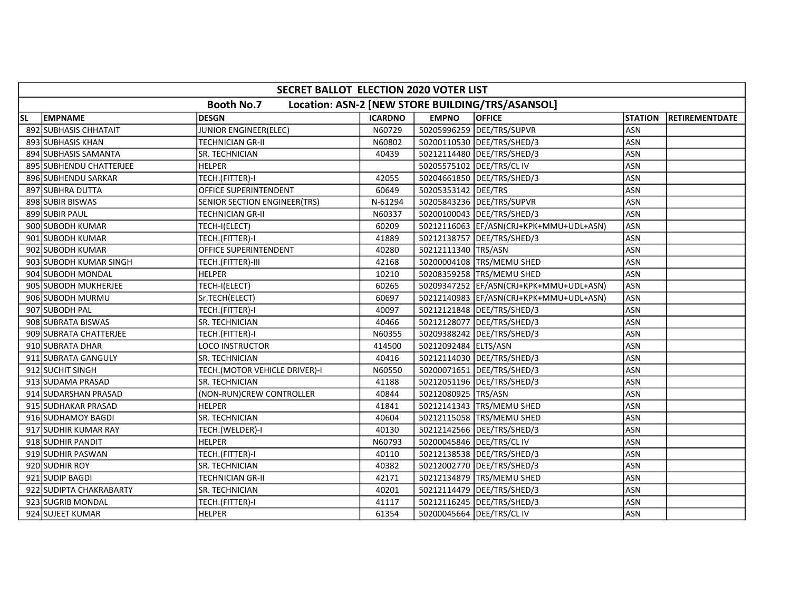|           | SECRET BALLOT ELECTION 2020 VOTER LIST                                |                                     |                |                           |                                          |                |                |  |  |  |
|-----------|-----------------------------------------------------------------------|-------------------------------------|----------------|---------------------------|------------------------------------------|----------------|----------------|--|--|--|
|           | <b>Booth No.7</b><br>Location: ASN-2 [NEW STORE BUILDING/TRS/ASANSOL] |                                     |                |                           |                                          |                |                |  |  |  |
| <b>SL</b> | <b>EMPNAME</b>                                                        | <b>DESGN</b>                        | <b>ICARDNO</b> | <b>EMPNO</b>              | <b>OFFICE</b>                            | <b>STATION</b> | RETIREMENTDATE |  |  |  |
|           | 892 SUBHASIS CHHATAIT                                                 | JUNIOR ENGINEER(ELEC)               | N60729         |                           | 50205996259 DEE/TRS/SUPVR                | ASN            |                |  |  |  |
|           | 893 SUBHASIS KHAN                                                     | <b>TECHNICIAN GR-II</b>             | N60802         |                           | 50200110530   DEE/TRS/SHED/3             | <b>ASN</b>     |                |  |  |  |
|           | 894 SUBHASIS SAMANTA                                                  | SR. TECHNICIAN                      | 40439          |                           | 50212114480   DEE/TRS/SHED/3             | ASN            |                |  |  |  |
|           | 895 SUBHENDU CHATTERJEE                                               | <b>HELPER</b>                       |                | 50205575102 DEE/TRS/CL IV |                                          | <b>ASN</b>     |                |  |  |  |
|           | 896 SUBHENDU SARKAR                                                   | TECH.(FITTER)-I                     | 42055          |                           | 50204661850   DEE/TRS/SHED/3             | <b>ASN</b>     |                |  |  |  |
|           | 897 SUBHRA DUTTA                                                      | OFFICE SUPERINTENDENT               | 60649          | 50205353142 DEE/TRS       |                                          | <b>ASN</b>     |                |  |  |  |
|           | 898 SUBIR BISWAS                                                      | <b>SENIOR SECTION ENGINEER(TRS)</b> | N-61294        |                           | 50205843236   DEE/TRS/SUPVR              | <b>ASN</b>     |                |  |  |  |
|           | 899 SUBIR PAUL                                                        | <b>TECHNICIAN GR-II</b>             | N60337         |                           | 50200100043   DEE/TRS/SHED/3             | <b>ASN</b>     |                |  |  |  |
|           | 900 SUBODH KUMAR                                                      | TECH-I(ELECT)                       | 60209          |                           | 50212116063  EF/ASN(CRJ+KPK+MMU+UDL+ASN) | <b>ASN</b>     |                |  |  |  |
|           | 901 SUBODH KUMAR                                                      | TECH.(FITTER)-I                     | 41889          |                           | 50212138757   DEE/TRS/SHED/3             | ASN            |                |  |  |  |
|           | 902 SUBODH KUMAR                                                      | OFFICE SUPERINTENDENT               | 40280          | 50212111340 TRS/ASN       |                                          | <b>ASN</b>     |                |  |  |  |
|           | 903 SUBODH KUMAR SINGH                                                | TECH.(FITTER)-III                   | 42168          |                           | 50200004108   TRS/MEMU SHED              | <b>ASN</b>     |                |  |  |  |
|           | 904 SUBODH MONDAL                                                     | <b>HELPER</b>                       | 10210          |                           | 50208359258 TRS/MEMU SHED                | <b>ASN</b>     |                |  |  |  |
|           | 905 SUBODH MUKHERJEE                                                  | TECH-I(ELECT)                       | 60265          |                           | 50209347252 EF/ASN(CRJ+KPK+MMU+UDL+ASN)  | <b>ASN</b>     |                |  |  |  |
|           | 906 SUBODH MURMU                                                      | Sr.TECH(ELECT)                      | 60697          |                           | 50212140983  EF/ASN(CRJ+KPK+MMU+UDL+ASN) | ASN            |                |  |  |  |
|           | 907 SUBODH PAL                                                        | TECH.(FITTER)-I                     | 40097          |                           | 50212121848   DEE/TRS/SHED/3             | <b>ASN</b>     |                |  |  |  |
|           | 908 SUBRATA BISWAS                                                    | SR. TECHNICIAN                      | 40466          |                           | 50212128077   DEE/TRS/SHED/3             | <b>ASN</b>     |                |  |  |  |
|           | 909 SUBRATA CHATTERJEE                                                | TECH.(FITTER)-I                     | N60355         |                           | 50209388242 DEE/TRS/SHED/3               | ASN            |                |  |  |  |
|           | 910 SUBRATA DHAR                                                      | LOCO INSTRUCTOR                     | 414500         | 50212092484 ELTS/ASN      |                                          | ASN            |                |  |  |  |
|           | 911 SUBRATA GANGULY                                                   | SR. TECHNICIAN                      | 40416          |                           | 50212114030   DEE/TRS/SHED/3             | ASN            |                |  |  |  |
|           | 912 SUCHIT SINGH                                                      | TECH.(MOTOR VEHICLE DRIVER)-I       | N60550         |                           | 50200071651   DEE/TRS/SHED/3             | ASN            |                |  |  |  |
|           | 913 SUDAMA PRASAD                                                     | SR. TECHNICIAN                      | 41188          |                           | 50212051196   DEE/TRS/SHED/3             | <b>ASN</b>     |                |  |  |  |
|           | 914 SUDARSHAN PRASAD                                                  | (NON-RUN)CREW CONTROLLER            | 40844          | 50212080925 TRS/ASN       |                                          | <b>ASN</b>     |                |  |  |  |
|           | 915 SUDHAKAR PRASAD                                                   | <b>HELPER</b>                       | 41841          |                           | 50212141343 TRS/MEMU SHED                | <b>ASN</b>     |                |  |  |  |
|           | 916 SUDHAMOY BAGDI                                                    | SR. TECHNICIAN                      | 40604          |                           | 50212115058 TRS/MEMU SHED                | <b>ASN</b>     |                |  |  |  |
|           | 917 SUDHIR KUMAR RAY                                                  | TECH.(WELDER)-I                     | 40130          |                           | 50212142566 DEE/TRS/SHED/3               | <b>ASN</b>     |                |  |  |  |
|           | 918 SUDHIR PANDIT                                                     | <b>HELPER</b>                       | N60793         | 50200045846 DEE/TRS/CL IV |                                          | <b>ASN</b>     |                |  |  |  |
|           | 919 SUDHIR PASWAN                                                     | TECH.(FITTER)-I                     | 40110          |                           | 50212138538   DEE/TRS/SHED/3             | <b>ASN</b>     |                |  |  |  |
|           | 920 SUDHIR ROY                                                        | SR. TECHNICIAN                      | 40382          |                           | 50212002770 DEE/TRS/SHED/3               | <b>ASN</b>     |                |  |  |  |
|           | 921 SUDIP BAGDI                                                       | <b>TECHNICIAN GR-II</b>             | 42171          |                           | 50212134879 TRS/MEMU SHED                | <b>ASN</b>     |                |  |  |  |
|           | 922 SUDIPTA CHAKRABARTY                                               | SR. TECHNICIAN                      | 40201          |                           | 50212114479   DEE/TRS/SHED/3             | <b>ASN</b>     |                |  |  |  |
|           | 923 SUGRIB MONDAL                                                     | TECH.(FITTER)-I                     | 41117          |                           | 50212116245   DEE/TRS/SHED/3             | <b>ASN</b>     |                |  |  |  |
|           | 924 SUJEET KUMAR                                                      | <b>HELPER</b>                       | 61354          | 50200045664 DEE/TRS/CL IV |                                          | <b>ASN</b>     |                |  |  |  |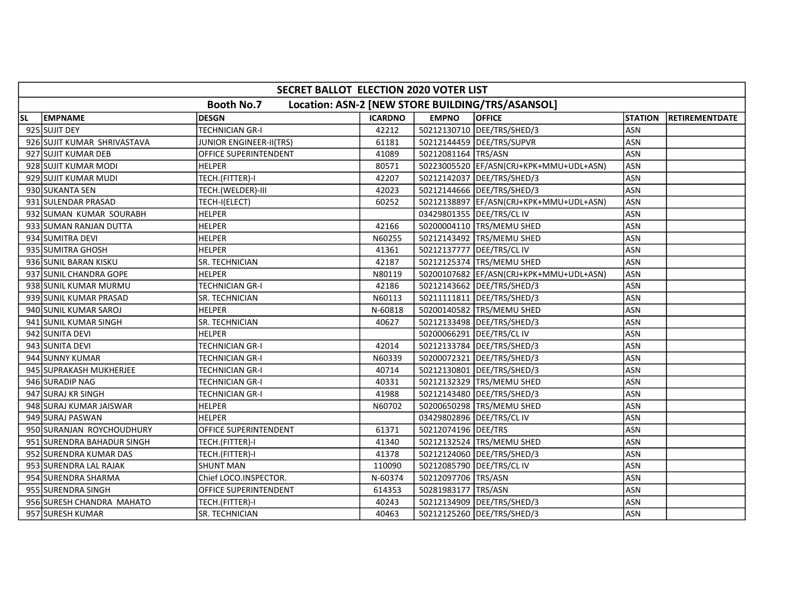|    | SECRET BALLOT ELECTION 2020 VOTER LIST                                |                                |                |                       |                                          |                |                        |  |  |  |  |
|----|-----------------------------------------------------------------------|--------------------------------|----------------|-----------------------|------------------------------------------|----------------|------------------------|--|--|--|--|
|    | <b>Booth No.7</b><br>Location: ASN-2 [NEW STORE BUILDING/TRS/ASANSOL] |                                |                |                       |                                          |                |                        |  |  |  |  |
| SL | <b>EMPNAME</b>                                                        | <b>DESGN</b>                   | <b>ICARDNO</b> | <b>EMPNO</b>          | <b>OFFICE</b>                            | <b>STATION</b> | <b>IRETIREMENTDATE</b> |  |  |  |  |
|    | 925 SUJIT DEY                                                         | <b>TECHNICIAN GR-I</b>         | 42212          |                       | 50212130710   DEE/TRS/SHED/3             | <b>ASN</b>     |                        |  |  |  |  |
|    | 926 SUJIT KUMAR SHRIVASTAVA                                           | <b>JUNIOR ENGINEER-II(TRS)</b> | 61181          |                       | 50212144459 DEE/TRS/SUPVR                | ASN            |                        |  |  |  |  |
|    | 927 SUJIT KUMAR DEB                                                   | OFFICE SUPERINTENDENT          | 41089          | 50212081164 TRS/ASN   |                                          | <b>ASN</b>     |                        |  |  |  |  |
|    | 928 SUJIT KUMAR MODI                                                  | <b>HELPER</b>                  | 80571          |                       | 50223005520 EF/ASN(CRJ+KPK+MMU+UDL+ASN)  | ASN            |                        |  |  |  |  |
|    | 929 SUJIT KUMAR MUDI                                                  | TECH.(FITTER)-I                | 42207          |                       | 50212142037 DEE/TRS/SHED/3               | <b>ASN</b>     |                        |  |  |  |  |
|    | 930 SUKANTA SEN                                                       | TECH.(WELDER)-III              | 42023          |                       | 50212144666   DEE/TRS/SHED/3             | ASN            |                        |  |  |  |  |
|    | 931 SULENDAR PRASAD                                                   | TECH-I(ELECT)                  | 60252          |                       | 50212138897  EF/ASN(CRJ+KPK+MMU+UDL+ASN) | ASN            |                        |  |  |  |  |
|    | 932 SUMAN KUMAR SOURABH                                               | <b>HELPER</b>                  |                |                       | 03429801355 DEE/TRS/CL IV                | ASN            |                        |  |  |  |  |
|    | 933 SUMAN RANJAN DUTTA                                                | <b>HELPER</b>                  | 42166          |                       | 50200004110 TRS/MEMU SHED                | ASN            |                        |  |  |  |  |
|    | 934 SUMITRA DEVI                                                      | <b>HELPER</b>                  | N60255         |                       | 50212143492 TRS/MEMU SHED                | ASN            |                        |  |  |  |  |
|    | 935 SUMITRA GHOSH                                                     | <b>HELPER</b>                  | 41361          |                       | 50212137777   DEE/TRS/CL IV              | ASN            |                        |  |  |  |  |
|    | 936 SUNIL BARAN KISKU                                                 | SR. TECHNICIAN                 | 42187          |                       | 50212125374 TRS/MEMU SHED                | <b>ASN</b>     |                        |  |  |  |  |
|    | 937 SUNIL CHANDRA GOPE                                                | <b>HELPER</b>                  | N80119         |                       | 50200107682  EF/ASN(CRJ+KPK+MMU+UDL+ASN) | <b>ASN</b>     |                        |  |  |  |  |
|    | 938 SUNIL KUMAR MURMU                                                 | TECHNICIAN GR-I                | 42186          |                       | 50212143662 DEE/TRS/SHED/3               | <b>ASN</b>     |                        |  |  |  |  |
|    | 939 SUNIL KUMAR PRASAD                                                | SR. TECHNICIAN                 | N60113         |                       | 50211111811   DEE/TRS/SHED/3             | <b>ASN</b>     |                        |  |  |  |  |
|    | 940 SUNIL KUMAR SAROJ                                                 | <b>HELPER</b>                  | N-60818        |                       | 50200140582 TRS/MEMU SHED                | ASN            |                        |  |  |  |  |
|    | 941 SUNIL KUMAR SINGH                                                 | SR. TECHNICIAN                 | 40627          |                       | 50212133498   DEE/TRS/SHED/3             | <b>ASN</b>     |                        |  |  |  |  |
|    | 942 SUNITA DEVI                                                       | <b>HELPER</b>                  |                |                       | 50200066291 DEE/TRS/CL IV                | <b>ASN</b>     |                        |  |  |  |  |
|    | 943 SUNITA DEVI                                                       | <b>TECHNICIAN GR-I</b>         | 42014          |                       | 50212133784 DEE/TRS/SHED/3               | <b>ASN</b>     |                        |  |  |  |  |
|    | 944 SUNNY KUMAR                                                       | <b>TECHNICIAN GR-I</b>         | N60339         |                       | 50200072321  DEE/TRS/SHED/3              | <b>ASN</b>     |                        |  |  |  |  |
|    | 945 SUPRAKASH MUKHERJEE                                               | <b>TECHNICIAN GR-I</b>         | 40714          |                       | 50212130801   DEE/TRS/SHED/3             | <b>ASN</b>     |                        |  |  |  |  |
|    | 946 SURADIP NAG                                                       | <b>TECHNICIAN GR-I</b>         | 40331          |                       | 50212132329 TRS/MEMU SHED                | <b>ASN</b>     |                        |  |  |  |  |
|    | 947 SURAJ KR SINGH                                                    | TECHNICIAN GR-I                | 41988          |                       | 50212143480   DEE/TRS/SHED/3             | <b>ASN</b>     |                        |  |  |  |  |
|    | 948 SURAJ KUMAR JAISWAR                                               | <b>HELPER</b>                  | N60702         |                       | 50200650298 TRS/MEMU SHED                | <b>ASN</b>     |                        |  |  |  |  |
|    | 949 SURAJ PASWAN                                                      | <b>HELPER</b>                  |                |                       | 03429802896   DEE/TRS/CL IV              | ASN            |                        |  |  |  |  |
|    | 950 SURANJAN ROYCHOUDHURY                                             | OFFICE SUPERINTENDENT          | 61371          | 50212074196 DEE/TRS   |                                          | <b>ASN</b>     |                        |  |  |  |  |
|    | 951 SURENDRA BAHADUR SINGH                                            | TECH.(FITTER)-I                | 41340          |                       | 50212132524 TRS/MEMU SHED                | <b>ASN</b>     |                        |  |  |  |  |
|    | 952 SURENDRA KUMAR DAS                                                | TECH.(FITTER)-I                | 41378          |                       | 50212124060 DEE/TRS/SHED/3               | ASN            |                        |  |  |  |  |
|    | 953 SURENDRA LAL RAJAK                                                | <b>SHUNT MAN</b>               | 110090         |                       | 50212085790 DEE/TRS/CL IV                | <b>ASN</b>     |                        |  |  |  |  |
|    | 954 SURENDRA SHARMA                                                   | Chief LOCO.INSPECTOR.          | N-60374        | 50212097706 TRS/ASN   |                                          | ASN            |                        |  |  |  |  |
|    | 955 SURENDRA SINGH                                                    | <b>OFFICE SUPERINTENDENT</b>   | 614353         | 50281983177   TRS/ASN |                                          | <b>ASN</b>     |                        |  |  |  |  |
|    | 956 SURESH CHANDRA MAHATO                                             | TECH.(FITTER)-I                | 40243          |                       | 50212134909   DEE/TRS/SHED/3             | ASN            |                        |  |  |  |  |
|    | 957 SURESH KUMAR                                                      | SR. TECHNICIAN                 | 40463          |                       | 50212125260 DEE/TRS/SHED/3               | <b>ASN</b>     |                        |  |  |  |  |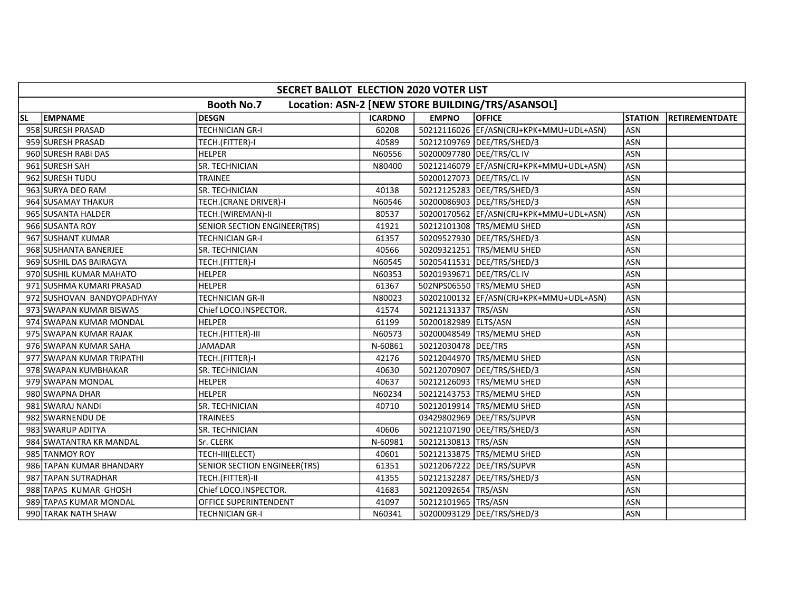|           | SECRET BALLOT ELECTION 2020 VOTER LIST                                |                              |                |                       |                                          |                |                        |  |  |  |
|-----------|-----------------------------------------------------------------------|------------------------------|----------------|-----------------------|------------------------------------------|----------------|------------------------|--|--|--|
|           | <b>Booth No.7</b><br>Location: ASN-2 [NEW STORE BUILDING/TRS/ASANSOL] |                              |                |                       |                                          |                |                        |  |  |  |
| <b>SL</b> | <b>EMPNAME</b>                                                        | <b>DESGN</b>                 | <b>ICARDNO</b> | <b>EMPNO</b>          | <b>OFFICE</b>                            | <b>STATION</b> | <b>IRETIREMENTDATE</b> |  |  |  |
|           | 958 SURESH PRASAD                                                     | <b>TECHNICIAN GR-I</b>       | 60208          |                       | 50212116026  EF/ASN(CRJ+KPK+MMU+UDL+ASN) | <b>ASN</b>     |                        |  |  |  |
|           | 959 SURESH PRASAD                                                     | TECH.(FITTER)-I              | 40589          |                       | 50212109769 DEE/TRS/SHED/3               | <b>ASN</b>     |                        |  |  |  |
|           | 960 SURESH RABI DAS                                                   | <b>HELPER</b>                | N60556         |                       | 50200097780 DEE/TRS/CL IV                | <b>ASN</b>     |                        |  |  |  |
|           | 961 SURESH SAH                                                        | SR. TECHNICIAN               | N80400         |                       | 50212146079 EF/ASN(CRJ+KPK+MMU+UDL+ASN)  | <b>ASN</b>     |                        |  |  |  |
|           | 962 SURESH TUDU                                                       | <b>TRAINEE</b>               |                |                       | 50200127073 DEE/TRS/CLIV                 | ASN            |                        |  |  |  |
|           | 963 SURYA DEO RAM                                                     | SR. TECHNICIAN               | 40138          |                       | 50212125283 DEE/TRS/SHED/3               | <b>ASN</b>     |                        |  |  |  |
|           | 964 SUSAMAY THAKUR                                                    | TECH.(CRANE DRIVER)-I        | N60546         |                       | 50200086903 DEE/TRS/SHED/3               | <b>ASN</b>     |                        |  |  |  |
|           | 965 SUSANTA HALDER                                                    | TECH.(WIREMAN)-II            | 80537          |                       | 50200170562  EF/ASN(CRJ+KPK+MMU+UDL+ASN) | <b>ASN</b>     |                        |  |  |  |
|           | 966 SUSANTA ROY                                                       | SENIOR SECTION ENGINEER(TRS) | 41921          |                       | 50212101308   TRS/MEMU SHED              | ASN            |                        |  |  |  |
|           | 967 SUSHANT KUMAR                                                     | <b>TECHNICIAN GR-I</b>       | 61357          |                       | 50209527930 DEE/TRS/SHED/3               | ASN            |                        |  |  |  |
|           | 968 SUSHANTA BANERJEE                                                 | SR. TECHNICIAN               | 40566          |                       | 50209321251 TRS/MEMU SHED                | <b>ASN</b>     |                        |  |  |  |
|           | 969 SUSHIL DAS BAIRAGYA                                               | TECH.(FITTER)-I              | N60545         |                       | 50205411531   DEE/TRS/SHED/3             | ASN            |                        |  |  |  |
|           | 970 SUSHIL KUMAR MAHATO                                               | <b>HELPER</b>                | N60353         |                       | 50201939671   DEE/TRS/CL IV              | <b>ASN</b>     |                        |  |  |  |
|           | 971 SUSHMA KUMARI PRASAD                                              | <b>HELPER</b>                | 61367          |                       | 502NPS06550 TRS/MEMU SHED                | <b>ASN</b>     |                        |  |  |  |
|           | 972 SUSHOVAN BANDYOPADHYAY                                            | TECHNICIAN GR-II             | N80023         |                       | 50202100132  EF/ASN(CRJ+KPK+MMU+UDL+ASN) | <b>ASN</b>     |                        |  |  |  |
|           | 973 SWAPAN KUMAR BISWAS                                               | Chief LOCO.INSPECTOR.        | 41574          | 50212131337   TRS/ASN |                                          | ASN            |                        |  |  |  |
|           | 974 SWAPAN KUMAR MONDAL                                               | <b>HELPER</b>                | 61199          | 50200182989 ELTS/ASN  |                                          | <b>ASN</b>     |                        |  |  |  |
|           | 975 SWAPAN KUMAR RAJAK                                                | TECH.(FITTER)-III            | N60573         |                       | 50200048549 TRS/MEMU SHED                | ASN            |                        |  |  |  |
|           | 976 SWAPAN KUMAR SAHA                                                 | <b>JAMADAR</b>               | N-60861        | 50212030478 DEE/TRS   |                                          | <b>ASN</b>     |                        |  |  |  |
|           | 977 SWAPAN KUMAR TRIPATHI                                             | TECH.(FITTER)-I              | 42176          |                       | 50212044970 TRS/MEMU SHED                | <b>ASN</b>     |                        |  |  |  |
|           | 978 SWAPAN KUMBHAKAR                                                  | SR. TECHNICIAN               | 40630          |                       | 50212070907   DEE/TRS/SHED/3             | <b>ASN</b>     |                        |  |  |  |
|           | 979 SWAPAN MONDAL                                                     | <b>HELPER</b>                | 40637          |                       | 50212126093 TRS/MEMU SHED                | <b>ASN</b>     |                        |  |  |  |
|           | 980 SWAPNA DHAR                                                       | <b>HELPER</b>                | N60234         |                       | 50212143753 TRS/MEMU SHED                | <b>ASN</b>     |                        |  |  |  |
|           | 981 SWARAJ NANDI                                                      | SR. TECHNICIAN               | 40710          |                       | 50212019914  TRS/MEMU SHED               | <b>ASN</b>     |                        |  |  |  |
|           | 982 SWARNENDU DE                                                      | <b>TRAINEES</b>              |                |                       | 03429802969 DEE/TRS/SUPVR                | <b>ASN</b>     |                        |  |  |  |
|           | 983 SWARUP ADITYA                                                     | SR. TECHNICIAN               | 40606          |                       | 50212107190 DEE/TRS/SHED/3               | <b>ASN</b>     |                        |  |  |  |
|           | 984 SWATANTRA KR MANDAL                                               | Sr. CLERK                    | N-60981        | 50212130813 TRS/ASN   |                                          | <b>ASN</b>     |                        |  |  |  |
|           | 985 TANMOY ROY                                                        | TECH-III(ELECT)              | 40601          |                       | 50212133875 TRS/MEMU SHED                | <b>ASN</b>     |                        |  |  |  |
|           | 986 TAPAN KUMAR BHANDARY                                              | SENIOR SECTION ENGINEER(TRS) | 61351          |                       | 50212067222 DEE/TRS/SUPVR                | <b>ASN</b>     |                        |  |  |  |
|           | 987 TAPAN SUTRADHAR                                                   | TECH.(FITTER)-II             | 41355          |                       | 50212132287   DEE/TRS/SHED/3             | <b>ASN</b>     |                        |  |  |  |
|           | 988 TAPAS KUMAR GHOSH                                                 | Chief LOCO.INSPECTOR.        | 41683          | 50212092654 TRS/ASN   |                                          | <b>ASN</b>     |                        |  |  |  |
|           | 989 TAPAS KUMAR MONDAL                                                | OFFICE SUPERINTENDENT        | 41097          | 50212101965   TRS/ASN |                                          | ASN            |                        |  |  |  |
|           | 990 TARAK NATH SHAW                                                   | <b>TECHNICIAN GR-I</b>       | N60341         |                       | 50200093129   DEE/TRS/SHED/3             | ASN            |                        |  |  |  |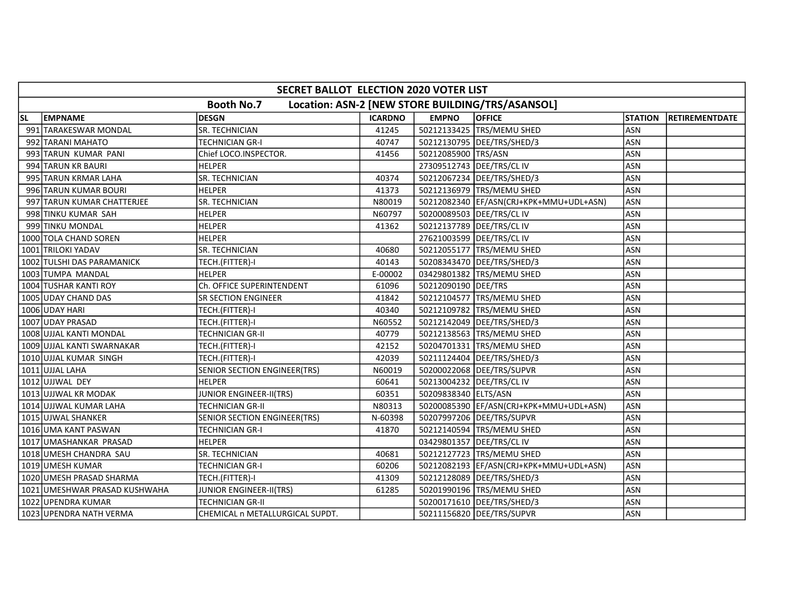| SECRET BALLOT ELECTION 2020 VOTER LIST                                |                               |                                     |                |                             |                                           |                |                        |  |  |  |
|-----------------------------------------------------------------------|-------------------------------|-------------------------------------|----------------|-----------------------------|-------------------------------------------|----------------|------------------------|--|--|--|
| <b>Booth No.7</b><br>Location: ASN-2 [NEW STORE BUILDING/TRS/ASANSOL] |                               |                                     |                |                             |                                           |                |                        |  |  |  |
| SL                                                                    | <b>EMPNAME</b>                | <b>DESGN</b>                        | <b>ICARDNO</b> | <b>EMPNO</b>                | <b>OFFICE</b>                             | <b>STATION</b> | <b>IRETIREMENTDATE</b> |  |  |  |
|                                                                       | 991 TARAKESWAR MONDAL         | SR. TECHNICIAN                      | 41245          |                             | 50212133425 TRS/MEMU SHED                 | <b>ASN</b>     |                        |  |  |  |
|                                                                       | 992 TARANI MAHATO             | <b>TECHNICIAN GR-I</b>              | 40747          |                             | 50212130795 DEE/TRS/SHED/3                | <b>ASN</b>     |                        |  |  |  |
|                                                                       | 993 TARUN KUMAR PANI          | Chief LOCO.INSPECTOR.               | 41456          | 50212085900 TRS/ASN         |                                           | <b>ASN</b>     |                        |  |  |  |
|                                                                       | 994 TARUN KR BAURI            | <b>HELPER</b>                       |                |                             | 27309512743   DEE/TRS/CL IV               | ASN            |                        |  |  |  |
|                                                                       | 995 TARUN KRMAR LAHA          | <b>SR. TECHNICIAN</b>               | 40374          |                             | 50212067234 DEE/TRS/SHED/3                | <b>ASN</b>     |                        |  |  |  |
|                                                                       | 996 TARUN KUMAR BOURI         | <b>HELPER</b>                       | 41373          |                             | 50212136979 TRS/MEMU SHED                 | <b>ASN</b>     |                        |  |  |  |
|                                                                       | 997 TARUN KUMAR CHATTERJEE    | SR. TECHNICIAN                      | N80019         |                             | 50212082340   EF/ASN(CRJ+KPK+MMU+UDL+ASN) | <b>ASN</b>     |                        |  |  |  |
|                                                                       | 998 TINKU KUMAR SAH           | <b>HELPER</b>                       | N60797         |                             | 50200089503 DEE/TRS/CL IV                 | <b>ASN</b>     |                        |  |  |  |
|                                                                       | 999 TINKU MONDAL              | <b>HELPER</b>                       | 41362          |                             | 50212137789   DEE/TRS/CL IV               | <b>ASN</b>     |                        |  |  |  |
|                                                                       | 1000 TOLA CHAND SOREN         | <b>HELPER</b>                       |                | 27621003599   DEE/TRS/CL IV |                                           | ASN            |                        |  |  |  |
|                                                                       | 1001 TRILOKI YADAV            | SR. TECHNICIAN                      | 40680          |                             | 50212055177   TRS/MEMU SHED               | ASN            |                        |  |  |  |
|                                                                       | 1002 TULSHI DAS PARAMANICK    | TECH.(FITTER)-I                     | 40143          |                             | 50208343470   DEE/TRS/SHED/3              | <b>ASN</b>     |                        |  |  |  |
|                                                                       | 1003 TUMPA MANDAL             | <b>HELPER</b>                       | E-00002        |                             | 03429801382 TRS/MEMU SHED                 | ASN            |                        |  |  |  |
|                                                                       | 1004 TUSHAR KANTI ROY         | Ch. OFFICE SUPERINTENDENT           | 61096          | 50212090190 DEE/TRS         |                                           | ASN            |                        |  |  |  |
|                                                                       | 1005 UDAY CHAND DAS           | <b>SR SECTION ENGINEER</b>          | 41842          |                             | 50212104577   TRS/MEMU SHED               | ASN            |                        |  |  |  |
|                                                                       | 1006 UDAY HARI                | TECH.(FITTER)-I                     | 40340          |                             | 50212109782 TRS/MEMU SHED                 | ASN            |                        |  |  |  |
|                                                                       | 1007 UDAY PRASAD              | TECH.(FITTER)-I                     | N60552         |                             | 50212142049   DEE/TRS/SHED/3              | ASN            |                        |  |  |  |
|                                                                       | 1008 UJJAL KANTI MONDAL       | TECHNICIAN GR-II                    | 40779          |                             | 50212138563   TRS/MEMU SHED               | <b>ASN</b>     |                        |  |  |  |
|                                                                       | 1009 UJJAL KANTI SWARNAKAR    | TECH.(FITTER)-I                     | 42152          |                             | 50204701331   TRS/MEMU SHED               | <b>ASN</b>     |                        |  |  |  |
|                                                                       | 1010 UJJAL KUMAR SINGH        | TECH.(FITTER)-I                     | 42039          |                             | 50211124404   DEE/TRS/SHED/3              | <b>ASN</b>     |                        |  |  |  |
|                                                                       | 1011 UJJAL LAHA               | <b>SENIOR SECTION ENGINEER(TRS)</b> | N60019         |                             | 50200022068 DEE/TRS/SUPVR                 | <b>ASN</b>     |                        |  |  |  |
|                                                                       | 1012 UJJWAL DEY               | <b>HELPER</b>                       | 60641          |                             | 50213004232 DEE/TRS/CL IV                 | ASN            |                        |  |  |  |
|                                                                       | 1013 UJJWAL KR MODAK          | <b>JUNIOR ENGINEER-II(TRS)</b>      | 60351          | 50209838340 ELTS/ASN        |                                           | <b>ASN</b>     |                        |  |  |  |
|                                                                       | 1014 UJJWAL KUMAR LAHA        | TECHNICIAN GR-II                    | N80313         |                             | 50200085390 EF/ASN(CRJ+KPK+MMU+UDL+ASN)   | <b>ASN</b>     |                        |  |  |  |
|                                                                       | 1015 UJWAL SHANKER            | SENIOR SECTION ENGINEER(TRS)        | N-60398        |                             | 50207997206 DEE/TRS/SUPVR                 | <b>ASN</b>     |                        |  |  |  |
|                                                                       | 1016 UMA KANT PASWAN          | TECHNICIAN GR-I                     | 41870          |                             | 50212140594 TRS/MEMU SHED                 | <b>ASN</b>     |                        |  |  |  |
|                                                                       | 1017 UMASHANKAR PRASAD        | <b>HELPER</b>                       |                | 03429801357 DEE/TRS/CL IV   |                                           | ASN            |                        |  |  |  |
|                                                                       | 1018 UMESH CHANDRA SAU        | <b>SR. TECHNICIAN</b>               | 40681          |                             | 50212127723 TRS/MEMU SHED                 | <b>ASN</b>     |                        |  |  |  |
|                                                                       | 1019 UMESH KUMAR              | <b>TECHNICIAN GR-I</b>              | 60206          |                             | 50212082193  EF/ASN(CRJ+KPK+MMU+UDL+ASN)  | <b>ASN</b>     |                        |  |  |  |
|                                                                       | 1020 UMESH PRASAD SHARMA      | TECH.(FITTER)-I                     | 41309          |                             | 50212128089   DEE/TRS/SHED/3              | ASN            |                        |  |  |  |
|                                                                       | 1021 UMESHWAR PRASAD KUSHWAHA | <b>JUNIOR ENGINEER-II(TRS)</b>      | 61285          |                             | 50201990196   TRS/MEMU SHED               | ASN            |                        |  |  |  |
|                                                                       | 1022 UPENDRA KUMAR            | <b>TECHNICIAN GR-II</b>             |                |                             | 50200171610   DEE/TRS/SHED/3              | ASN            |                        |  |  |  |
|                                                                       | 1023 UPENDRA NATH VERMA       | CHEMICAL n METALLURGICAL SUPDT.     |                |                             | 50211156820 DEE/TRS/SUPVR                 | <b>ASN</b>     |                        |  |  |  |